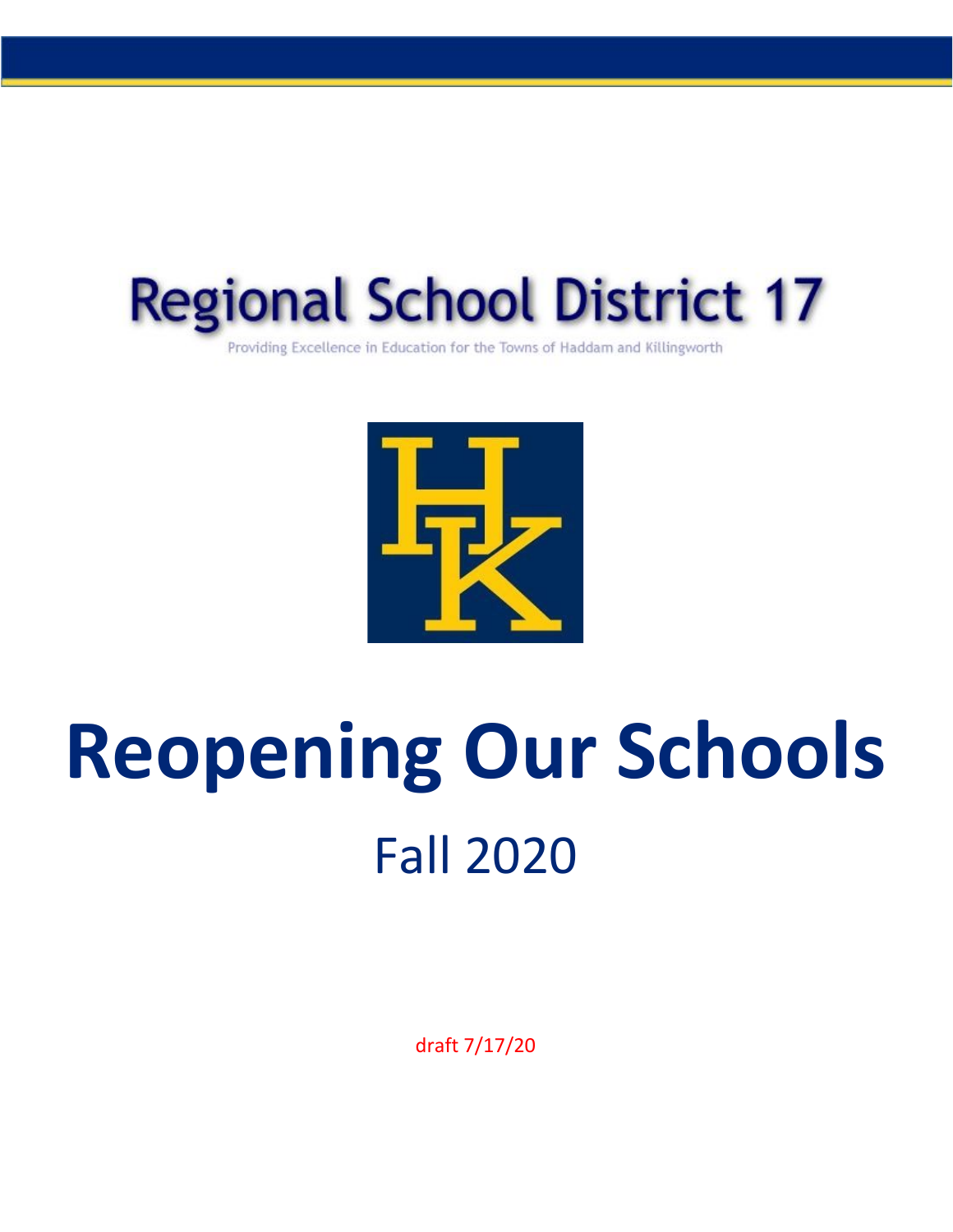

Providing Excellence in Education for the Towns of Haddam and Killingworth



# **Reopening Our Schools** Fall 2020

draft 7/17/20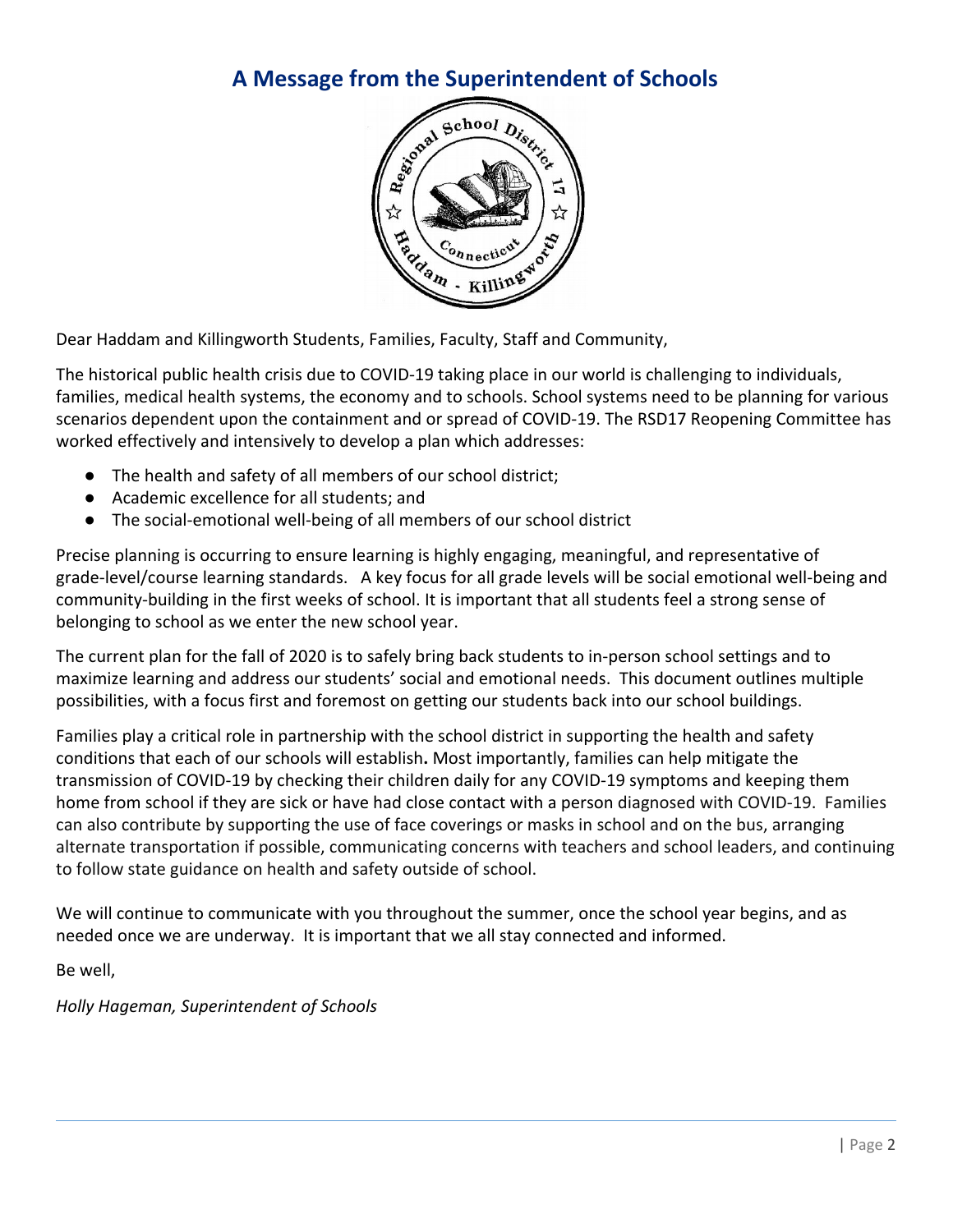## **A Message from the Superintendent of Schools**



Dear Haddam and Killingworth Students, Families, Faculty, Staff and Community,

The historical public health crisis due to COVID-19 taking place in our world is challenging to individuals, families, medical health systems, the economy and to schools. School systems need to be planning for various scenarios dependent upon the containment and or spread of COVID-19. The RSD17 Reopening Committee has worked effectively and intensively to develop a plan which addresses:

- The health and safety of all members of our school district;
- Academic excellence for all students; and
- The social-emotional well-being of all members of our school district

Precise planning is occurring to ensure learning is highly engaging, meaningful, and representative of grade-level/course learning standards. A key focus for all grade levels will be social emotional well-being and community-building in the first weeks of school. It is important that all students feel a strong sense of belonging to school as we enter the new school year.

The current plan for the fall of 2020 is to safely bring back students to in-person school settings and to maximize learning and address our students' social and emotional needs. This document outlines multiple possibilities, with a focus first and foremost on getting our students back into our school buildings.

Families play a critical role in partnership with the school district in supporting the health and safety conditions that each of our schools will establish**.** Most importantly, families can help mitigate the transmission of COVID-19 by checking their children daily for any COVID-19 symptoms and keeping them home from school if they are sick or have had close contact with a person diagnosed with COVID-19. Families can also contribute by supporting the use of face coverings or masks in school and on the bus, arranging alternate transportation if possible, communicating concerns with teachers and school leaders, and continuing to follow state guidance on health and safety outside of school.

We will continue to communicate with you throughout the summer, once the school year begins, and as needed once we are underway. It is important that we all stay connected and informed.

Be well,

*Holly Hageman, Superintendent of Schools*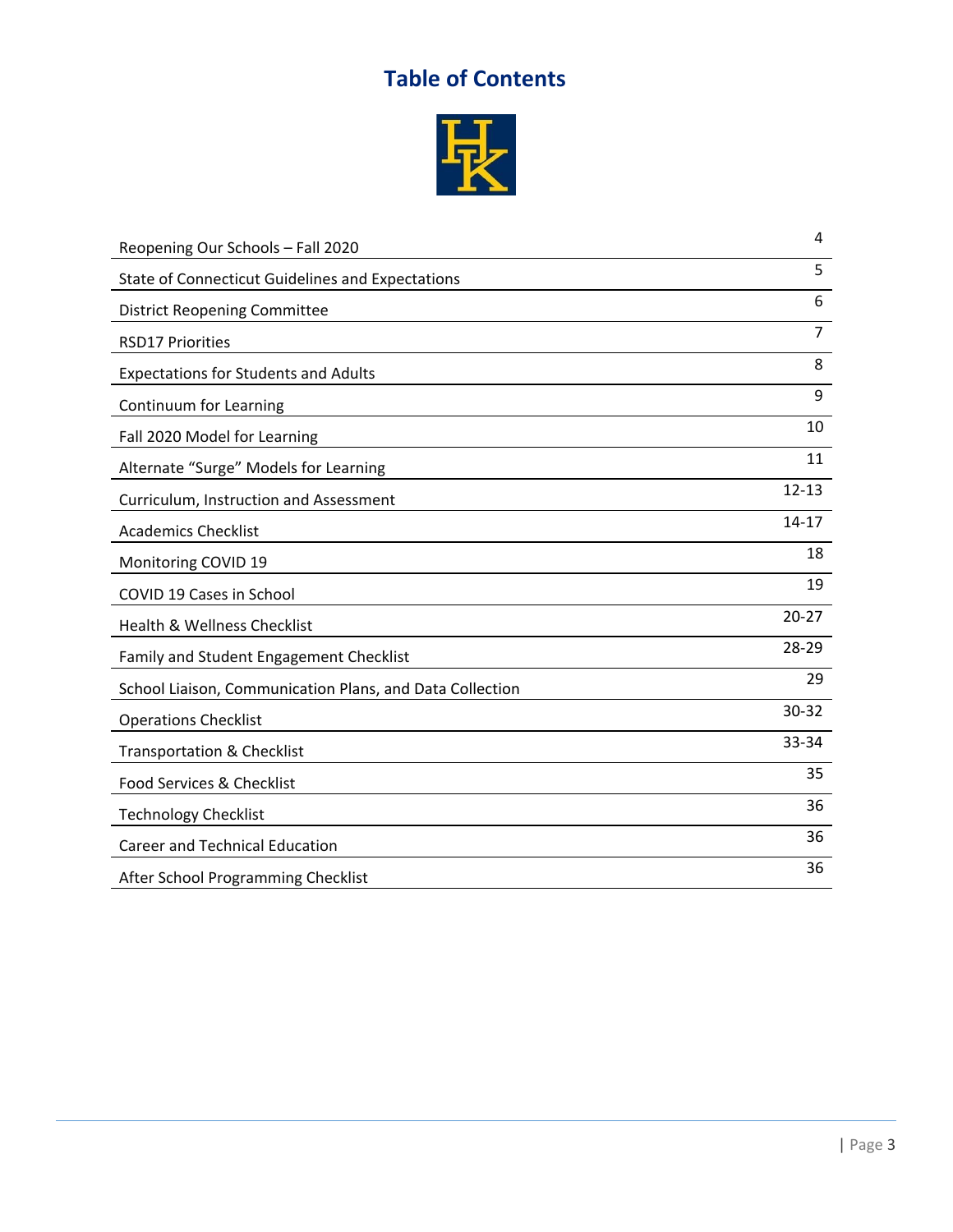## **Table of Contents**



| Reopening Our Schools - Fall 2020                        | 4              |
|----------------------------------------------------------|----------------|
| <b>State of Connecticut Guidelines and Expectations</b>  | 5              |
| <b>District Reopening Committee</b>                      | 6              |
| <b>RSD17 Priorities</b>                                  | $\overline{7}$ |
| <b>Expectations for Students and Adults</b>              | 8              |
| Continuum for Learning                                   | 9              |
| Fall 2020 Model for Learning                             | 10             |
| Alternate "Surge" Models for Learning                    | 11             |
| Curriculum, Instruction and Assessment                   | $12 - 13$      |
| <b>Academics Checklist</b>                               | $14 - 17$      |
| Monitoring COVID 19                                      | 18             |
| COVID 19 Cases in School                                 | 19             |
| Health & Wellness Checklist                              | $20 - 27$      |
| Family and Student Engagement Checklist                  | 28-29          |
| School Liaison, Communication Plans, and Data Collection | 29             |
| <b>Operations Checklist</b>                              | $30 - 32$      |
| <b>Transportation &amp; Checklist</b>                    | 33-34          |
| Food Services & Checklist                                | 35             |
| <b>Technology Checklist</b>                              | 36             |
| <b>Career and Technical Education</b>                    | 36             |
| After School Programming Checklist                       | 36             |
|                                                          |                |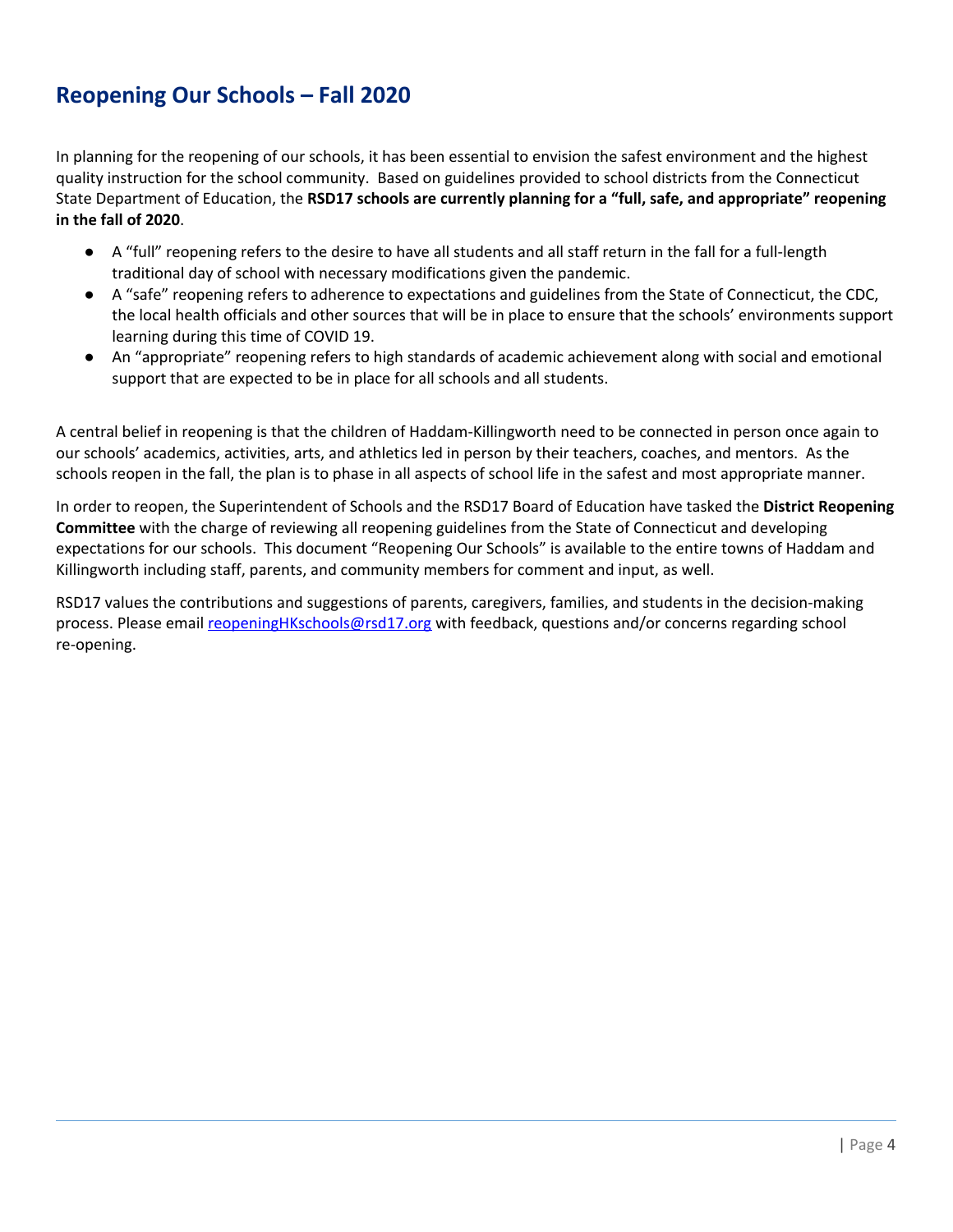## **Reopening Our Schools – Fall 2020**

In planning for the reopening of our schools, it has been essential to envision the safest environment and the highest quality instruction for the school community. Based on guidelines provided to school districts from the Connecticut State Department of Education, the **RSD17 schools are currently planning for a "full, safe, and appropriate" reopening in the fall of 2020**.

- A "full" reopening refers to the desire to have all students and all staff return in the fall for a full-length traditional day of school with necessary modifications given the pandemic.
- A "safe" reopening refers to adherence to expectations and guidelines from the State of Connecticut, the CDC, the local health officials and other sources that will be in place to ensure that the schools' environments support learning during this time of COVID 19.
- An "appropriate" reopening refers to high standards of academic achievement along with social and emotional support that are expected to be in place for all schools and all students.

A central belief in reopening is that the children of Haddam-Killingworth need to be connected in person once again to our schools' academics, activities, arts, and athletics led in person by their teachers, coaches, and mentors. As the schools reopen in the fall, the plan is to phase in all aspects of school life in the safest and most appropriate manner.

In order to reopen, the Superintendent of Schools and the RSD17 Board of Education have tasked the **District Reopening Committee** with the charge of reviewing all reopening guidelines from the State of Connecticut and developing expectations for our schools. This document "Reopening Our Schools" is available to the entire towns of Haddam and Killingworth including staff, parents, and community members for comment and input, as well.

RSD17 values the contributions and suggestions of parents, caregivers, families, and students in the decision-making process. Please email reopeningHKschools@rsd17.org with feedback, questions and/or concerns regarding school re-opening.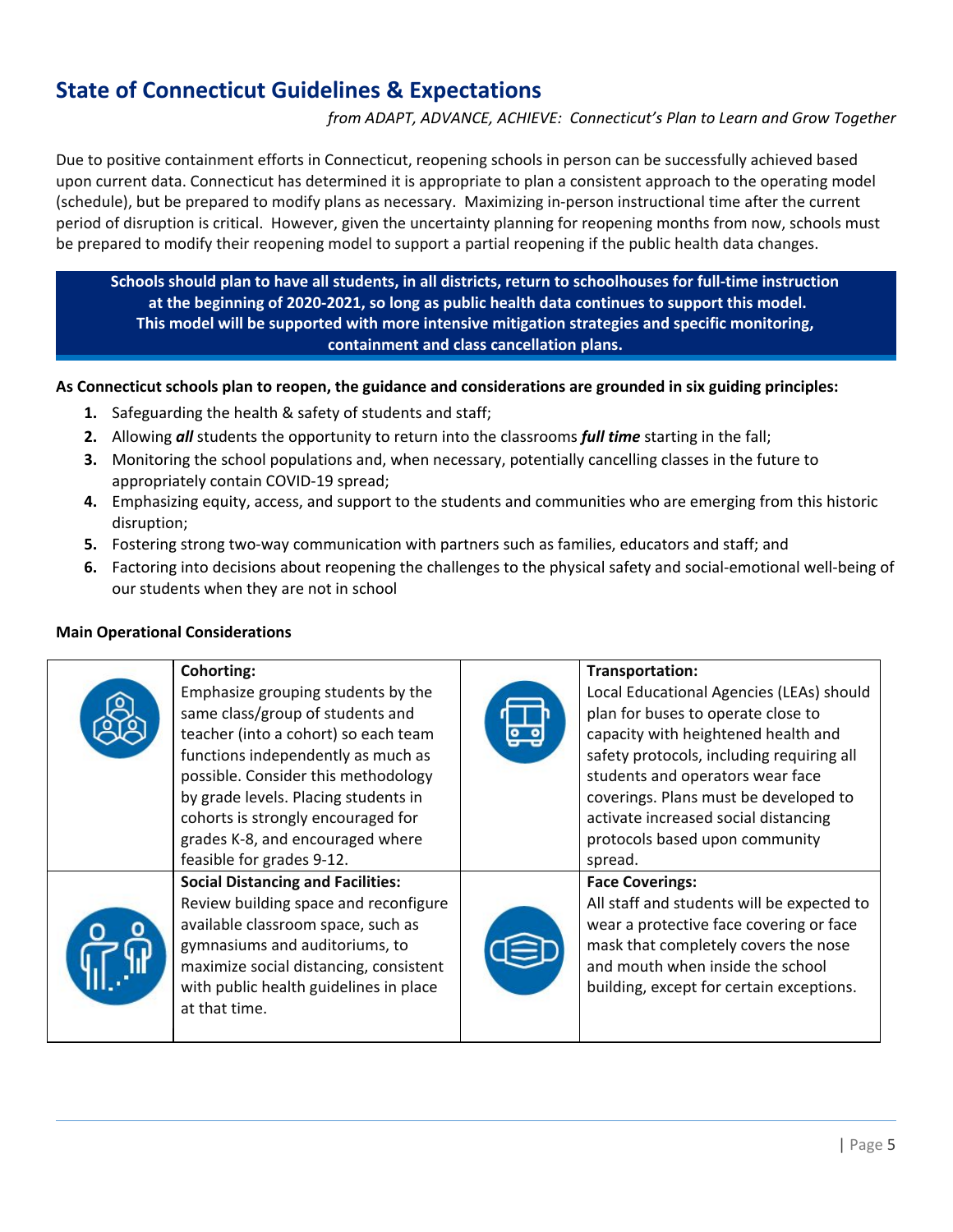## **State of Connecticut Guidelines & Expectations**

#### *from ADAPT, ADVANCE, ACHIEVE: Connecticut's Plan to Learn and Grow Together*

Due to positive containment efforts in Connecticut, reopening schools in person can be successfully achieved based upon current data. Connecticut has determined it is appropriate to plan a consistent approach to the operating model (schedule), but be prepared to modify plans as necessary. Maximizing in-person instructional time after the current period of disruption is critical. However, given the uncertainty planning for reopening months from now, schools must be prepared to modify their reopening model to support a partial reopening if the public health data changes.

**Schools should plan to have all students, in all districts, return to schoolhouses for full-time instruction at the beginning of 2020-2021, so long as public health data continues to support this model. This model will be supported with more intensive mitigation strategies and specific monitoring, containment and class cancellation plans.**

**As Connecticut schools plan to reopen, the guidance and considerations are grounded in six guiding principles:**

- **1.** Safeguarding the health & safety of students and staff;
- **2.** Allowing *all* students the opportunity to return into the classrooms *full time* starting in the fall;
- **3.** Monitoring the school populations and, when necessary, potentially cancelling classes in the future to appropriately contain COVID-19 spread;
- **4.** Emphasizing equity, access, and support to the students and communities who are emerging from this historic disruption;
- **5.** Fostering strong two-way communication with partners such as families, educators and staff; and
- **6.** Factoring into decisions about reopening the challenges to the physical safety and social-emotional well-being of our students when they are not in school

#### **Main Operational Considerations**

| <b>Cohorting:</b><br>Emphasize grouping students by the<br>same class/group of students and<br>teacher (into a cohort) so each team<br>functions independently as much as<br>possible. Consider this methodology<br>by grade levels. Placing students in<br>cohorts is strongly encouraged for<br>grades K-8, and encouraged where<br>feasible for grades 9-12. | Transportation:<br>Local Educational Agencies (LEAs) should<br>plan for buses to operate close to<br>capacity with heightened health and<br>safety protocols, including requiring all<br>students and operators wear face<br>coverings. Plans must be developed to<br>activate increased social distancing<br>protocols based upon community<br>spread. |
|-----------------------------------------------------------------------------------------------------------------------------------------------------------------------------------------------------------------------------------------------------------------------------------------------------------------------------------------------------------------|---------------------------------------------------------------------------------------------------------------------------------------------------------------------------------------------------------------------------------------------------------------------------------------------------------------------------------------------------------|
| <b>Social Distancing and Facilities:</b><br>Review building space and reconfigure<br>available classroom space, such as<br>gymnasiums and auditoriums, to<br>maximize social distancing, consistent<br>with public health guidelines in place<br>at that time.                                                                                                  | <b>Face Coverings:</b><br>All staff and students will be expected to<br>wear a protective face covering or face<br>mask that completely covers the nose<br>and mouth when inside the school<br>building, except for certain exceptions.                                                                                                                 |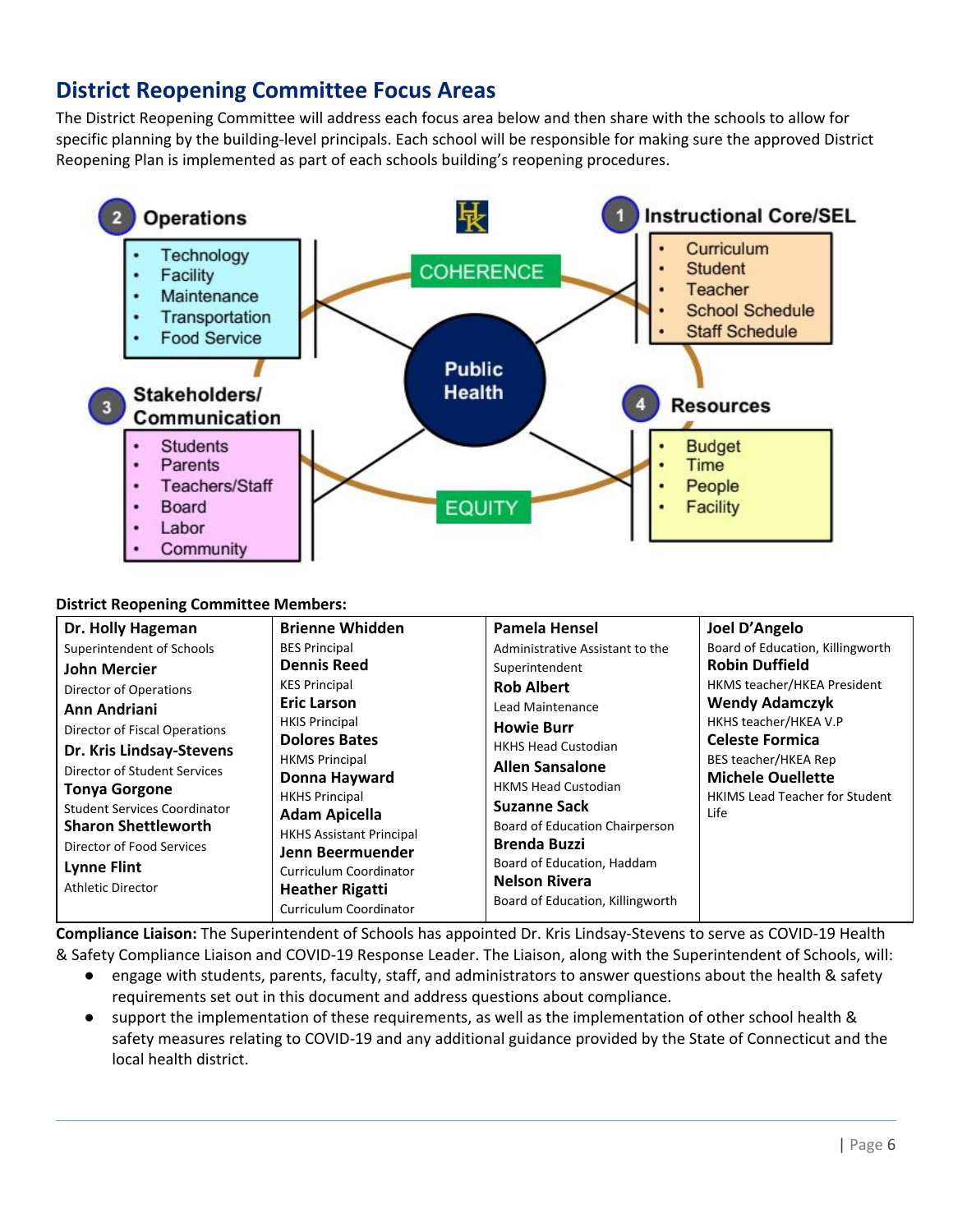## **District Reopening Committee Focus Areas**

The District Reopening Committee will address each focus area below and then share with the schools to allow for specific planning by the building-level principals. Each school will be responsible for making sure the approved District Reopening Plan is implemented as part of each schools building's reopening procedures.



#### **District Reopening Committee Members:**

| Dr. Holly Hageman                                                                                                                                                                                 | <b>Brienne Whidden</b>                                                                                                                                                                                                       | Pamela Hensel                                                                                                                                                                                                                  | Joel D'Angelo                                                                                     |
|---------------------------------------------------------------------------------------------------------------------------------------------------------------------------------------------------|------------------------------------------------------------------------------------------------------------------------------------------------------------------------------------------------------------------------------|--------------------------------------------------------------------------------------------------------------------------------------------------------------------------------------------------------------------------------|---------------------------------------------------------------------------------------------------|
| Superintendent of Schools                                                                                                                                                                         | <b>BES Principal</b>                                                                                                                                                                                                         | Administrative Assistant to the                                                                                                                                                                                                | Board of Education, Killingworth                                                                  |
| <b>John Mercier</b>                                                                                                                                                                               | <b>Dennis Reed</b>                                                                                                                                                                                                           | Superintendent                                                                                                                                                                                                                 | <b>Robin Duffield</b>                                                                             |
| Director of Operations                                                                                                                                                                            | <b>KES Principal</b>                                                                                                                                                                                                         | <b>Rob Albert</b>                                                                                                                                                                                                              | HKMS teacher/HKEA President                                                                       |
| Ann Andriani                                                                                                                                                                                      | <b>Eric Larson</b>                                                                                                                                                                                                           | Lead Maintenance                                                                                                                                                                                                               | <b>Wendy Adamczyk</b>                                                                             |
| Director of Fiscal Operations                                                                                                                                                                     | <b>HKIS Principal</b>                                                                                                                                                                                                        | <b>Howie Burr</b>                                                                                                                                                                                                              | HKHS teacher/HKEA V.P                                                                             |
| Dr. Kris Lindsay-Stevens                                                                                                                                                                          | <b>Dolores Bates</b>                                                                                                                                                                                                         | <b>HKHS Head Custodian</b>                                                                                                                                                                                                     | <b>Celeste Formica</b>                                                                            |
| Director of Student Services<br><b>Tonya Gorgone</b><br><b>Student Services Coordinator</b><br><b>Sharon Shettleworth</b><br>Director of Food Services<br><b>Lynne Flint</b><br>Athletic Director | <b>HKMS Principal</b><br>Donna Hayward<br><b>HKHS Principal</b><br><b>Adam Apicella</b><br><b>HKHS Assistant Principal</b><br>Jenn Beermuender<br>Curriculum Coordinator<br><b>Heather Rigatti</b><br>Curriculum Coordinator | <b>Allen Sansalone</b><br><b>HKMS Head Custodian</b><br><b>Suzanne Sack</b><br>Board of Education Chairperson<br><b>Brenda Buzzi</b><br>Board of Education, Haddam<br><b>Nelson Rivera</b><br>Board of Education, Killingworth | BES teacher/HKEA Rep<br><b>Michele Ouellette</b><br><b>HKIMS Lead Teacher for Student</b><br>Life |

**Compliance Liaison:** The Superintendent of Schools has appointed Dr. Kris Lindsay-Stevens to serve as COVID-19 Health & Safety Compliance Liaison and COVID-19 Response Leader. The Liaison, along with the Superintendent of Schools, will:

- engage with students, parents, faculty, staff, and administrators to answer questions about the health & safety requirements set out in this document and address questions about compliance.
- support the implementation of these requirements, as well as the implementation of other school health & safety measures relating to COVID-19 and any additional guidance provided by the State of Connecticut and the local health district.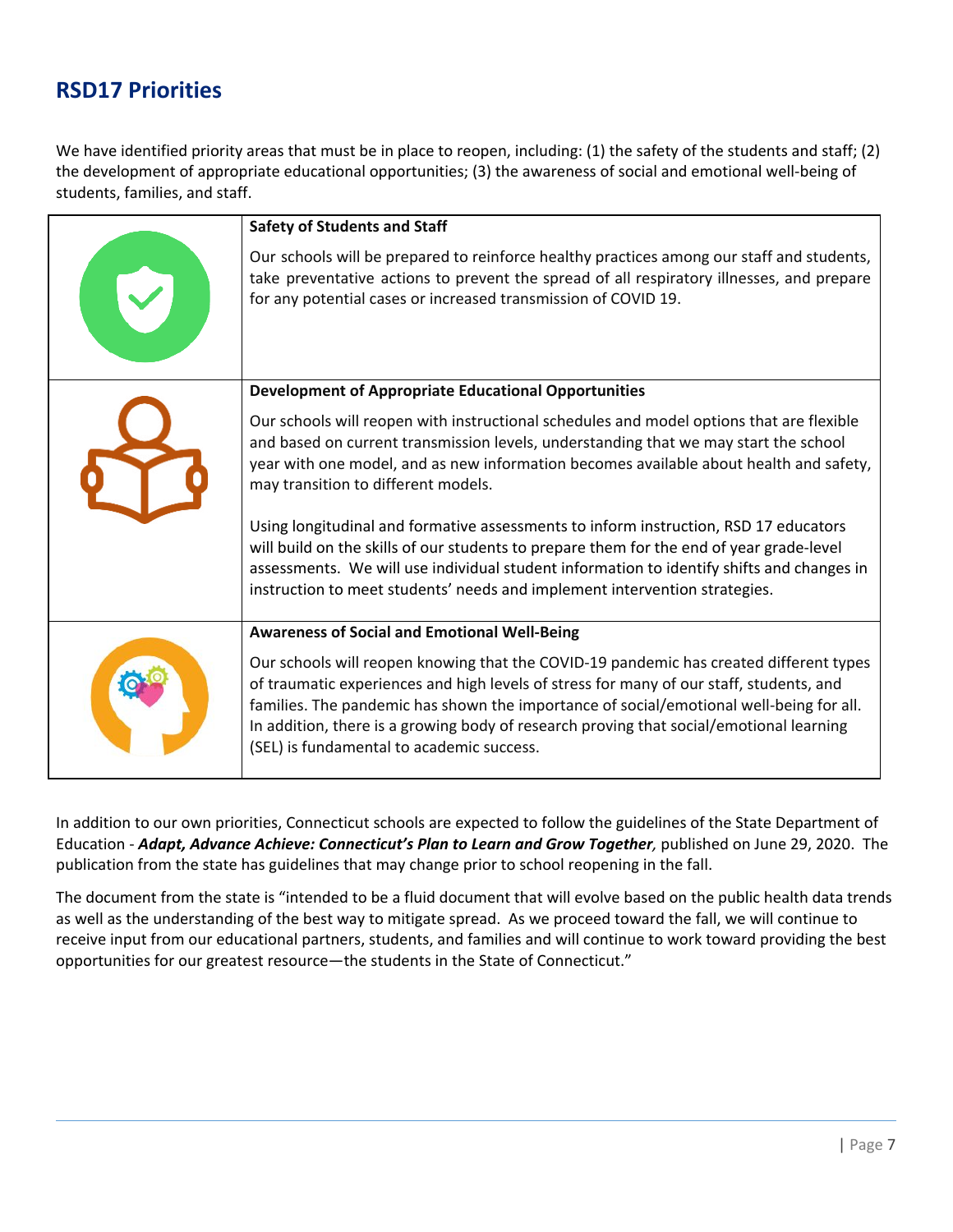## **RSD17 Priorities**

We have identified priority areas that must be in place to reopen, including: (1) the safety of the students and staff; (2) the development of appropriate educational opportunities; (3) the awareness of social and emotional well-being of students, families, and staff.

| <b>Safety of Students and Staff</b><br>Our schools will be prepared to reinforce healthy practices among our staff and students,<br>take preventative actions to prevent the spread of all respiratory illnesses, and prepare<br>for any potential cases or increased transmission of COVID 19.                                                                                                                                                                                                                                                                                                                                                                                                                                                 |
|-------------------------------------------------------------------------------------------------------------------------------------------------------------------------------------------------------------------------------------------------------------------------------------------------------------------------------------------------------------------------------------------------------------------------------------------------------------------------------------------------------------------------------------------------------------------------------------------------------------------------------------------------------------------------------------------------------------------------------------------------|
| <b>Development of Appropriate Educational Opportunities</b><br>Our schools will reopen with instructional schedules and model options that are flexible<br>and based on current transmission levels, understanding that we may start the school<br>year with one model, and as new information becomes available about health and safety,<br>may transition to different models.<br>Using longitudinal and formative assessments to inform instruction, RSD 17 educators<br>will build on the skills of our students to prepare them for the end of year grade-level<br>assessments. We will use individual student information to identify shifts and changes in<br>instruction to meet students' needs and implement intervention strategies. |
| <b>Awareness of Social and Emotional Well-Being</b><br>Our schools will reopen knowing that the COVID-19 pandemic has created different types<br>of traumatic experiences and high levels of stress for many of our staff, students, and<br>families. The pandemic has shown the importance of social/emotional well-being for all.<br>In addition, there is a growing body of research proving that social/emotional learning<br>(SEL) is fundamental to academic success.                                                                                                                                                                                                                                                                     |

In addition to our own priorities, Connecticut schools are expected to follow the guidelines of the State Department of Education - *Adapt, Advance Achieve: Connecticut's Plan to Learn and Grow Together,* published on June 29, 2020. The publication from the state has guidelines that may change prior to school reopening in the fall.

The document from the state is "intended to be a fluid document that will evolve based on the public health data trends as well as the understanding of the best way to mitigate spread. As we proceed toward the fall, we will continue to receive input from our educational partners, students, and families and will continue to work toward providing the best opportunities for our greatest resource—the students in the State of Connecticut."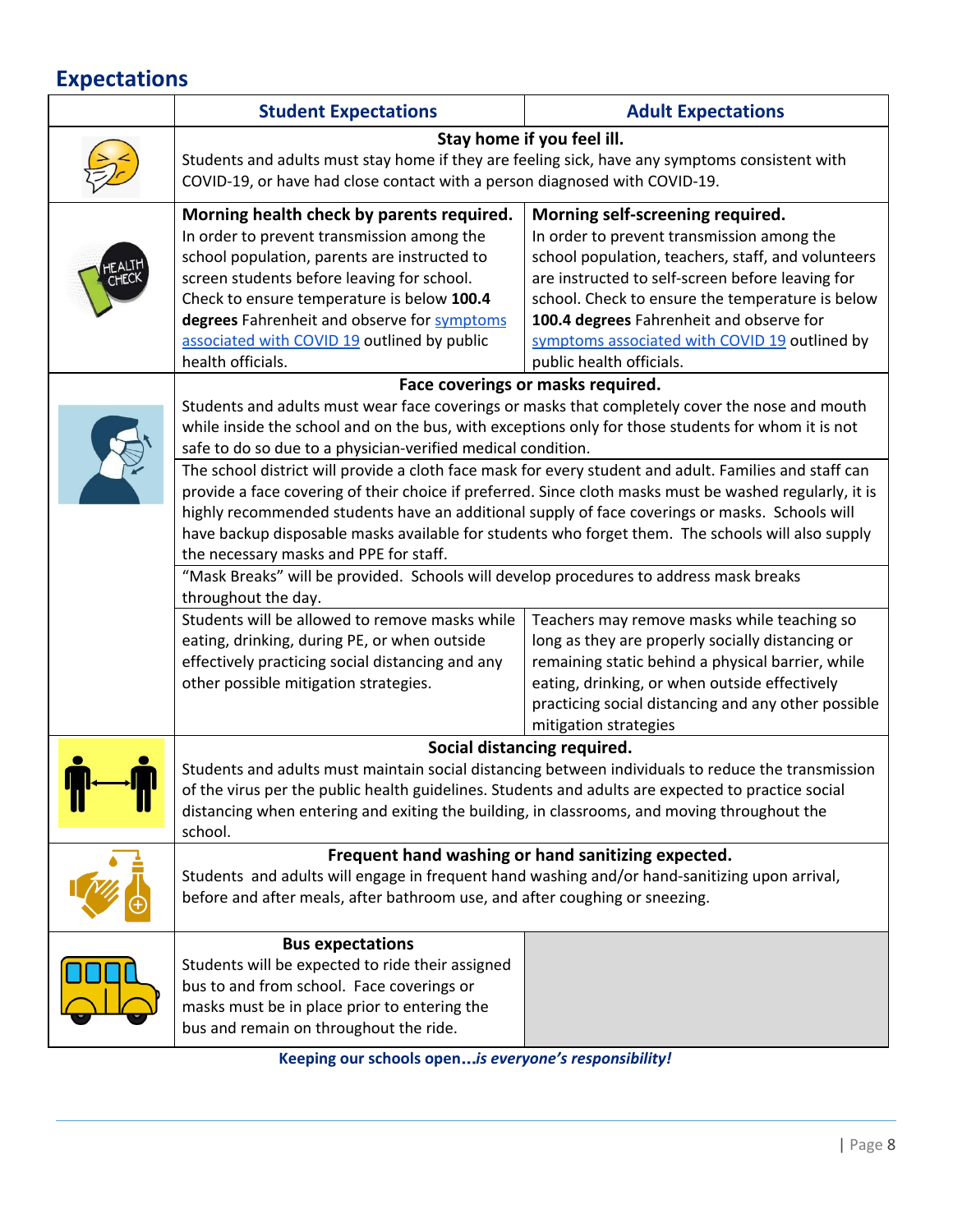# **Expectations**

|         | <b>Student Expectations</b>                                                                                                                                                                                                                                                                                                                                                                                                                                        | <b>Adult Expectations</b>                                                                                                                                                                                                                                                                                                                                             |
|---------|--------------------------------------------------------------------------------------------------------------------------------------------------------------------------------------------------------------------------------------------------------------------------------------------------------------------------------------------------------------------------------------------------------------------------------------------------------------------|-----------------------------------------------------------------------------------------------------------------------------------------------------------------------------------------------------------------------------------------------------------------------------------------------------------------------------------------------------------------------|
|         | Stay home if you feel ill.<br>Students and adults must stay home if they are feeling sick, have any symptoms consistent with<br>COVID-19, or have had close contact with a person diagnosed with COVID-19.                                                                                                                                                                                                                                                         |                                                                                                                                                                                                                                                                                                                                                                       |
|         | Morning health check by parents required.<br>In order to prevent transmission among the<br>school population, parents are instructed to<br>screen students before leaving for school.<br>Check to ensure temperature is below 100.4<br>degrees Fahrenheit and observe for symptoms<br>associated with COVID 19 outlined by public<br>health officials.                                                                                                             | Morning self-screening required.<br>In order to prevent transmission among the<br>school population, teachers, staff, and volunteers<br>are instructed to self-screen before leaving for<br>school. Check to ensure the temperature is below<br>100.4 degrees Fahrenheit and observe for<br>symptoms associated with COVID 19 outlined by<br>public health officials. |
|         |                                                                                                                                                                                                                                                                                                                                                                                                                                                                    | Face coverings or masks required.                                                                                                                                                                                                                                                                                                                                     |
|         | Students and adults must wear face coverings or masks that completely cover the nose and mouth<br>while inside the school and on the bus, with exceptions only for those students for whom it is not<br>safe to do so due to a physician-verified medical condition.                                                                                                                                                                                               |                                                                                                                                                                                                                                                                                                                                                                       |
|         | The school district will provide a cloth face mask for every student and adult. Families and staff can<br>provide a face covering of their choice if preferred. Since cloth masks must be washed regularly, it is<br>highly recommended students have an additional supply of face coverings or masks. Schools will<br>have backup disposable masks available for students who forget them. The schools will also supply<br>the necessary masks and PPE for staff. |                                                                                                                                                                                                                                                                                                                                                                       |
|         | "Mask Breaks" will be provided. Schools will develop procedures to address mask breaks<br>throughout the day.                                                                                                                                                                                                                                                                                                                                                      |                                                                                                                                                                                                                                                                                                                                                                       |
|         | Students will be allowed to remove masks while<br>eating, drinking, during PE, or when outside<br>effectively practicing social distancing and any<br>other possible mitigation strategies.                                                                                                                                                                                                                                                                        | Teachers may remove masks while teaching so<br>long as they are properly socially distancing or<br>remaining static behind a physical barrier, while<br>eating, drinking, or when outside effectively<br>practicing social distancing and any other possible<br>mitigation strategies                                                                                 |
|         |                                                                                                                                                                                                                                                                                                                                                                                                                                                                    | Social distancing required.                                                                                                                                                                                                                                                                                                                                           |
| U.<br>Ш | Students and adults must maintain social distancing between individuals to reduce the transmission<br>of the virus per the public health guidelines. Students and adults are expected to practice social<br>distancing when entering and exiting the building, in classrooms, and moving throughout the<br>school.                                                                                                                                                 |                                                                                                                                                                                                                                                                                                                                                                       |
|         | Frequent hand washing or hand sanitizing expected.<br>Students and adults will engage in frequent hand washing and/or hand-sanitizing upon arrival,<br>before and after meals, after bathroom use, and after coughing or sneezing.                                                                                                                                                                                                                                 |                                                                                                                                                                                                                                                                                                                                                                       |
|         | <b>Bus expectations</b><br>Students will be expected to ride their assigned<br>bus to and from school. Face coverings or<br>masks must be in place prior to entering the<br>bus and remain on throughout the ride.                                                                                                                                                                                                                                                 |                                                                                                                                                                                                                                                                                                                                                                       |

**Keeping our schools open**…*is everyone's responsibility!*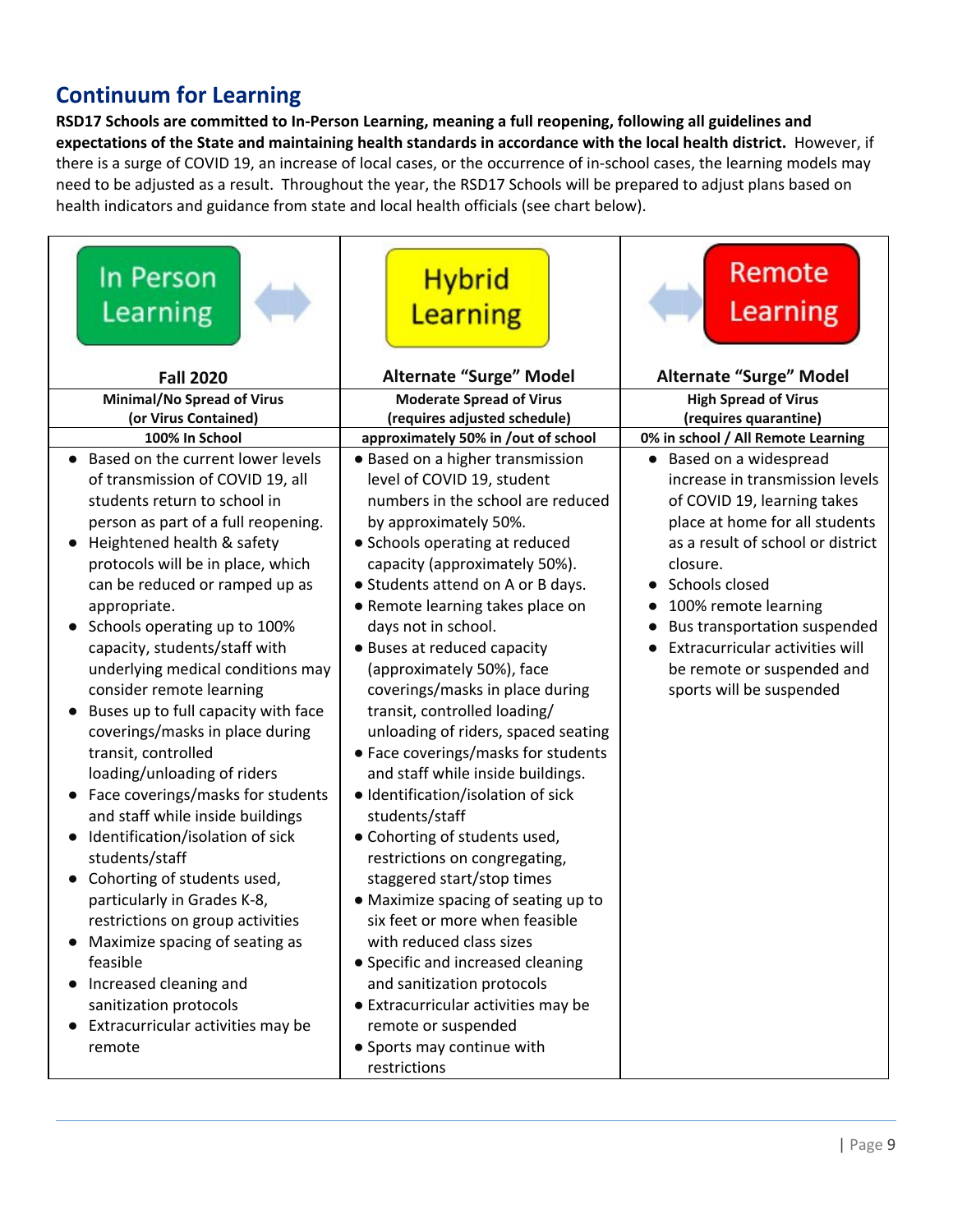## **Continuum for Learning**

**RSD17 Schools are committed to In-Person Learning, meaning a full reopening, following all guidelines and expectations of the State and maintaining health standards in accordance with the local health district.** However, if there is a surge of COVID 19, an increase of local cases, or the occurrence of in-school cases, the learning models may need to be adjusted as a result. Throughout the year, the RSD17 Schools will be prepared to adjust plans based on health indicators and guidance from state and local health officials (see chart below).

| In Person<br>Learning                                                                                                                                                                                                                                                                                                                                                                                                                                                                                                                                                                                                                                                                                                                                                                                                                                                                                                     | <b>Hybrid</b><br>Learning                                                                                                                                                                                                                                                                                                                                                                                                                                                                                                                                                                                                                                                                                                                                                                                                                                                                                                                                                                                                            | Remote<br>Learning                                                                                                                                                                                                                                                                                                                                                                                   |
|---------------------------------------------------------------------------------------------------------------------------------------------------------------------------------------------------------------------------------------------------------------------------------------------------------------------------------------------------------------------------------------------------------------------------------------------------------------------------------------------------------------------------------------------------------------------------------------------------------------------------------------------------------------------------------------------------------------------------------------------------------------------------------------------------------------------------------------------------------------------------------------------------------------------------|--------------------------------------------------------------------------------------------------------------------------------------------------------------------------------------------------------------------------------------------------------------------------------------------------------------------------------------------------------------------------------------------------------------------------------------------------------------------------------------------------------------------------------------------------------------------------------------------------------------------------------------------------------------------------------------------------------------------------------------------------------------------------------------------------------------------------------------------------------------------------------------------------------------------------------------------------------------------------------------------------------------------------------------|------------------------------------------------------------------------------------------------------------------------------------------------------------------------------------------------------------------------------------------------------------------------------------------------------------------------------------------------------------------------------------------------------|
| <b>Fall 2020</b>                                                                                                                                                                                                                                                                                                                                                                                                                                                                                                                                                                                                                                                                                                                                                                                                                                                                                                          | <b>Alternate "Surge" Model</b>                                                                                                                                                                                                                                                                                                                                                                                                                                                                                                                                                                                                                                                                                                                                                                                                                                                                                                                                                                                                       | <b>Alternate "Surge" Model</b>                                                                                                                                                                                                                                                                                                                                                                       |
| Minimal/No Spread of Virus                                                                                                                                                                                                                                                                                                                                                                                                                                                                                                                                                                                                                                                                                                                                                                                                                                                                                                | <b>Moderate Spread of Virus</b>                                                                                                                                                                                                                                                                                                                                                                                                                                                                                                                                                                                                                                                                                                                                                                                                                                                                                                                                                                                                      | <b>High Spread of Virus</b>                                                                                                                                                                                                                                                                                                                                                                          |
| (or Virus Contained)<br>100% In School                                                                                                                                                                                                                                                                                                                                                                                                                                                                                                                                                                                                                                                                                                                                                                                                                                                                                    | (requires adjusted schedule)                                                                                                                                                                                                                                                                                                                                                                                                                                                                                                                                                                                                                                                                                                                                                                                                                                                                                                                                                                                                         | (requires quarantine)                                                                                                                                                                                                                                                                                                                                                                                |
| Based on the current lower levels<br>of transmission of COVID 19, all<br>students return to school in<br>person as part of a full reopening.<br>Heightened health & safety<br>protocols will be in place, which<br>can be reduced or ramped up as<br>appropriate.<br>Schools operating up to 100%<br>capacity, students/staff with<br>underlying medical conditions may<br>consider remote learning<br>Buses up to full capacity with face<br>coverings/masks in place during<br>transit, controlled<br>loading/unloading of riders<br>Face coverings/masks for students<br>and staff while inside buildings<br>• Identification/isolation of sick<br>students/staff<br>• Cohorting of students used,<br>particularly in Grades K-8,<br>restrictions on group activities<br>Maximize spacing of seating as<br>feasible<br>Increased cleaning and<br>sanitization protocols<br>Extracurricular activities may be<br>remote | approximately 50% in /out of school<br>• Based on a higher transmission<br>level of COVID 19, student<br>numbers in the school are reduced<br>by approximately 50%.<br>• Schools operating at reduced<br>capacity (approximately 50%).<br>• Students attend on A or B days.<br>• Remote learning takes place on<br>days not in school.<br>• Buses at reduced capacity<br>(approximately 50%), face<br>coverings/masks in place during<br>transit, controlled loading/<br>unloading of riders, spaced seating<br>• Face coverings/masks for students<br>and staff while inside buildings.<br>· Identification/isolation of sick<br>students/staff<br>• Cohorting of students used,<br>restrictions on congregating,<br>staggered start/stop times<br>• Maximize spacing of seating up to<br>six feet or more when feasible<br>with reduced class sizes<br>• Specific and increased cleaning<br>and sanitization protocols<br>• Extracurricular activities may be<br>remote or suspended<br>• Sports may continue with<br>restrictions | 0% in school / All Remote Learning<br>Based on a widespread<br>$\bullet$<br>increase in transmission levels<br>of COVID 19, learning takes<br>place at home for all students<br>as a result of school or district<br>closure.<br>Schools closed<br>100% remote learning<br>Bus transportation suspended<br>Extracurricular activities will<br>be remote or suspended and<br>sports will be suspended |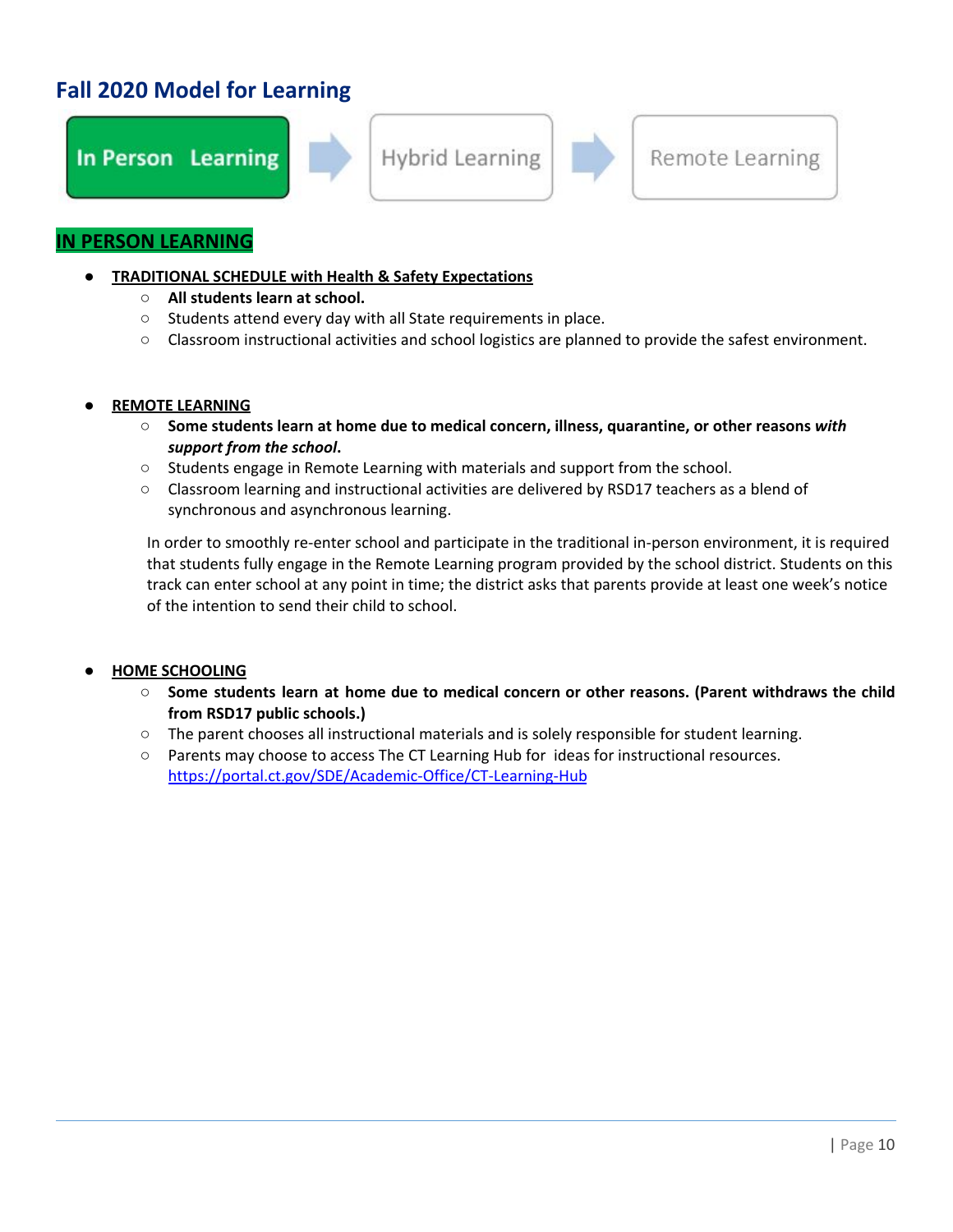## **Fall 2020 Model for Learning**



#### **IN PERSON LEARNING**

- **● TRADITIONAL SCHEDULE with Health & Safety Expectations**
	- **○ All students learn at school.**
	- Students attend every day with all State requirements in place.
	- Classroom instructional activities and school logistics are planned to provide the safest environment.

#### **● REMOTE LEARNING**

- **○ Some students learn at home due to medical concern, illness, quarantine, or other reasons** *with support from the school***.**
- Students engage in Remote Learning with materials and support from the school.
- Classroom learning and instructional activities are delivered by RSD17 teachers as a blend of synchronous and asynchronous learning.

In order to smoothly re-enter school and participate in the traditional in-person environment, it is required that students fully engage in the Remote Learning program provided by the school district. Students on this track can enter school at any point in time; the district asks that parents provide at least one week's notice of the intention to send their child to school.

#### **● HOME SCHOOLING**

- **○ Some students learn at home due to medical concern or other reasons. (Parent withdraws the child from RSD17 public schools.)**
- The parent chooses all instructional materials and is solely responsible for student learning.
- Parents may choose to access The CT Learning Hub for ideas for instructional resources. <https://portal.ct.gov/SDE/Academic-Office/CT-Learning-Hub>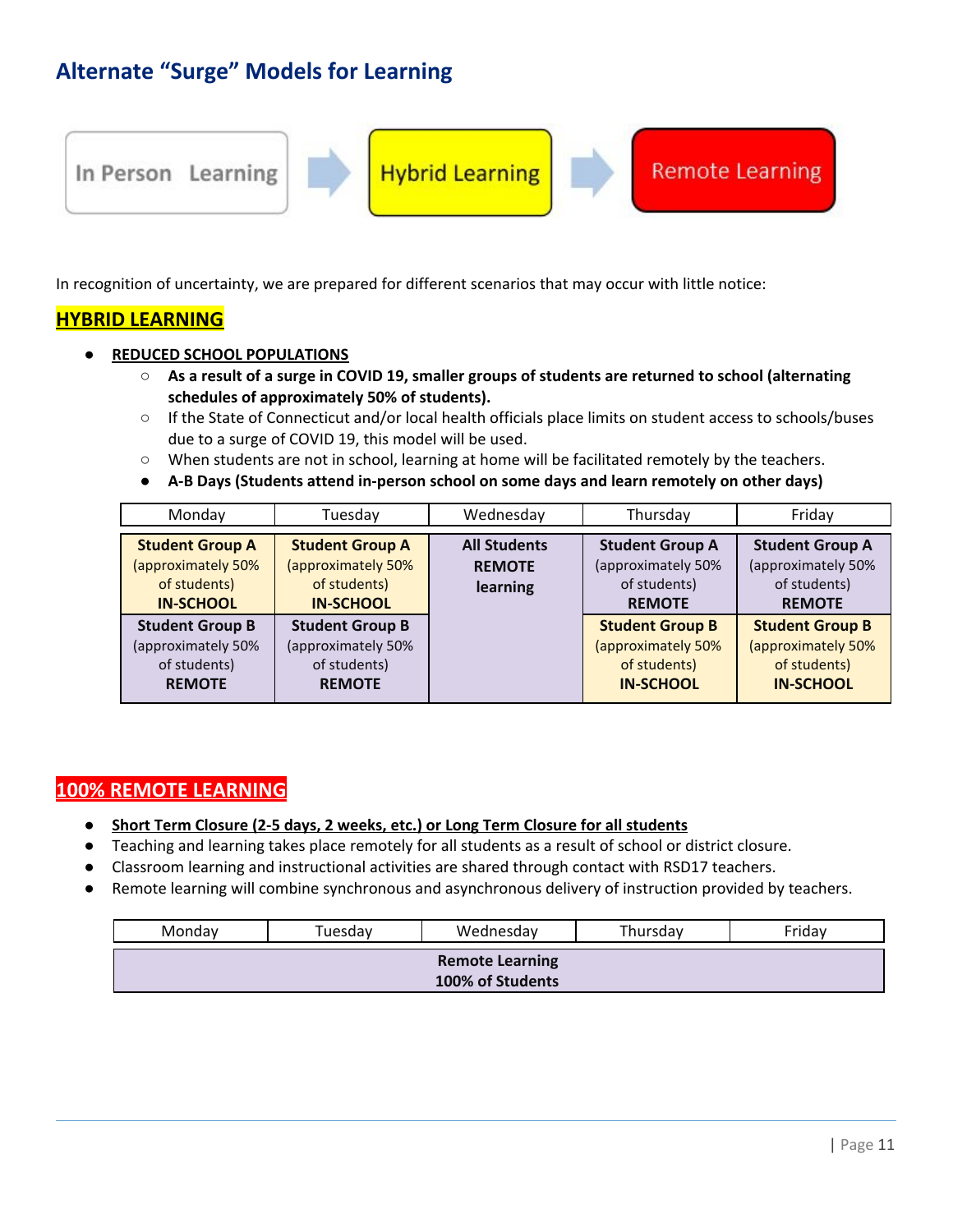## **Alternate "Surge" Models for Learning**



In recognition of uncertainty, we are prepared for different scenarios that may occur with little notice:

#### **HYBRID LEARNING**

- **● REDUCED SCHOOL POPULATIONS**
	- $\circ$  As a result of a surge in COVID 19, smaller groups of students are returned to school (alternating **schedules of approximately 50% of students).**
	- **○** If the State of Connecticut and/or local health officials place limits on student access to schools/buses due to a surge of COVID 19, this model will be used.
	- **○** When students are not in school, learning at home will be facilitated remotely by the teachers.
	- **● A-B Days (Students attend in-person school on some days and learn remotely on other days)**

| Monday                                                                           | Tuesday                                                                          | Wednesday                                        | Thursday                                                                         | Friday                                                                           |
|----------------------------------------------------------------------------------|----------------------------------------------------------------------------------|--------------------------------------------------|----------------------------------------------------------------------------------|----------------------------------------------------------------------------------|
| <b>Student Group A</b><br>(approximately 50%<br>of students)<br><b>IN-SCHOOL</b> | <b>Student Group A</b><br>(approximately 50%<br>of students)<br><b>IN-SCHOOL</b> | <b>All Students</b><br><b>REMOTE</b><br>learning | <b>Student Group A</b><br>(approximately 50%<br>of students)<br><b>REMOTE</b>    | <b>Student Group A</b><br>(approximately 50%<br>of students)<br><b>REMOTE</b>    |
| <b>Student Group B</b><br>(approximately 50%<br>of students)<br><b>REMOTE</b>    | <b>Student Group B</b><br>(approximately 50%<br>of students)<br><b>REMOTE</b>    |                                                  | <b>Student Group B</b><br>(approximately 50%<br>of students)<br><b>IN-SCHOOL</b> | <b>Student Group B</b><br>(approximately 50%<br>of students)<br><b>IN-SCHOOL</b> |

#### **100% REMOTE LEARNING**

- **● Short Term Closure (2-5 days, 2 weeks, etc.) or Long Term Closure for all students**
- Teaching and learning takes place remotely for all students as a result of school or district closure.
- **●** Classroom learning and instructional activities are shared through contact with RSD17 teachers.
- Remote learning will combine synchronous and asynchronous delivery of instruction provided by teachers.

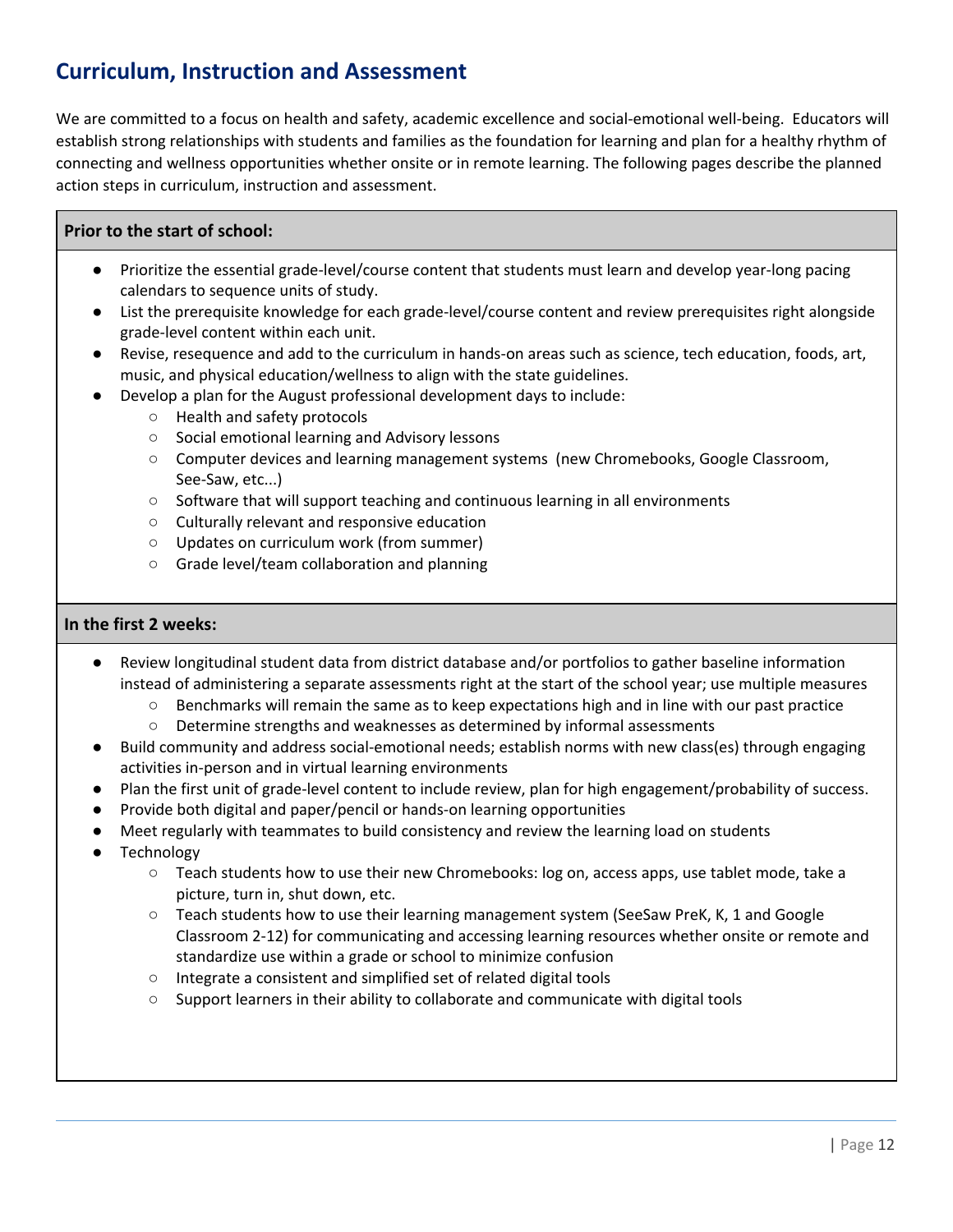## **Curriculum, Instruction and Assessment**

We are committed to a focus on health and safety, academic excellence and social-emotional well-being. Educators will establish strong relationships with students and families as the foundation for learning and plan for a healthy rhythm of connecting and wellness opportunities whether onsite or in remote learning. The following pages describe the planned action steps in curriculum, instruction and assessment.

#### **Prior to the start of school:**

- Prioritize the essential grade-level/course content that students must learn and develop year-long pacing calendars to sequence units of study.
- List the prerequisite knowledge for each grade-level/course content and review prerequisites right alongside grade-level content within each unit.
- Revise, resequence and add to the curriculum in hands-on areas such as science, tech education, foods, art, music, and physical education/wellness to align with the state guidelines.
- Develop a plan for the August professional development days to include:
	- Health and safety protocols
	- Social emotional learning and Advisory lessons
	- Computer devices and learning management systems (new Chromebooks, Google Classroom, See-Saw, etc...)
	- Software that will support teaching and continuous learning in all environments
	- Culturally relevant and responsive education
	- Updates on curriculum work (from summer)
	- Grade level/team collaboration and planning

#### **In the first 2 weeks:**

- Review longitudinal student data from district database and/or portfolios to gather baseline information instead of administering a separate assessments right at the start of the school year; use multiple measures
	- Benchmarks will remain the same as to keep expectations high and in line with our past practice
	- Determine strengths and weaknesses as determined by informal assessments
- Build community and address social-emotional needs; establish norms with new class(es) through engaging activities in-person and in virtual learning environments
- Plan the first unit of grade-level content to include review, plan for high engagement/probability of success.
- Provide both digital and paper/pencil or hands-on learning opportunities
- Meet regularly with teammates to build consistency and review the learning load on students
- Technology
	- Teach students how to use their new Chromebooks: log on, access apps, use tablet mode, take a picture, turn in, shut down, etc.
	- Teach students how to use their learning management system (SeeSaw PreK, K, 1 and Google Classroom 2-12) for communicating and accessing learning resources whether onsite or remote and standardize use within a grade or school to minimize confusion
	- Integrate a consistent and simplified set of related digital tools
	- Support learners in their ability to collaborate and communicate with digital tools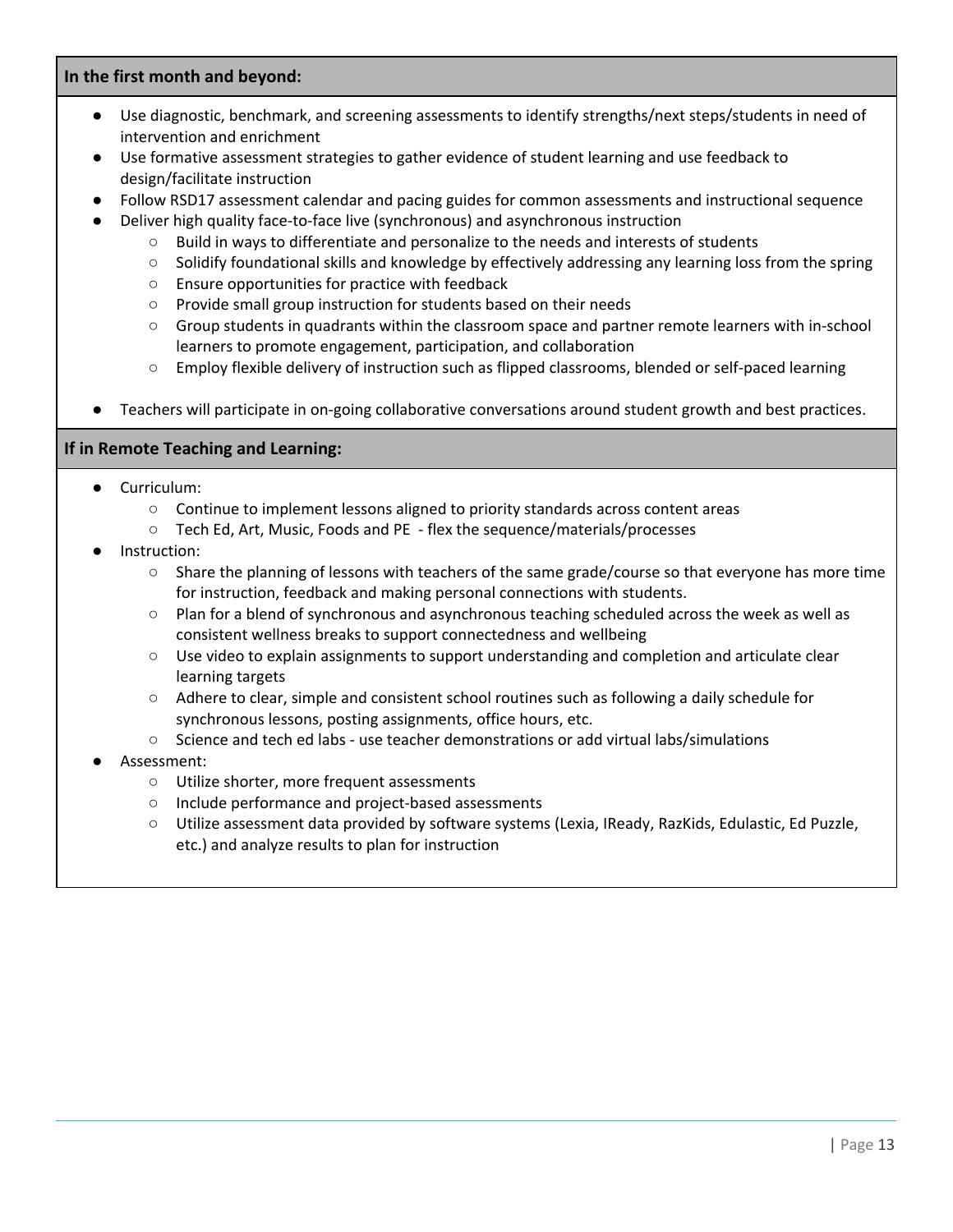#### **In the first month and beyond:**

- Use diagnostic, benchmark, and screening assessments to identify strengths/next steps/students in need of intervention and enrichment
- Use formative assessment strategies to gather evidence of student learning and use feedback to design/facilitate instruction
- Follow RSD17 assessment calendar and pacing guides for common assessments and instructional sequence
- Deliver high quality face-to-face live (synchronous) and asynchronous instruction
	- Build in ways to differentiate and personalize to the needs and interests of students
	- Solidify foundational skills and knowledge by effectively addressing any learning loss from the spring
	- Ensure opportunities for practice with feedback
	- Provide small group instruction for students based on their needs
	- Group students in quadrants within the classroom space and partner remote learners with in-school learners to promote engagement, participation, and collaboration
	- Employ flexible delivery of instruction such as flipped classrooms, blended or self-paced learning
- Teachers will participate in on-going collaborative conversations around student growth and best practices.

#### **If in Remote Teaching and Learning:**

- Curriculum:
	- Continue to implement lessons aligned to priority standards across content areas
	- Tech Ed, Art, Music, Foods and PE flex the sequence/materials/processes
- Instruction:
	- Share the planning of lessons with teachers of the same grade/course so that everyone has more time for instruction, feedback and making personal connections with students.
	- Plan for a blend of synchronous and asynchronous teaching scheduled across the week as well as consistent wellness breaks to support connectedness and wellbeing
	- Use video to explain assignments to support understanding and completion and articulate clear learning targets
	- Adhere to clear, simple and consistent school routines such as following a daily schedule for synchronous lessons, posting assignments, office hours, etc.
	- Science and tech ed labs use teacher demonstrations or add virtual labs/simulations
- Assessment:
	- Utilize shorter, more frequent assessments
	- Include performance and project-based assessments
	- Utilize assessment data provided by software systems (Lexia, IReady, RazKids, Edulastic, Ed Puzzle, etc.) and analyze results to plan for instruction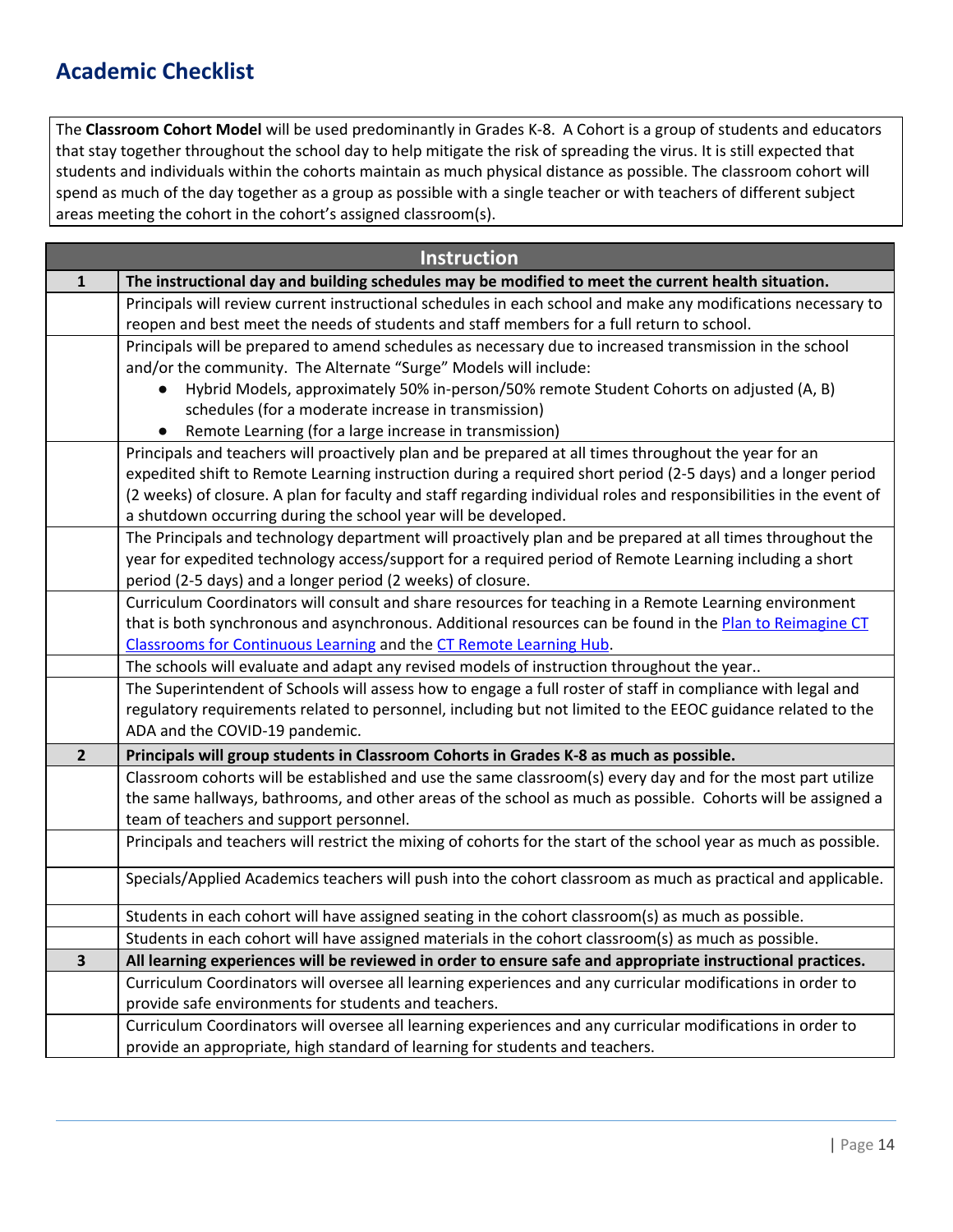## **Academic Checklist**

The **Classroom Cohort Model** will be used predominantly in Grades K-8. A Cohort is a group of students and educators that stay together throughout the school day to help mitigate the risk of spreading the virus. It is still expected that students and individuals within the cohorts maintain as much physical distance as possible. The classroom cohort will spend as much of the day together as a group as possible with a single teacher or with teachers of different subject areas meeting the cohort in the cohort's assigned classroom(s).

|                         | <b>Instruction</b>                                                                                                 |
|-------------------------|--------------------------------------------------------------------------------------------------------------------|
| 1                       | The instructional day and building schedules may be modified to meet the current health situation.                 |
|                         | Principals will review current instructional schedules in each school and make any modifications necessary to      |
|                         | reopen and best meet the needs of students and staff members for a full return to school.                          |
|                         | Principals will be prepared to amend schedules as necessary due to increased transmission in the school            |
|                         | and/or the community. The Alternate "Surge" Models will include:                                                   |
|                         | Hybrid Models, approximately 50% in-person/50% remote Student Cohorts on adjusted (A, B)<br>$\bullet$              |
|                         | schedules (for a moderate increase in transmission)                                                                |
|                         | Remote Learning (for a large increase in transmission)<br>$\bullet$                                                |
|                         | Principals and teachers will proactively plan and be prepared at all times throughout the year for an              |
|                         | expedited shift to Remote Learning instruction during a required short period (2-5 days) and a longer period       |
|                         | (2 weeks) of closure. A plan for faculty and staff regarding individual roles and responsibilities in the event of |
|                         | a shutdown occurring during the school year will be developed.                                                     |
|                         | The Principals and technology department will proactively plan and be prepared at all times throughout the         |
|                         | year for expedited technology access/support for a required period of Remote Learning including a short            |
|                         | period (2-5 days) and a longer period (2 weeks) of closure.                                                        |
|                         | Curriculum Coordinators will consult and share resources for teaching in a Remote Learning environment             |
|                         | that is both synchronous and asynchronous. Additional resources can be found in the Plan to Reimagine CT           |
|                         | Classrooms for Continuous Learning and the CT Remote Learning Hub.                                                 |
|                         | The schools will evaluate and adapt any revised models of instruction throughout the year                          |
|                         | The Superintendent of Schools will assess how to engage a full roster of staff in compliance with legal and        |
|                         | regulatory requirements related to personnel, including but not limited to the EEOC guidance related to the        |
|                         | ADA and the COVID-19 pandemic.                                                                                     |
| $\overline{2}$          | Principals will group students in Classroom Cohorts in Grades K-8 as much as possible.                             |
|                         | Classroom cohorts will be established and use the same classroom(s) every day and for the most part utilize        |
|                         | the same hallways, bathrooms, and other areas of the school as much as possible. Cohorts will be assigned a        |
|                         | team of teachers and support personnel.                                                                            |
|                         | Principals and teachers will restrict the mixing of cohorts for the start of the school year as much as possible.  |
|                         | Specials/Applied Academics teachers will push into the cohort classroom as much as practical and applicable.       |
|                         | Students in each cohort will have assigned seating in the cohort classroom(s) as much as possible.                 |
|                         | Students in each cohort will have assigned materials in the cohort classroom(s) as much as possible.               |
| $\overline{\mathbf{3}}$ | All learning experiences will be reviewed in order to ensure safe and appropriate instructional practices.         |
|                         | Curriculum Coordinators will oversee all learning experiences and any curricular modifications in order to         |
|                         | provide safe environments for students and teachers.                                                               |
|                         | Curriculum Coordinators will oversee all learning experiences and any curricular modifications in order to         |
|                         | provide an appropriate, high standard of learning for students and teachers.                                       |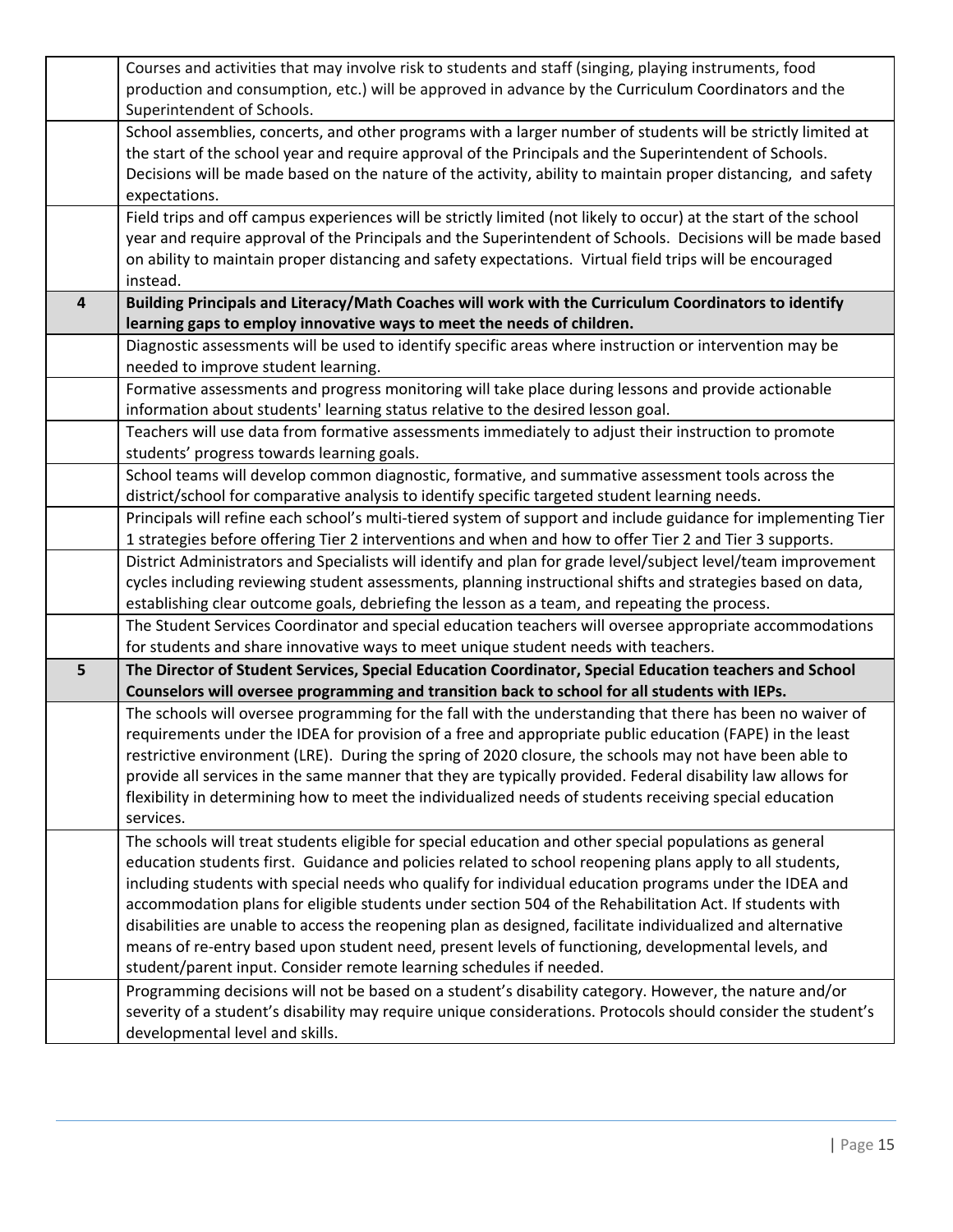|                | Courses and activities that may involve risk to students and staff (singing, playing instruments, food           |
|----------------|------------------------------------------------------------------------------------------------------------------|
|                | production and consumption, etc.) will be approved in advance by the Curriculum Coordinators and the             |
|                | Superintendent of Schools.                                                                                       |
|                | School assemblies, concerts, and other programs with a larger number of students will be strictly limited at     |
|                | the start of the school year and require approval of the Principals and the Superintendent of Schools.           |
|                | Decisions will be made based on the nature of the activity, ability to maintain proper distancing, and safety    |
|                | expectations.                                                                                                    |
|                | Field trips and off campus experiences will be strictly limited (not likely to occur) at the start of the school |
|                |                                                                                                                  |
|                | year and require approval of the Principals and the Superintendent of Schools. Decisions will be made based      |
|                | on ability to maintain proper distancing and safety expectations. Virtual field trips will be encouraged         |
|                | instead.                                                                                                         |
| $\overline{4}$ | Building Principals and Literacy/Math Coaches will work with the Curriculum Coordinators to identify             |
|                | learning gaps to employ innovative ways to meet the needs of children.                                           |
|                | Diagnostic assessments will be used to identify specific areas where instruction or intervention may be          |
|                | needed to improve student learning.                                                                              |
|                | Formative assessments and progress monitoring will take place during lessons and provide actionable              |
|                | information about students' learning status relative to the desired lesson goal.                                 |
|                | Teachers will use data from formative assessments immediately to adjust their instruction to promote             |
|                | students' progress towards learning goals.                                                                       |
|                | School teams will develop common diagnostic, formative, and summative assessment tools across the                |
|                | district/school for comparative analysis to identify specific targeted student learning needs.                   |
|                | Principals will refine each school's multi-tiered system of support and include guidance for implementing Tier   |
|                | 1 strategies before offering Tier 2 interventions and when and how to offer Tier 2 and Tier 3 supports.          |
|                |                                                                                                                  |
|                | District Administrators and Specialists will identify and plan for grade level/subject level/team improvement    |
|                | cycles including reviewing student assessments, planning instructional shifts and strategies based on data,      |
|                | establishing clear outcome goals, debriefing the lesson as a team, and repeating the process.                    |
|                | The Student Services Coordinator and special education teachers will oversee appropriate accommodations          |
|                | for students and share innovative ways to meet unique student needs with teachers.                               |
| 5              | The Director of Student Services, Special Education Coordinator, Special Education teachers and School           |
|                | Counselors will oversee programming and transition back to school for all students with IEPs.                    |
|                | The schools will oversee programming for the fall with the understanding that there has been no waiver of        |
|                | requirements under the IDEA for provision of a free and appropriate public education (FAPE) in the least         |
|                | restrictive environment (LRE). During the spring of 2020 closure, the schools may not have been able to          |
|                | provide all services in the same manner that they are typically provided. Federal disability law allows for      |
|                | flexibility in determining how to meet the individualized needs of students receiving special education          |
|                | services.                                                                                                        |
|                | The schools will treat students eligible for special education and other special populations as general          |
|                | education students first. Guidance and policies related to school reopening plans apply to all students,         |
|                | including students with special needs who qualify for individual education programs under the IDEA and           |
|                | accommodation plans for eligible students under section 504 of the Rehabilitation Act. If students with          |
|                | disabilities are unable to access the reopening plan as designed, facilitate individualized and alternative      |
|                | means of re-entry based upon student need, present levels of functioning, developmental levels, and              |
|                | student/parent input. Consider remote learning schedules if needed.                                              |
|                | Programming decisions will not be based on a student's disability category. However, the nature and/or           |
|                | severity of a student's disability may require unique considerations. Protocols should consider the student's    |
|                |                                                                                                                  |
|                | developmental level and skills.                                                                                  |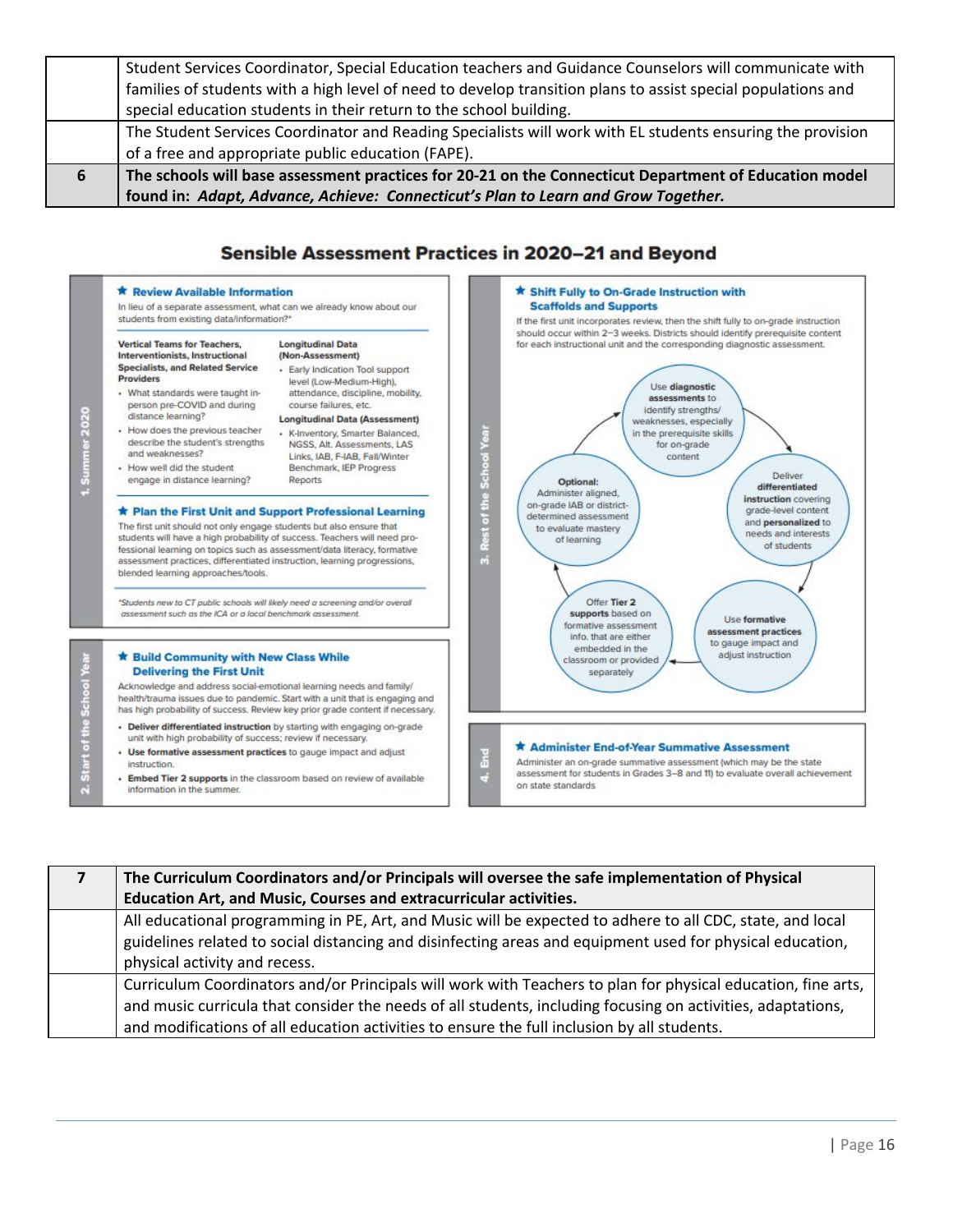|   | Student Services Coordinator, Special Education teachers and Guidance Counselors will communicate with       |
|---|--------------------------------------------------------------------------------------------------------------|
|   |                                                                                                              |
|   | families of students with a high level of need to develop transition plans to assist special populations and |
|   | special education students in their return to the school building.                                           |
|   | The Student Services Coordinator and Reading Specialists will work with EL students ensuring the provision   |
|   | of a free and appropriate public education (FAPE).                                                           |
| 6 | The schools will base assessment practices for 20-21 on the Connecticut Department of Education model        |
|   | found in: Adapt, Advance, Achieve: Connecticut's Plan to Learn and Grow Together.                            |

#### Sensible Assessment Practices in 2020-21 and Beyond



| The Curriculum Coordinators and/or Principals will oversee the safe implementation of Physical                                                                                                                                                                                                                             |
|----------------------------------------------------------------------------------------------------------------------------------------------------------------------------------------------------------------------------------------------------------------------------------------------------------------------------|
| Education Art, and Music, Courses and extracurricular activities.                                                                                                                                                                                                                                                          |
| All educational programming in PE, Art, and Music will be expected to adhere to all CDC, state, and local<br>guidelines related to social distancing and disinfecting areas and equipment used for physical education,<br>physical activity and recess.                                                                    |
| Curriculum Coordinators and/or Principals will work with Teachers to plan for physical education, fine arts,<br>and music curricula that consider the needs of all students, including focusing on activities, adaptations,<br>and modifications of all education activities to ensure the full inclusion by all students. |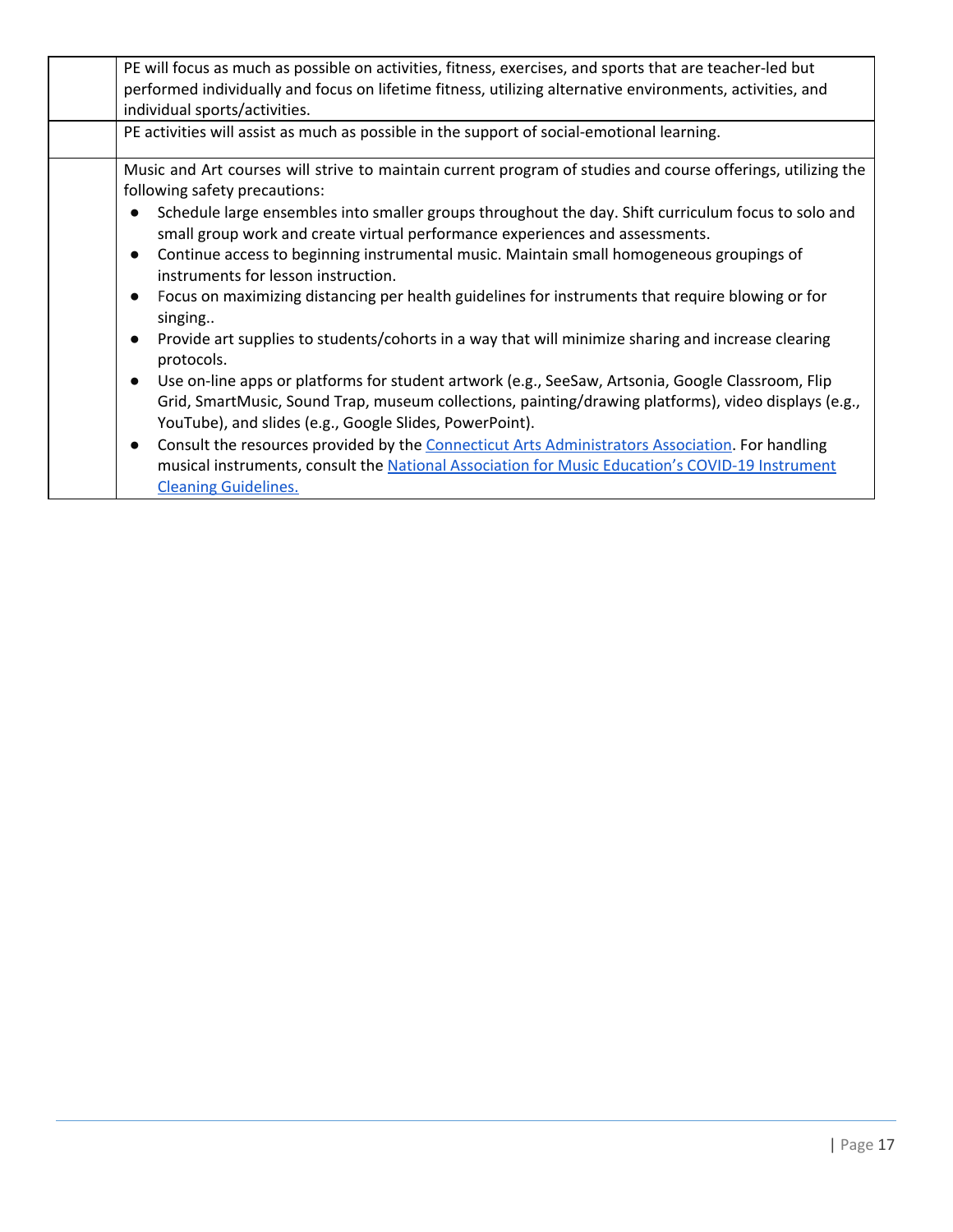|                                     | PE will focus as much as possible on activities, fitness, exercises, and sports that are teacher-led but<br>performed individually and focus on lifetime fitness, utilizing alternative environments, activities, and<br>individual sports/activities.                                                                                                                                                                                                                                                                                                                                                                        |
|-------------------------------------|-------------------------------------------------------------------------------------------------------------------------------------------------------------------------------------------------------------------------------------------------------------------------------------------------------------------------------------------------------------------------------------------------------------------------------------------------------------------------------------------------------------------------------------------------------------------------------------------------------------------------------|
|                                     | PE activities will assist as much as possible in the support of social-emotional learning.                                                                                                                                                                                                                                                                                                                                                                                                                                                                                                                                    |
| $\bullet$<br>$\bullet$              | Music and Art courses will strive to maintain current program of studies and course offerings, utilizing the<br>following safety precautions:<br>Schedule large ensembles into smaller groups throughout the day. Shift curriculum focus to solo and<br>small group work and create virtual performance experiences and assessments.<br>Continue access to beginning instrumental music. Maintain small homogeneous groupings of<br>instruments for lesson instruction.<br>Focus on maximizing distancing per health guidelines for instruments that require blowing or for<br>singing                                        |
| $\bullet$<br>$\bullet$<br>$\bullet$ | Provide art supplies to students/cohorts in a way that will minimize sharing and increase clearing<br>protocols.<br>Use on-line apps or platforms for student artwork (e.g., SeeSaw, Artsonia, Google Classroom, Flip<br>Grid, SmartMusic, Sound Trap, museum collections, painting/drawing platforms), video displays (e.g.,<br>YouTube), and slides (e.g., Google Slides, PowerPoint).<br>Consult the resources provided by the Connecticut Arts Administrators Association. For handling<br>musical instruments, consult the National Association for Music Education's COVID-19 Instrument<br><b>Cleaning Guidelines.</b> |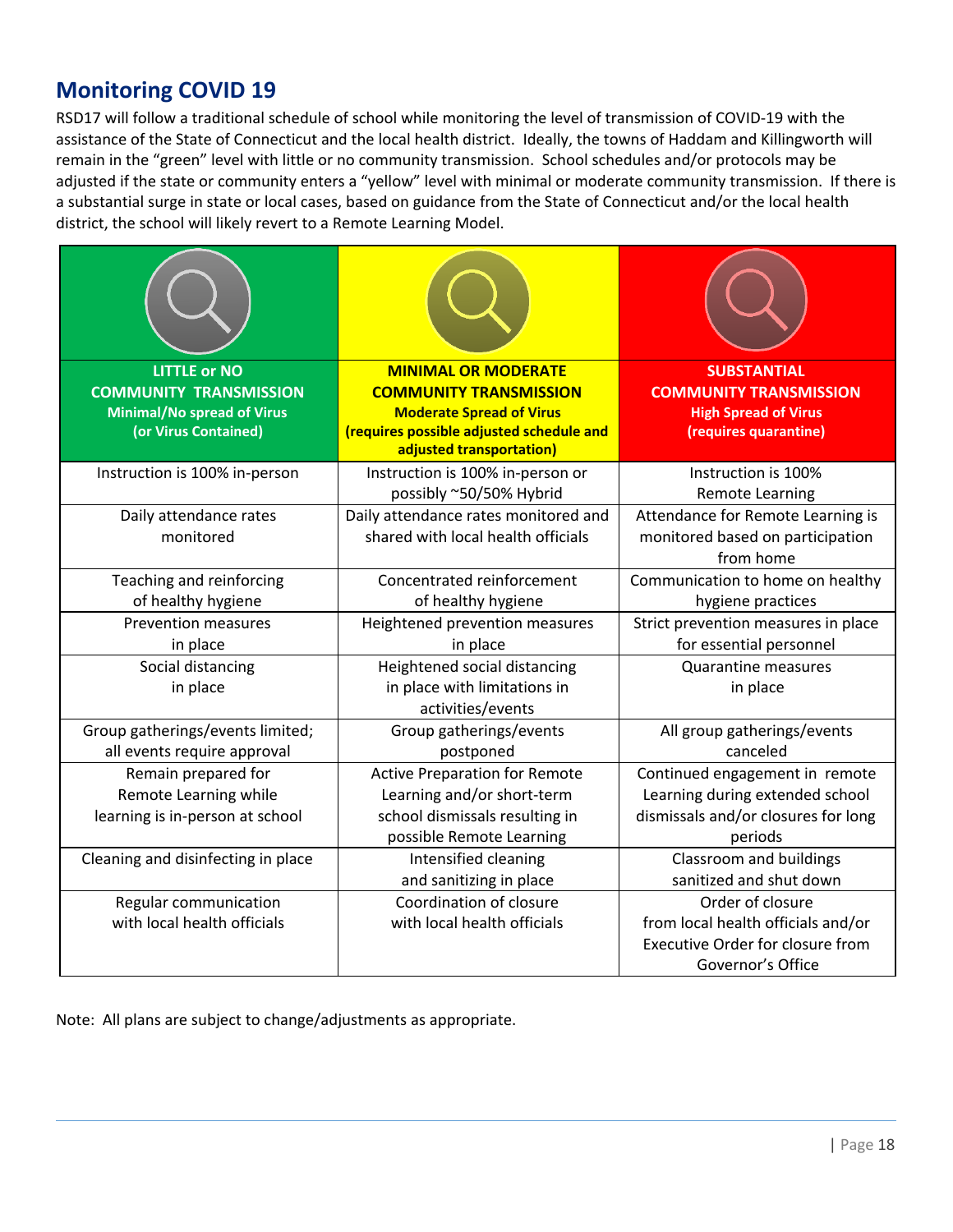## **Monitoring COVID 19**

RSD17 will follow a traditional schedule of school while monitoring the level of transmission of COVID-19 with the assistance of the State of Connecticut and the local health district. Ideally, the towns of Haddam and Killingworth will remain in the "green" level with little or no community transmission. School schedules and/or protocols may be adjusted if the state or community enters a "yellow" level with minimal or moderate community transmission. If there is a substantial surge in state or local cases, based on guidance from the State of Connecticut and/or the local health district, the school will likely revert to a Remote Learning Model.

| <b>LITTLE or NO</b><br><b>COMMUNITY TRANSMISSION</b><br><b>Minimal/No spread of Virus</b><br>(or Virus Contained) | <b>MINIMAL OR MODERATE</b><br><b>COMMUNITY TRANSMISSION</b><br><b>Moderate Spread of Virus</b><br>(requires possible adjusted schedule and<br>adjusted transportation) | <b>SUBSTANTIAL</b><br><b>COMMUNITY TRANSMISSION</b><br><b>High Spread of Virus</b><br>(requires quarantine)            |
|-------------------------------------------------------------------------------------------------------------------|------------------------------------------------------------------------------------------------------------------------------------------------------------------------|------------------------------------------------------------------------------------------------------------------------|
| Instruction is 100% in-person                                                                                     | Instruction is 100% in-person or<br>possibly ~50/50% Hybrid                                                                                                            | Instruction is 100%<br><b>Remote Learning</b>                                                                          |
| Daily attendance rates<br>monitored                                                                               | Daily attendance rates monitored and<br>shared with local health officials                                                                                             | Attendance for Remote Learning is<br>monitored based on participation<br>from home                                     |
| Teaching and reinforcing<br>of healthy hygiene                                                                    | Concentrated reinforcement<br>of healthy hygiene                                                                                                                       | Communication to home on healthy<br>hygiene practices                                                                  |
| <b>Prevention measures</b><br>in place                                                                            | Heightened prevention measures<br>in place                                                                                                                             | Strict prevention measures in place<br>for essential personnel                                                         |
| Social distancing<br>in place                                                                                     | Heightened social distancing<br>in place with limitations in<br>activities/events                                                                                      | <b>Quarantine measures</b><br>in place                                                                                 |
| Group gatherings/events limited;<br>all events require approval                                                   | Group gatherings/events<br>postponed                                                                                                                                   | All group gatherings/events<br>canceled                                                                                |
| Remain prepared for<br>Remote Learning while<br>learning is in-person at school                                   | <b>Active Preparation for Remote</b><br>Learning and/or short-term<br>school dismissals resulting in<br>possible Remote Learning                                       | Continued engagement in remote<br>Learning during extended school<br>dismissals and/or closures for long<br>periods    |
| Cleaning and disinfecting in place                                                                                | Intensified cleaning<br>and sanitizing in place                                                                                                                        | Classroom and buildings<br>sanitized and shut down                                                                     |
| Regular communication<br>with local health officials                                                              | Coordination of closure<br>with local health officials                                                                                                                 | Order of closure<br>from local health officials and/or<br><b>Executive Order for closure from</b><br>Governor's Office |

Note: All plans are subject to change/adjustments as appropriate.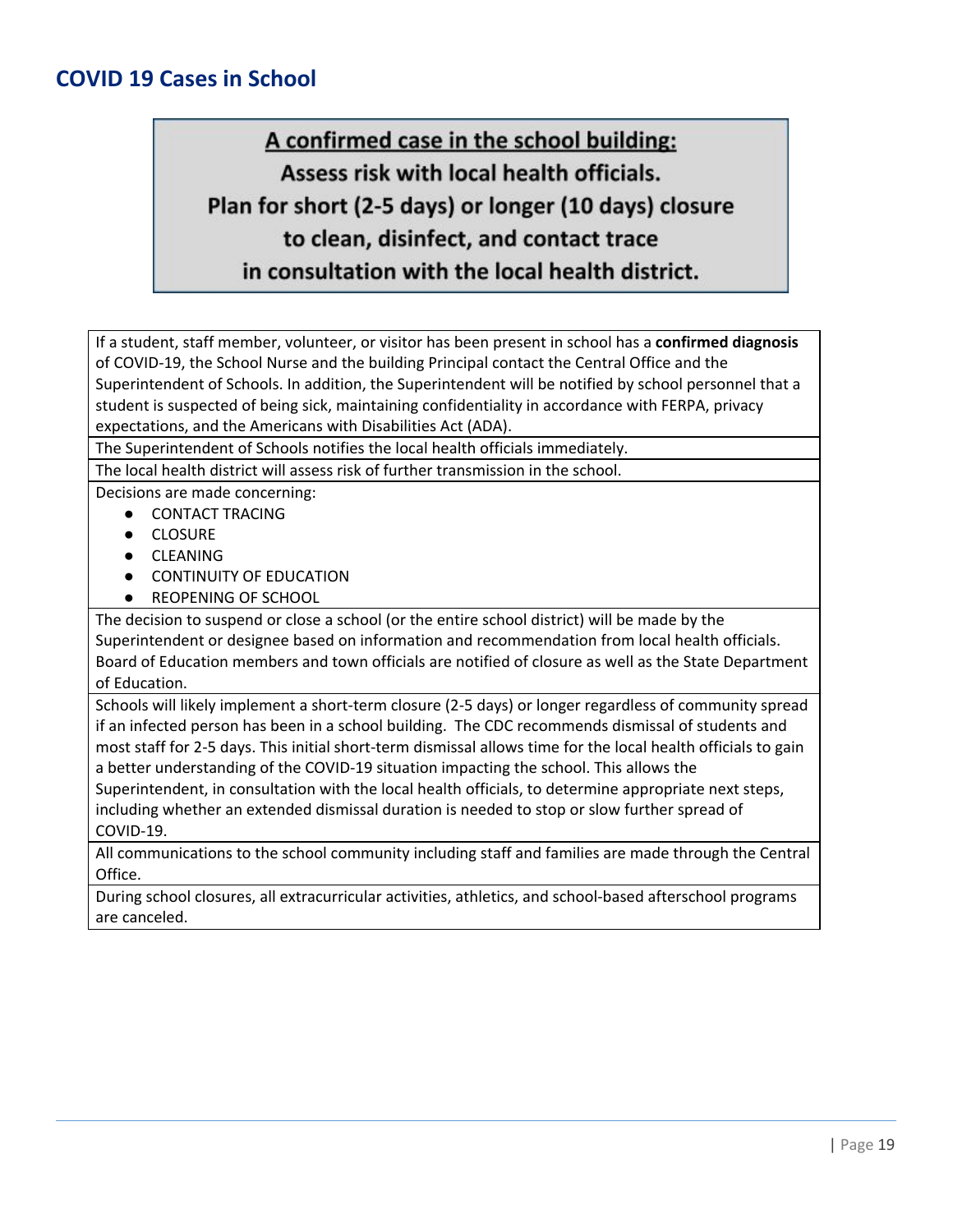## **COVID 19 Cases in School**

# A confirmed case in the school building: Assess risk with local health officials. Plan for short (2-5 days) or longer (10 days) closure to clean, disinfect, and contact trace in consultation with the local health district.

If a student, staff member, volunteer, or visitor has been present in school has a **confirmed diagnosis** of COVID-19, the School Nurse and the building Principal contact the Central Office and the Superintendent of Schools. In addition, the Superintendent will be notified by school personnel that a student is suspected of being sick, maintaining confidentiality in accordance with FERPA, privacy expectations, and the Americans with Disabilities Act (ADA).

The Superintendent of Schools notifies the local health officials immediately.

The local health district will assess risk of further transmission in the school.

Decisions are made concerning:

- CONTACT TRACING
- CLOSURE
- CLEANING
- **CONTINUITY OF EDUCATION**
- REOPENING OF SCHOOL

The decision to suspend or close a school (or the entire school district) will be made by the Superintendent or designee based on information and recommendation from local health officials. Board of Education members and town officials are notified of closure as well as the State Department of Education.

Schools will likely implement a short-term closure (2-5 days) or longer regardless of community spread if an infected person has been in a school building. The CDC recommends dismissal of students and most staff for 2-5 days. This initial short-term dismissal allows time for the local health officials to gain a better understanding of the COVID-19 situation impacting the school. This allows the Superintendent, in consultation with the local health officials, to determine appropriate next steps,

including whether an extended dismissal duration is needed to stop or slow further spread of COVID-19.

All communications to the school community including staff and families are made through the Central Office.

During school closures, all extracurricular activities, athletics, and school-based afterschool programs are canceled.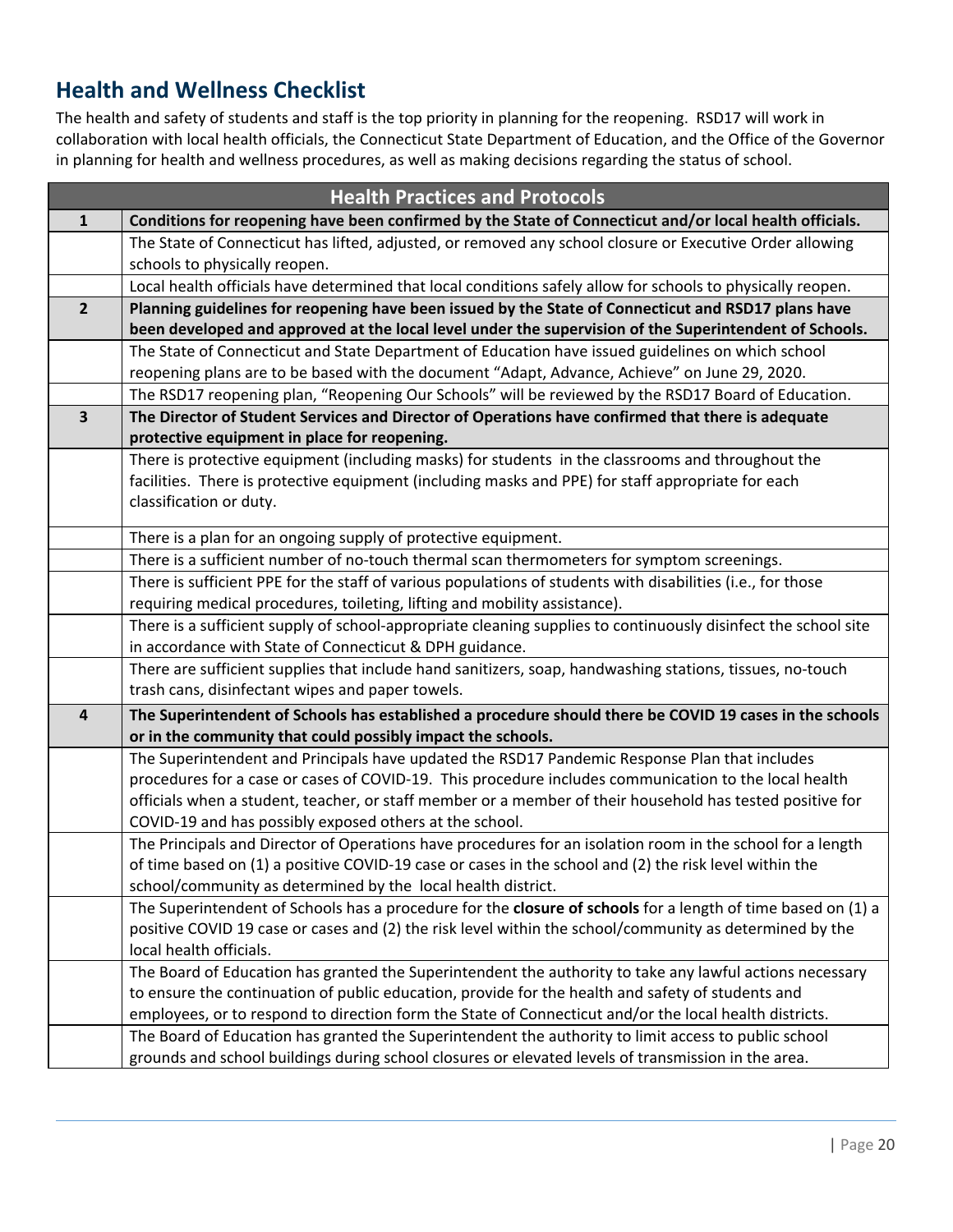## **Health and Wellness Checklist**

The health and safety of students and staff is the top priority in planning for the reopening. RSD17 will work in collaboration with local health officials, the Connecticut State Department of Education, and the Office of the Governor in planning for health and wellness procedures, as well as making decisions regarding the status of school.

| <b>Health Practices and Protocols</b> |                                                                                                                |
|---------------------------------------|----------------------------------------------------------------------------------------------------------------|
| 1                                     | Conditions for reopening have been confirmed by the State of Connecticut and/or local health officials.        |
|                                       | The State of Connecticut has lifted, adjusted, or removed any school closure or Executive Order allowing       |
|                                       | schools to physically reopen.                                                                                  |
|                                       | Local health officials have determined that local conditions safely allow for schools to physically reopen.    |
| $2^{\circ}$                           | Planning guidelines for reopening have been issued by the State of Connecticut and RSD17 plans have            |
|                                       | been developed and approved at the local level under the supervision of the Superintendent of Schools.         |
|                                       | The State of Connecticut and State Department of Education have issued guidelines on which school              |
|                                       | reopening plans are to be based with the document "Adapt, Advance, Achieve" on June 29, 2020.                  |
|                                       | The RSD17 reopening plan, "Reopening Our Schools" will be reviewed by the RSD17 Board of Education.            |
| $\overline{\mathbf{3}}$               | The Director of Student Services and Director of Operations have confirmed that there is adequate              |
|                                       | protective equipment in place for reopening.                                                                   |
|                                       | There is protective equipment (including masks) for students in the classrooms and throughout the              |
|                                       | facilities. There is protective equipment (including masks and PPE) for staff appropriate for each             |
|                                       | classification or duty.                                                                                        |
|                                       | There is a plan for an ongoing supply of protective equipment.                                                 |
|                                       | There is a sufficient number of no-touch thermal scan thermometers for symptom screenings.                     |
|                                       | There is sufficient PPE for the staff of various populations of students with disabilities (i.e., for those    |
|                                       | requiring medical procedures, toileting, lifting and mobility assistance).                                     |
|                                       | There is a sufficient supply of school-appropriate cleaning supplies to continuously disinfect the school site |
|                                       | in accordance with State of Connecticut & DPH guidance.                                                        |
|                                       | There are sufficient supplies that include hand sanitizers, soap, handwashing stations, tissues, no-touch      |
|                                       | trash cans, disinfectant wipes and paper towels.                                                               |
| 4                                     | The Superintendent of Schools has established a procedure should there be COVID 19 cases in the schools        |
|                                       | or in the community that could possibly impact the schools.                                                    |
|                                       | The Superintendent and Principals have updated the RSD17 Pandemic Response Plan that includes                  |
|                                       | procedures for a case or cases of COVID-19. This procedure includes communication to the local health          |
|                                       | officials when a student, teacher, or staff member or a member of their household has tested positive for      |
|                                       | COVID-19 and has possibly exposed others at the school.                                                        |
|                                       | The Principals and Director of Operations have procedures for an isolation room in the school for a length     |
|                                       | of time based on (1) a positive COVID-19 case or cases in the school and (2) the risk level within the         |
|                                       | school/community as determined by the local health district.                                                   |
|                                       | The Superintendent of Schools has a procedure for the closure of schools for a length of time based on (1) a   |
|                                       | positive COVID 19 case or cases and (2) the risk level within the school/community as determined by the        |
|                                       | local health officials.                                                                                        |
|                                       | The Board of Education has granted the Superintendent the authority to take any lawful actions necessary       |
|                                       | to ensure the continuation of public education, provide for the health and safety of students and              |
|                                       | employees, or to respond to direction form the State of Connecticut and/or the local health districts.         |
|                                       | The Board of Education has granted the Superintendent the authority to limit access to public school           |
|                                       | grounds and school buildings during school closures or elevated levels of transmission in the area.            |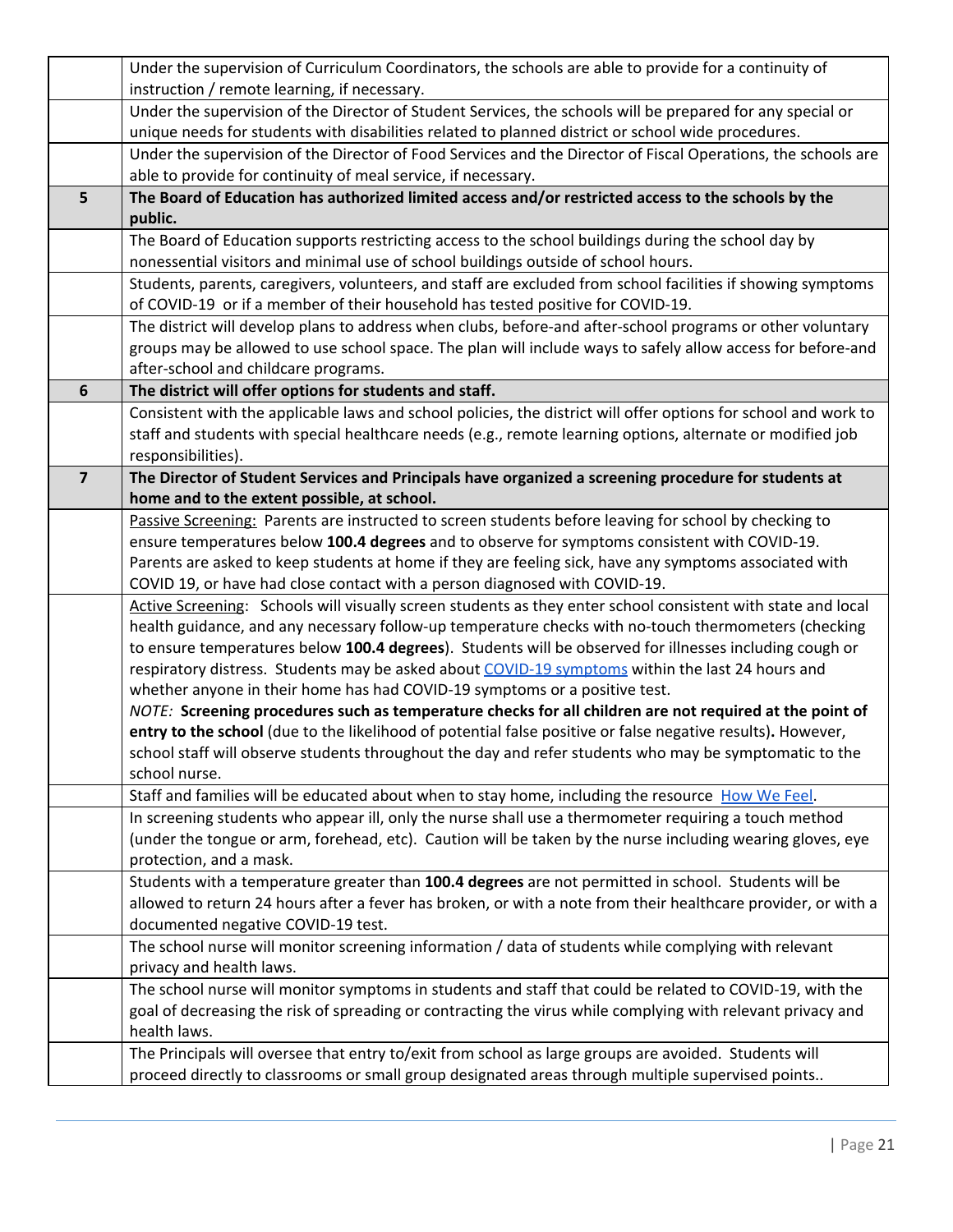|                         | Under the supervision of Curriculum Coordinators, the schools are able to provide for a continuity of                                                                                                                                                             |
|-------------------------|-------------------------------------------------------------------------------------------------------------------------------------------------------------------------------------------------------------------------------------------------------------------|
|                         | instruction / remote learning, if necessary.                                                                                                                                                                                                                      |
|                         | Under the supervision of the Director of Student Services, the schools will be prepared for any special or<br>unique needs for students with disabilities related to planned district or school wide procedures.                                                  |
|                         | Under the supervision of the Director of Food Services and the Director of Fiscal Operations, the schools are                                                                                                                                                     |
|                         | able to provide for continuity of meal service, if necessary.                                                                                                                                                                                                     |
| 5                       | The Board of Education has authorized limited access and/or restricted access to the schools by the<br>public.                                                                                                                                                    |
|                         | The Board of Education supports restricting access to the school buildings during the school day by<br>nonessential visitors and minimal use of school buildings outside of school hours.                                                                         |
|                         | Students, parents, caregivers, volunteers, and staff are excluded from school facilities if showing symptoms<br>of COVID-19 or if a member of their household has tested positive for COVID-19.                                                                   |
|                         | The district will develop plans to address when clubs, before-and after-school programs or other voluntary<br>groups may be allowed to use school space. The plan will include ways to safely allow access for before-and<br>after-school and childcare programs. |
| 6                       | The district will offer options for students and staff.                                                                                                                                                                                                           |
|                         | Consistent with the applicable laws and school policies, the district will offer options for school and work to<br>staff and students with special healthcare needs (e.g., remote learning options, alternate or modified job<br>responsibilities).               |
| $\overline{\mathbf{z}}$ | The Director of Student Services and Principals have organized a screening procedure for students at<br>home and to the extent possible, at school.                                                                                                               |
|                         | Passive Screening: Parents are instructed to screen students before leaving for school by checking to                                                                                                                                                             |
|                         | ensure temperatures below 100.4 degrees and to observe for symptoms consistent with COVID-19.                                                                                                                                                                     |
|                         | Parents are asked to keep students at home if they are feeling sick, have any symptoms associated with                                                                                                                                                            |
|                         | COVID 19, or have had close contact with a person diagnosed with COVID-19.                                                                                                                                                                                        |
|                         | Active Screening: Schools will visually screen students as they enter school consistent with state and local                                                                                                                                                      |
|                         | health guidance, and any necessary follow-up temperature checks with no-touch thermometers (checking                                                                                                                                                              |
|                         | to ensure temperatures below 100.4 degrees). Students will be observed for illnesses including cough or                                                                                                                                                           |
|                         | respiratory distress. Students may be asked about COVID-19 symptoms within the last 24 hours and<br>whether anyone in their home has had COVID-19 symptoms or a positive test.                                                                                    |
|                         | NOTE: Screening procedures such as temperature checks for all children are not required at the point of                                                                                                                                                           |
|                         | entry to the school (due to the likelihood of potential false positive or false negative results). However,                                                                                                                                                       |
|                         | school staff will observe students throughout the day and refer students who may be symptomatic to the                                                                                                                                                            |
|                         | school nurse.                                                                                                                                                                                                                                                     |
|                         | Staff and families will be educated about when to stay home, including the resource How We Feel.                                                                                                                                                                  |
|                         | In screening students who appear ill, only the nurse shall use a thermometer requiring a touch method                                                                                                                                                             |
|                         | (under the tongue or arm, forehead, etc). Caution will be taken by the nurse including wearing gloves, eye                                                                                                                                                        |
|                         | protection, and a mask.                                                                                                                                                                                                                                           |
|                         | Students with a temperature greater than 100.4 degrees are not permitted in school. Students will be                                                                                                                                                              |
|                         | allowed to return 24 hours after a fever has broken, or with a note from their healthcare provider, or with a                                                                                                                                                     |
|                         | documented negative COVID-19 test.<br>The school nurse will monitor screening information / data of students while complying with relevant                                                                                                                        |
|                         | privacy and health laws.                                                                                                                                                                                                                                          |
|                         | The school nurse will monitor symptoms in students and staff that could be related to COVID-19, with the                                                                                                                                                          |
|                         | goal of decreasing the risk of spreading or contracting the virus while complying with relevant privacy and<br>health laws.                                                                                                                                       |
|                         | The Principals will oversee that entry to/exit from school as large groups are avoided. Students will                                                                                                                                                             |
|                         | proceed directly to classrooms or small group designated areas through multiple supervised points                                                                                                                                                                 |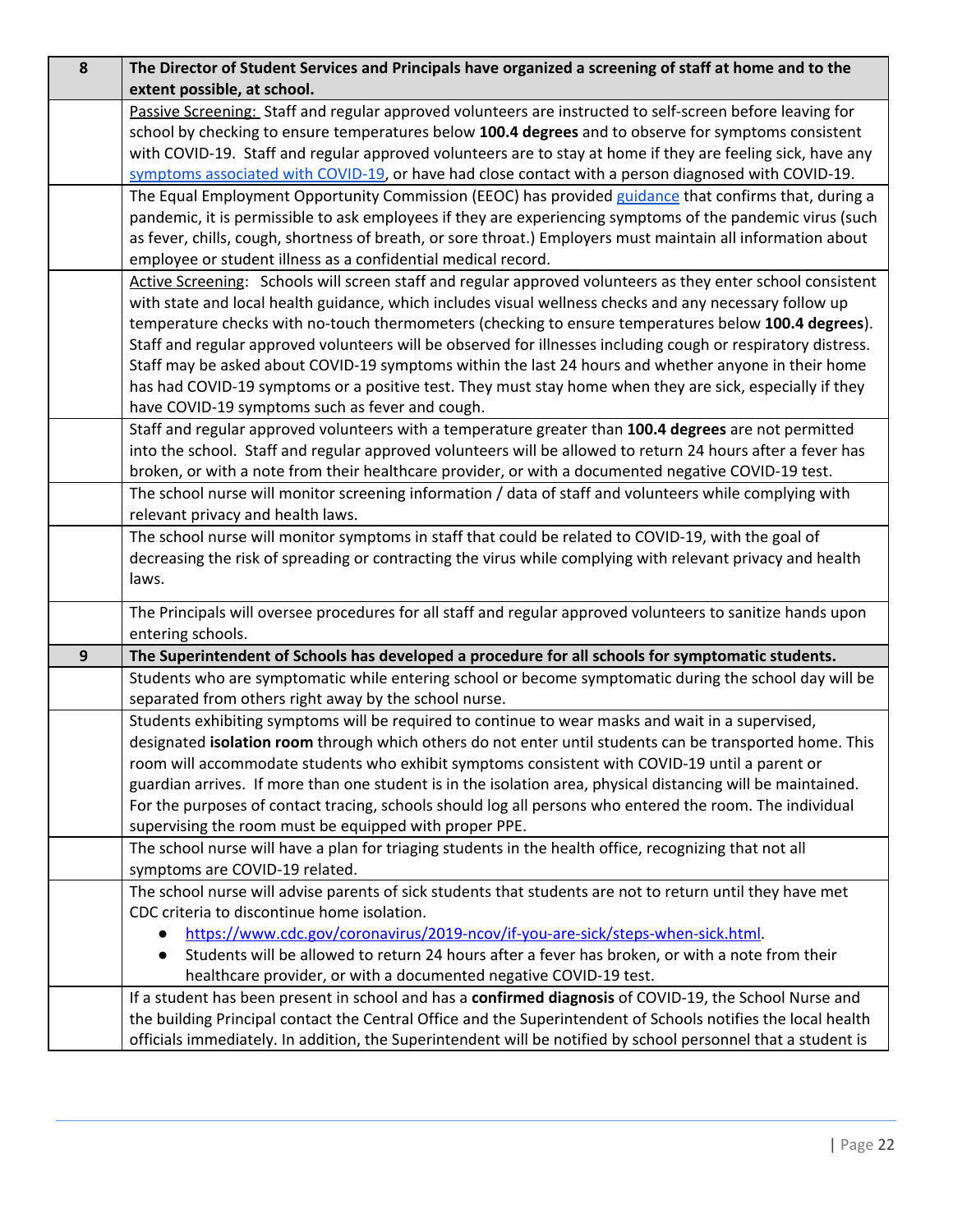| 8                | The Director of Student Services and Principals have organized a screening of staff at home and to the        |
|------------------|---------------------------------------------------------------------------------------------------------------|
|                  | extent possible, at school.                                                                                   |
|                  | Passive Screening: Staff and regular approved volunteers are instructed to self-screen before leaving for     |
|                  | school by checking to ensure temperatures below 100.4 degrees and to observe for symptoms consistent          |
|                  | with COVID-19. Staff and regular approved volunteers are to stay at home if they are feeling sick, have any   |
|                  | symptoms associated with COVID-19, or have had close contact with a person diagnosed with COVID-19.           |
|                  | The Equal Employment Opportunity Commission (EEOC) has provided guidance that confirms that, during a         |
|                  | pandemic, it is permissible to ask employees if they are experiencing symptoms of the pandemic virus (such    |
|                  | as fever, chills, cough, shortness of breath, or sore throat.) Employers must maintain all information about  |
|                  | employee or student illness as a confidential medical record.                                                 |
|                  | Active Screening: Schools will screen staff and regular approved volunteers as they enter school consistent   |
|                  | with state and local health guidance, which includes visual wellness checks and any necessary follow up       |
|                  | temperature checks with no-touch thermometers (checking to ensure temperatures below 100.4 degrees).          |
|                  | Staff and regular approved volunteers will be observed for illnesses including cough or respiratory distress. |
|                  | Staff may be asked about COVID-19 symptoms within the last 24 hours and whether anyone in their home          |
|                  | has had COVID-19 symptoms or a positive test. They must stay home when they are sick, especially if they      |
|                  | have COVID-19 symptoms such as fever and cough.                                                               |
|                  | Staff and regular approved volunteers with a temperature greater than 100.4 degrees are not permitted         |
|                  | into the school. Staff and regular approved volunteers will be allowed to return 24 hours after a fever has   |
|                  | broken, or with a note from their healthcare provider, or with a documented negative COVID-19 test.           |
|                  | The school nurse will monitor screening information / data of staff and volunteers while complying with       |
|                  | relevant privacy and health laws.                                                                             |
|                  | The school nurse will monitor symptoms in staff that could be related to COVID-19, with the goal of           |
|                  | decreasing the risk of spreading or contracting the virus while complying with relevant privacy and health    |
|                  | laws.                                                                                                         |
|                  | The Principals will oversee procedures for all staff and regular approved volunteers to sanitize hands upon   |
|                  | entering schools.                                                                                             |
| $\boldsymbol{9}$ | The Superintendent of Schools has developed a procedure for all schools for symptomatic students.             |
|                  | Students who are symptomatic while entering school or become symptomatic during the school day will be        |
|                  | separated from others right away by the school nurse.                                                         |
|                  | Students exhibiting symptoms will be required to continue to wear masks and wait in a supervised,             |
|                  | designated isolation room through which others do not enter until students can be transported home. This      |
|                  | room will accommodate students who exhibit symptoms consistent with COVID-19 until a parent or                |
|                  | guardian arrives. If more than one student is in the isolation area, physical distancing will be maintained.  |
|                  | For the purposes of contact tracing, schools should log all persons who entered the room. The individual      |
|                  | supervising the room must be equipped with proper PPE.                                                        |
|                  | The school nurse will have a plan for triaging students in the health office, recognizing that not all        |
|                  | symptoms are COVID-19 related.                                                                                |
|                  | The school nurse will advise parents of sick students that students are not to return until they have met     |
|                  | CDC criteria to discontinue home isolation.                                                                   |
|                  | https://www.cdc.gov/coronavirus/2019-ncov/if-you-are-sick/steps-when-sick.html.                               |
|                  | Students will be allowed to return 24 hours after a fever has broken, or with a note from their               |
|                  | healthcare provider, or with a documented negative COVID-19 test.                                             |
|                  | If a student has been present in school and has a confirmed diagnosis of COVID-19, the School Nurse and       |
|                  | the building Principal contact the Central Office and the Superintendent of Schools notifies the local health |
|                  | officials immediately. In addition, the Superintendent will be notified by school personnel that a student is |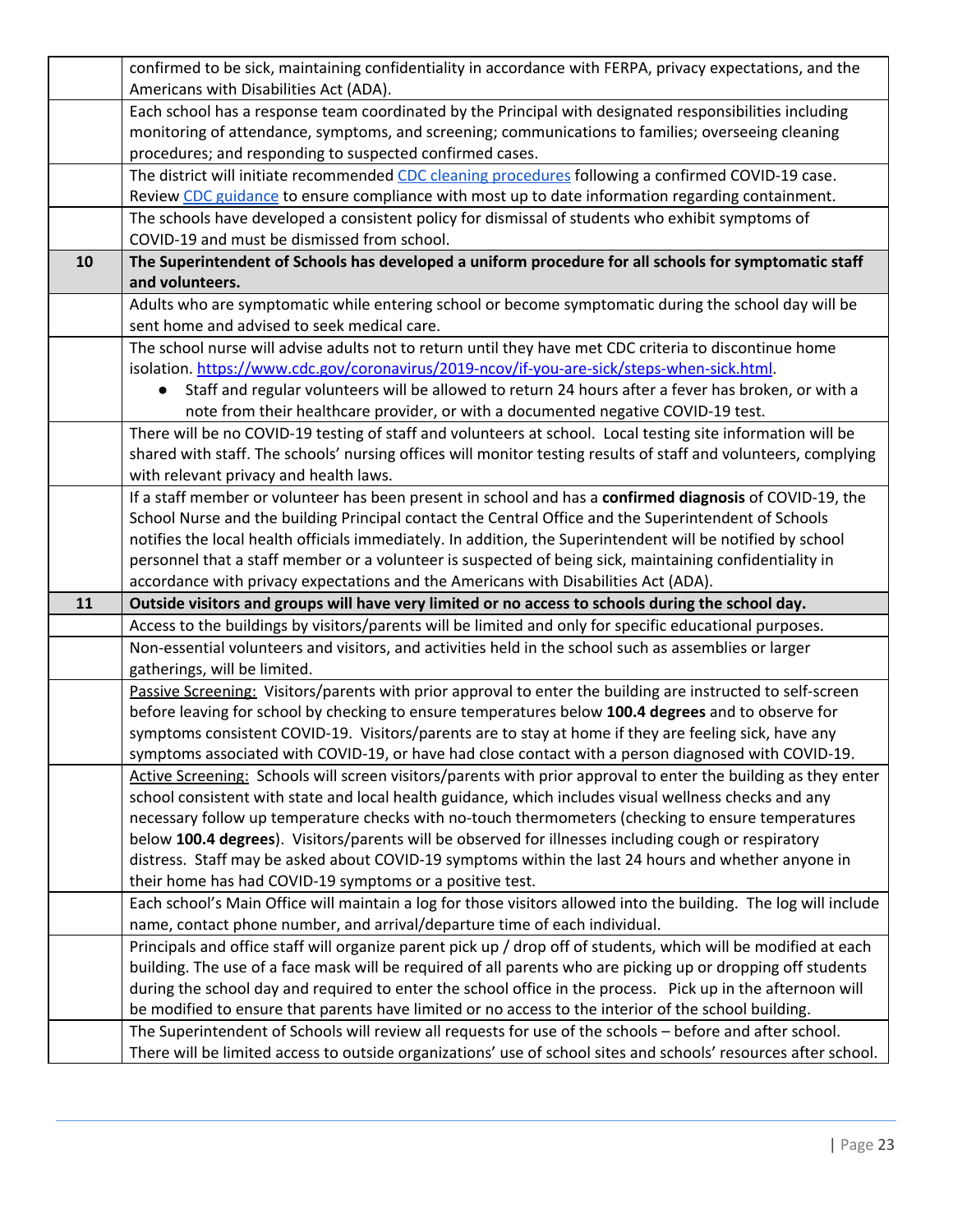|    | confirmed to be sick, maintaining confidentiality in accordance with FERPA, privacy expectations, and the                                                                                                  |
|----|------------------------------------------------------------------------------------------------------------------------------------------------------------------------------------------------------------|
|    | Americans with Disabilities Act (ADA).                                                                                                                                                                     |
|    | Each school has a response team coordinated by the Principal with designated responsibilities including                                                                                                    |
|    | monitoring of attendance, symptoms, and screening; communications to families; overseeing cleaning                                                                                                         |
|    | procedures; and responding to suspected confirmed cases.                                                                                                                                                   |
|    | The district will initiate recommended CDC cleaning procedures following a confirmed COVID-19 case.                                                                                                        |
|    | Review CDC guidance to ensure compliance with most up to date information regarding containment.                                                                                                           |
|    | The schools have developed a consistent policy for dismissal of students who exhibit symptoms of                                                                                                           |
|    | COVID-19 and must be dismissed from school.                                                                                                                                                                |
| 10 | The Superintendent of Schools has developed a uniform procedure for all schools for symptomatic staff                                                                                                      |
|    | and volunteers.                                                                                                                                                                                            |
|    | Adults who are symptomatic while entering school or become symptomatic during the school day will be                                                                                                       |
|    | sent home and advised to seek medical care.                                                                                                                                                                |
|    | The school nurse will advise adults not to return until they have met CDC criteria to discontinue home                                                                                                     |
|    | isolation. https://www.cdc.gov/coronavirus/2019-ncov/if-you-are-sick/steps-when-sick.html.                                                                                                                 |
|    | Staff and regular volunteers will be allowed to return 24 hours after a fever has broken, or with a                                                                                                        |
|    | note from their healthcare provider, or with a documented negative COVID-19 test.                                                                                                                          |
|    | There will be no COVID-19 testing of staff and volunteers at school. Local testing site information will be                                                                                                |
|    | shared with staff. The schools' nursing offices will monitor testing results of staff and volunteers, complying                                                                                            |
|    | with relevant privacy and health laws.                                                                                                                                                                     |
|    | If a staff member or volunteer has been present in school and has a confirmed diagnosis of COVID-19, the                                                                                                   |
|    | School Nurse and the building Principal contact the Central Office and the Superintendent of Schools                                                                                                       |
|    | notifies the local health officials immediately. In addition, the Superintendent will be notified by school                                                                                                |
|    | personnel that a staff member or a volunteer is suspected of being sick, maintaining confidentiality in                                                                                                    |
|    | accordance with privacy expectations and the Americans with Disabilities Act (ADA).                                                                                                                        |
| 11 | Outside visitors and groups will have very limited or no access to schools during the school day.                                                                                                          |
|    | Access to the buildings by visitors/parents will be limited and only for specific educational purposes.                                                                                                    |
|    | Non-essential volunteers and visitors, and activities held in the school such as assemblies or larger                                                                                                      |
|    | gatherings, will be limited.                                                                                                                                                                               |
|    | Passive Screening: Visitors/parents with prior approval to enter the building are instructed to self-screen                                                                                                |
|    | before leaving for school by checking to ensure temperatures below 100.4 degrees and to observe for                                                                                                        |
|    | symptoms consistent COVID-19. Visitors/parents are to stay at home if they are feeling sick, have any                                                                                                      |
|    | symptoms associated with COVID-19, or have had close contact with a person diagnosed with COVID-19.                                                                                                        |
|    | Active Screening: Schools will screen visitors/parents with prior approval to enter the building as they enter                                                                                             |
|    | school consistent with state and local health guidance, which includes visual wellness checks and any                                                                                                      |
|    | necessary follow up temperature checks with no-touch thermometers (checking to ensure temperatures<br>below 100.4 degrees). Visitors/parents will be observed for illnesses including cough or respiratory |
|    | distress. Staff may be asked about COVID-19 symptoms within the last 24 hours and whether anyone in                                                                                                        |
|    | their home has had COVID-19 symptoms or a positive test.                                                                                                                                                   |
|    | Each school's Main Office will maintain a log for those visitors allowed into the building. The log will include                                                                                           |
|    | name, contact phone number, and arrival/departure time of each individual.                                                                                                                                 |
|    | Principals and office staff will organize parent pick up / drop off of students, which will be modified at each                                                                                            |
|    | building. The use of a face mask will be required of all parents who are picking up or dropping off students                                                                                               |
|    | during the school day and required to enter the school office in the process. Pick up in the afternoon will                                                                                                |
|    | be modified to ensure that parents have limited or no access to the interior of the school building.                                                                                                       |
|    | The Superintendent of Schools will review all requests for use of the schools - before and after school.                                                                                                   |
|    | There will be limited access to outside organizations' use of school sites and schools' resources after school.                                                                                            |
|    |                                                                                                                                                                                                            |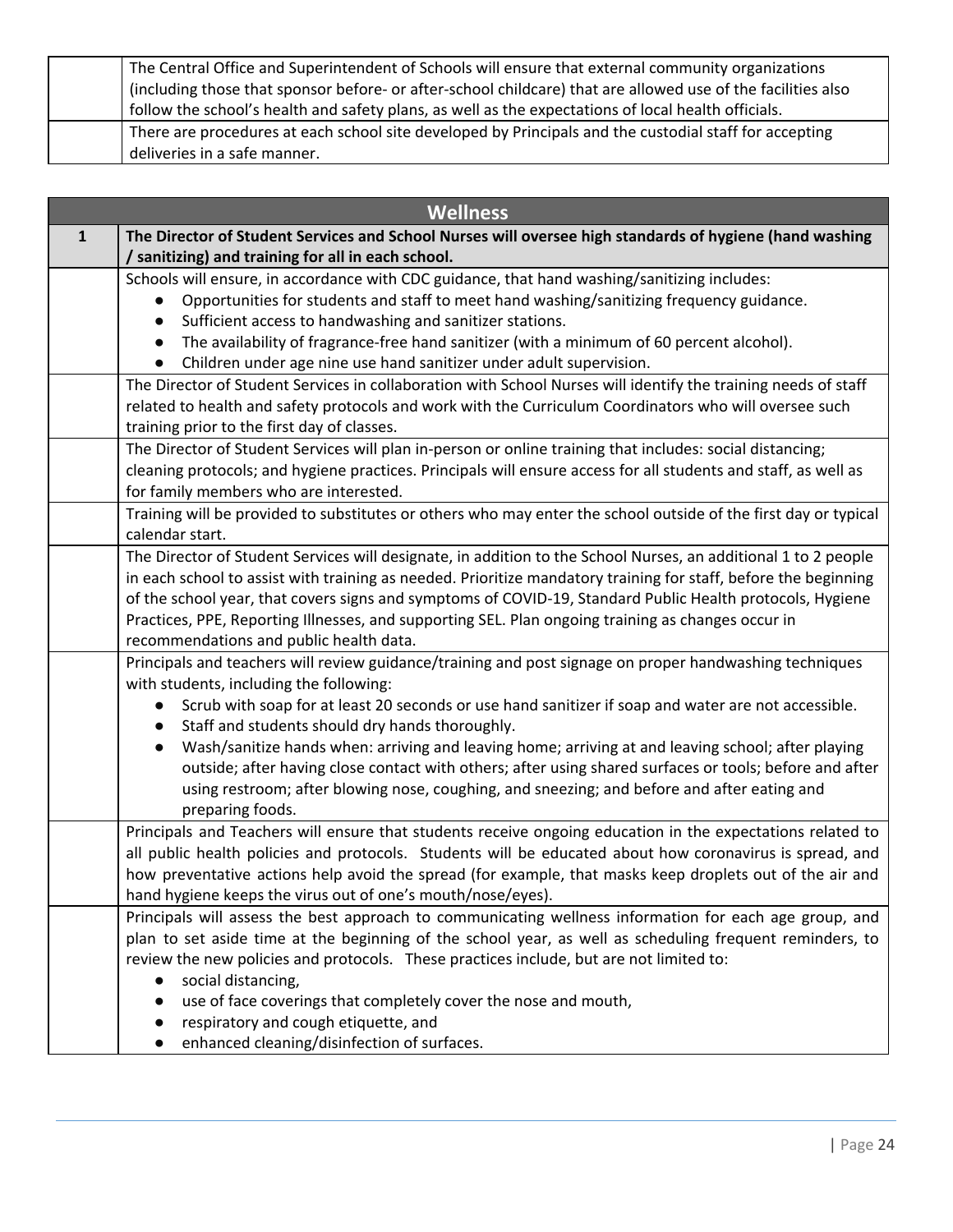| The Central Office and Superintendent of Schools will ensure that external community organizations<br>(including those that sponsor before- or after-school childcare) that are allowed use of the facilities also<br>follow the school's health and safety plans, as well as the expectations of local health officials. |
|---------------------------------------------------------------------------------------------------------------------------------------------------------------------------------------------------------------------------------------------------------------------------------------------------------------------------|
| There are procedures at each school site developed by Principals and the custodial staff for accepting<br>deliveries in a safe manner.                                                                                                                                                                                    |

| <b>Wellness</b> |                                                                                                                                                               |
|-----------------|---------------------------------------------------------------------------------------------------------------------------------------------------------------|
| $\mathbf{1}$    | The Director of Student Services and School Nurses will oversee high standards of hygiene (hand washing<br>/ sanitizing) and training for all in each school. |
|                 | Schools will ensure, in accordance with CDC guidance, that hand washing/sanitizing includes:                                                                  |
|                 | Opportunities for students and staff to meet hand washing/sanitizing frequency guidance.                                                                      |
|                 | Sufficient access to handwashing and sanitizer stations.                                                                                                      |
|                 | The availability of fragrance-free hand sanitizer (with a minimum of 60 percent alcohol).                                                                     |
|                 | Children under age nine use hand sanitizer under adult supervision.                                                                                           |
|                 | The Director of Student Services in collaboration with School Nurses will identify the training needs of staff                                                |
|                 | related to health and safety protocols and work with the Curriculum Coordinators who will oversee such                                                        |
|                 | training prior to the first day of classes.                                                                                                                   |
|                 | The Director of Student Services will plan in-person or online training that includes: social distancing;                                                     |
|                 | cleaning protocols; and hygiene practices. Principals will ensure access for all students and staff, as well as                                               |
|                 | for family members who are interested.                                                                                                                        |
|                 | Training will be provided to substitutes or others who may enter the school outside of the first day or typical<br>calendar start.                            |
|                 | The Director of Student Services will designate, in addition to the School Nurses, an additional 1 to 2 people                                                |
|                 | in each school to assist with training as needed. Prioritize mandatory training for staff, before the beginning                                               |
|                 | of the school year, that covers signs and symptoms of COVID-19, Standard Public Health protocols, Hygiene                                                     |
|                 | Practices, PPE, Reporting Illnesses, and supporting SEL. Plan ongoing training as changes occur in                                                            |
|                 | recommendations and public health data.                                                                                                                       |
|                 | Principals and teachers will review guidance/training and post signage on proper handwashing techniques                                                       |
|                 | with students, including the following:                                                                                                                       |
|                 | Scrub with soap for at least 20 seconds or use hand sanitizer if soap and water are not accessible.                                                           |
|                 | Staff and students should dry hands thoroughly.                                                                                                               |
|                 | Wash/sanitize hands when: arriving and leaving home; arriving at and leaving school; after playing                                                            |
|                 | outside; after having close contact with others; after using shared surfaces or tools; before and after                                                       |
|                 | using restroom; after blowing nose, coughing, and sneezing; and before and after eating and                                                                   |
|                 | preparing foods.                                                                                                                                              |
|                 | Principals and Teachers will ensure that students receive ongoing education in the expectations related to                                                    |
|                 | all public health policies and protocols. Students will be educated about how coronavirus is spread, and                                                      |
|                 | how preventative actions help avoid the spread (for example, that masks keep droplets out of the air and                                                      |
|                 | hand hygiene keeps the virus out of one's mouth/nose/eyes).                                                                                                   |
|                 | Principals will assess the best approach to communicating wellness information for each age group, and                                                        |
|                 | plan to set aside time at the beginning of the school year, as well as scheduling frequent reminders, to                                                      |
|                 | review the new policies and protocols. These practices include, but are not limited to:                                                                       |
|                 | social distancing,                                                                                                                                            |
|                 | use of face coverings that completely cover the nose and mouth,                                                                                               |
|                 | respiratory and cough etiquette, and                                                                                                                          |
|                 | enhanced cleaning/disinfection of surfaces.                                                                                                                   |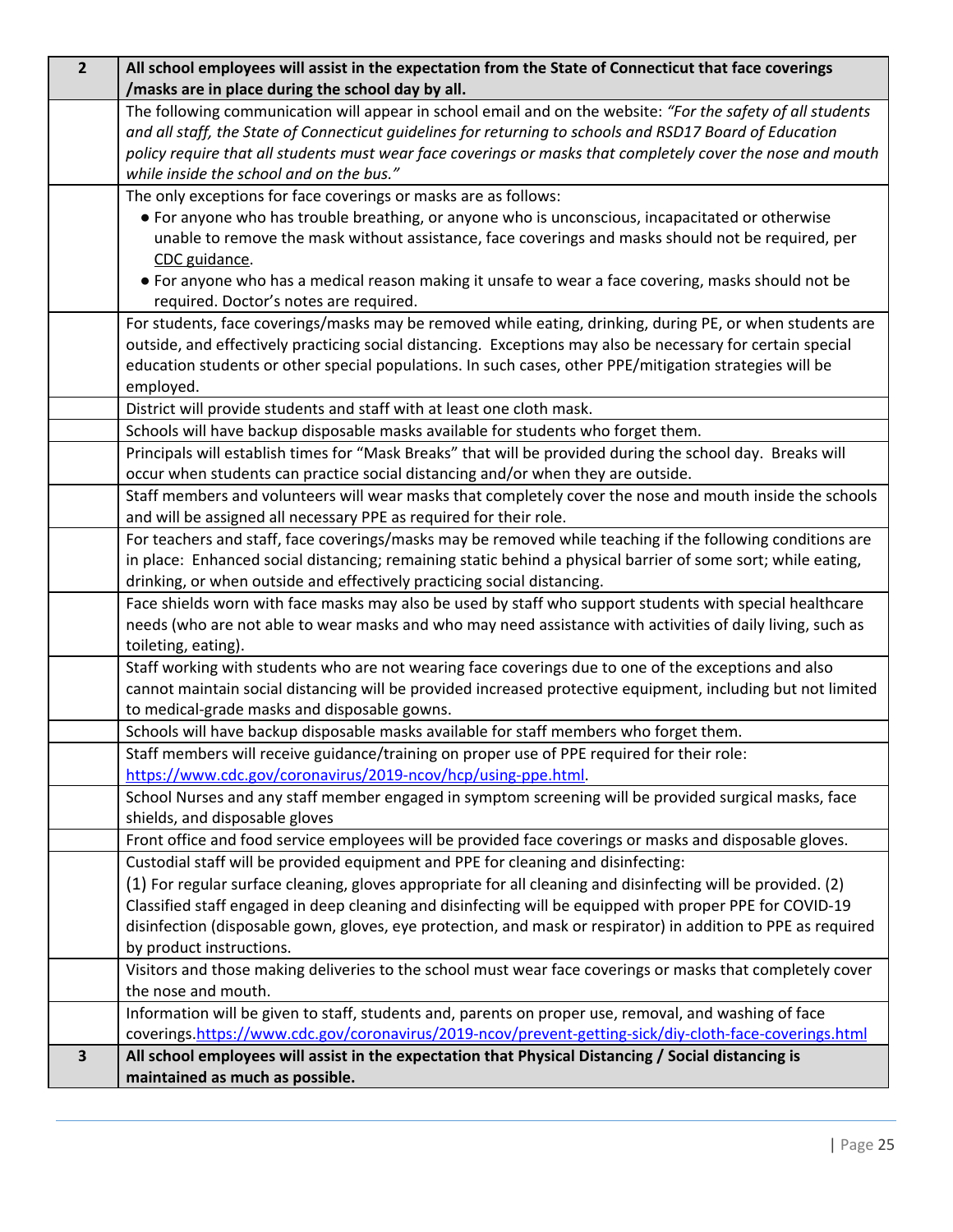| $\overline{2}$          | All school employees will assist in the expectation from the State of Connecticut that face coverings<br>/masks are in place during the school day by all.                                                             |
|-------------------------|------------------------------------------------------------------------------------------------------------------------------------------------------------------------------------------------------------------------|
|                         | The following communication will appear in school email and on the website: "For the safety of all students                                                                                                            |
|                         | and all staff, the State of Connecticut guidelines for returning to schools and RSD17 Board of Education                                                                                                               |
|                         | policy require that all students must wear face coverings or masks that completely cover the nose and mouth                                                                                                            |
|                         | while inside the school and on the bus."                                                                                                                                                                               |
|                         | The only exceptions for face coverings or masks are as follows:                                                                                                                                                        |
|                         | • For anyone who has trouble breathing, or anyone who is unconscious, incapacitated or otherwise                                                                                                                       |
|                         | unable to remove the mask without assistance, face coverings and masks should not be required, per                                                                                                                     |
|                         | CDC guidance.<br>• For anyone who has a medical reason making it unsafe to wear a face covering, masks should not be                                                                                                   |
|                         | required. Doctor's notes are required.                                                                                                                                                                                 |
|                         | For students, face coverings/masks may be removed while eating, drinking, during PE, or when students are                                                                                                              |
|                         | outside, and effectively practicing social distancing. Exceptions may also be necessary for certain special                                                                                                            |
|                         | education students or other special populations. In such cases, other PPE/mitigation strategies will be                                                                                                                |
|                         | employed.                                                                                                                                                                                                              |
|                         | District will provide students and staff with at least one cloth mask.                                                                                                                                                 |
|                         | Schools will have backup disposable masks available for students who forget them.                                                                                                                                      |
|                         | Principals will establish times for "Mask Breaks" that will be provided during the school day. Breaks will                                                                                                             |
|                         | occur when students can practice social distancing and/or when they are outside.                                                                                                                                       |
|                         | Staff members and volunteers will wear masks that completely cover the nose and mouth inside the schools                                                                                                               |
|                         | and will be assigned all necessary PPE as required for their role.                                                                                                                                                     |
|                         | For teachers and staff, face coverings/masks may be removed while teaching if the following conditions are                                                                                                             |
|                         | in place: Enhanced social distancing; remaining static behind a physical barrier of some sort; while eating,                                                                                                           |
|                         | drinking, or when outside and effectively practicing social distancing.                                                                                                                                                |
|                         | Face shields worn with face masks may also be used by staff who support students with special healthcare<br>needs (who are not able to wear masks and who may need assistance with activities of daily living, such as |
|                         | toileting, eating).                                                                                                                                                                                                    |
|                         | Staff working with students who are not wearing face coverings due to one of the exceptions and also                                                                                                                   |
|                         | cannot maintain social distancing will be provided increased protective equipment, including but not limited                                                                                                           |
|                         | to medical-grade masks and disposable gowns.                                                                                                                                                                           |
|                         | Schools will have backup disposable masks available for staff members who forget them.                                                                                                                                 |
|                         | Staff members will receive guidance/training on proper use of PPE required for their role:                                                                                                                             |
|                         | https://www.cdc.gov/coronavirus/2019-ncov/hcp/using-ppe.html.                                                                                                                                                          |
|                         | School Nurses and any staff member engaged in symptom screening will be provided surgical masks, face                                                                                                                  |
|                         | shields, and disposable gloves                                                                                                                                                                                         |
|                         | Front office and food service employees will be provided face coverings or masks and disposable gloves.                                                                                                                |
|                         | Custodial staff will be provided equipment and PPE for cleaning and disinfecting:                                                                                                                                      |
|                         | (1) For regular surface cleaning, gloves appropriate for all cleaning and disinfecting will be provided. (2)                                                                                                           |
|                         | Classified staff engaged in deep cleaning and disinfecting will be equipped with proper PPE for COVID-19                                                                                                               |
|                         | disinfection (disposable gown, gloves, eye protection, and mask or respirator) in addition to PPE as required                                                                                                          |
|                         | by product instructions.                                                                                                                                                                                               |
|                         | Visitors and those making deliveries to the school must wear face coverings or masks that completely cover                                                                                                             |
|                         | the nose and mouth.                                                                                                                                                                                                    |
|                         | Information will be given to staff, students and, parents on proper use, removal, and washing of face<br>coverings.https://www.cdc.gov/coronavirus/2019-ncov/prevent-getting-sick/diy-cloth-face-coverings.html        |
| $\overline{\mathbf{3}}$ | All school employees will assist in the expectation that Physical Distancing / Social distancing is                                                                                                                    |
|                         | maintained as much as possible.                                                                                                                                                                                        |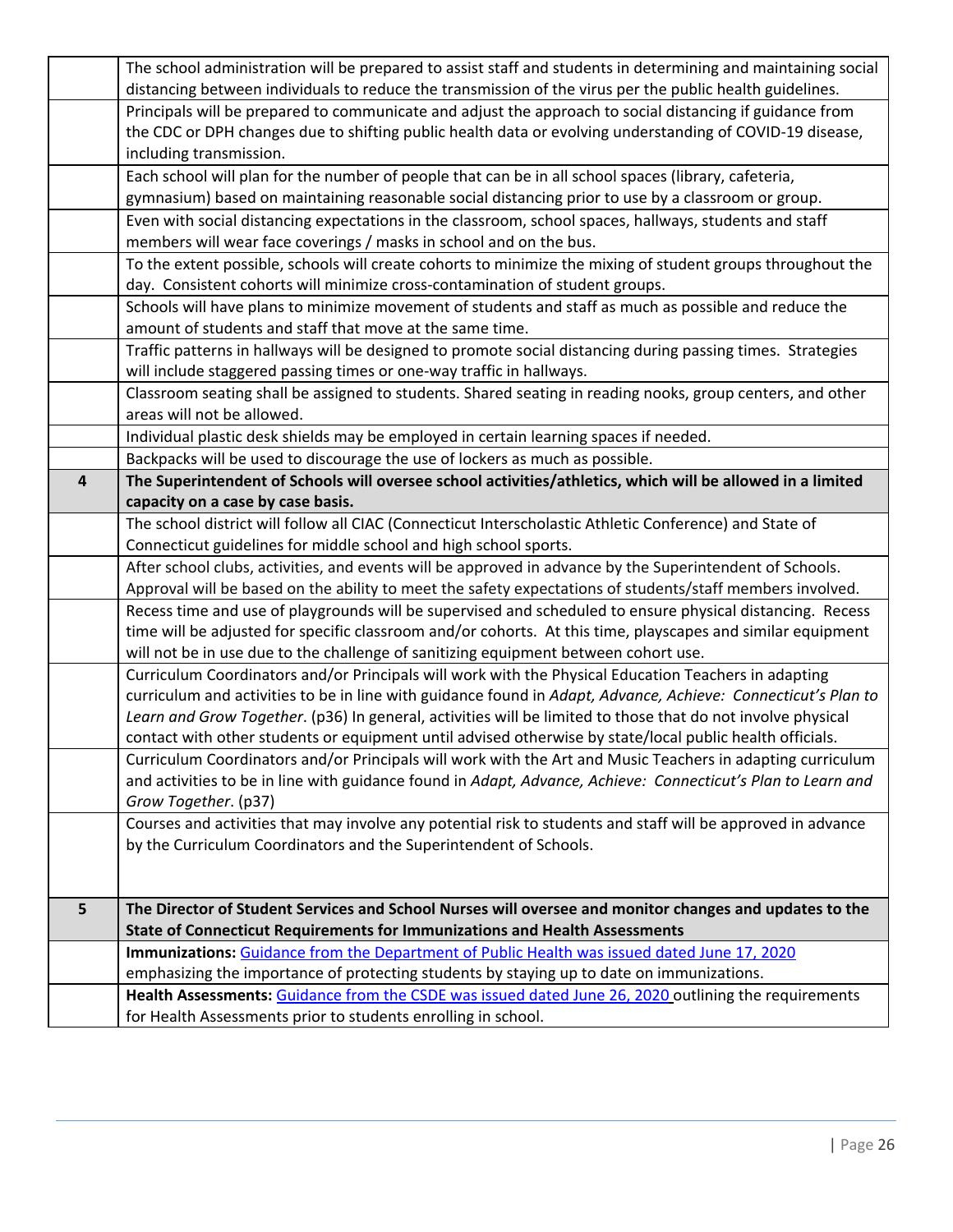|                         | The school administration will be prepared to assist staff and students in determining and maintaining social |
|-------------------------|---------------------------------------------------------------------------------------------------------------|
|                         | distancing between individuals to reduce the transmission of the virus per the public health guidelines.      |
|                         | Principals will be prepared to communicate and adjust the approach to social distancing if guidance from      |
|                         | the CDC or DPH changes due to shifting public health data or evolving understanding of COVID-19 disease,      |
|                         | including transmission.                                                                                       |
|                         | Each school will plan for the number of people that can be in all school spaces (library, cafeteria,          |
|                         | gymnasium) based on maintaining reasonable social distancing prior to use by a classroom or group.            |
|                         | Even with social distancing expectations in the classroom, school spaces, hallways, students and staff        |
|                         | members will wear face coverings / masks in school and on the bus.                                            |
|                         | To the extent possible, schools will create cohorts to minimize the mixing of student groups throughout the   |
|                         | day. Consistent cohorts will minimize cross-contamination of student groups.                                  |
|                         | Schools will have plans to minimize movement of students and staff as much as possible and reduce the         |
|                         | amount of students and staff that move at the same time.                                                      |
|                         | Traffic patterns in hallways will be designed to promote social distancing during passing times. Strategies   |
|                         | will include staggered passing times or one-way traffic in hallways.                                          |
|                         | Classroom seating shall be assigned to students. Shared seating in reading nooks, group centers, and other    |
|                         | areas will not be allowed.                                                                                    |
|                         | Individual plastic desk shields may be employed in certain learning spaces if needed.                         |
|                         | Backpacks will be used to discourage the use of lockers as much as possible.                                  |
| $\overline{\mathbf{4}}$ | The Superintendent of Schools will oversee school activities/athletics, which will be allowed in a limited    |
|                         | capacity on a case by case basis.                                                                             |
|                         | The school district will follow all CIAC (Connecticut Interscholastic Athletic Conference) and State of       |
|                         | Connecticut guidelines for middle school and high school sports.                                              |
|                         | After school clubs, activities, and events will be approved in advance by the Superintendent of Schools.      |
|                         | Approval will be based on the ability to meet the safety expectations of students/staff members involved.     |
|                         | Recess time and use of playgrounds will be supervised and scheduled to ensure physical distancing. Recess     |
|                         | time will be adjusted for specific classroom and/or cohorts. At this time, playscapes and similar equipment   |
|                         | will not be in use due to the challenge of sanitizing equipment between cohort use.                           |
|                         | Curriculum Coordinators and/or Principals will work with the Physical Education Teachers in adapting          |
|                         | curriculum and activities to be in line with guidance found in Adapt, Advance, Achieve: Connecticut's Plan to |
|                         | Learn and Grow Together. (p36) In general, activities will be limited to those that do not involve physical   |
|                         | contact with other students or equipment until advised otherwise by state/local public health officials.      |
|                         | Curriculum Coordinators and/or Principals will work with the Art and Music Teachers in adapting curriculum    |
|                         | and activities to be in line with guidance found in Adapt, Advance, Achieve: Connecticut's Plan to Learn and  |
|                         | Grow Together. (p37)                                                                                          |
|                         | Courses and activities that may involve any potential risk to students and staff will be approved in advance  |
|                         | by the Curriculum Coordinators and the Superintendent of Schools.                                             |
|                         |                                                                                                               |
| 5                       | The Director of Student Services and School Nurses will oversee and monitor changes and updates to the        |
|                         |                                                                                                               |
|                         | State of Connecticut Requirements for Immunizations and Health Assessments                                    |
|                         | <b>Immunizations:</b> Guidance from the Department of Public Health was issued dated June 17, 2020            |
|                         | emphasizing the importance of protecting students by staying up to date on immunizations.                     |
|                         | Health Assessments: Guidance from the CSDE was issued dated June 26, 2020 outlining the requirements          |
|                         | for Health Assessments prior to students enrolling in school.                                                 |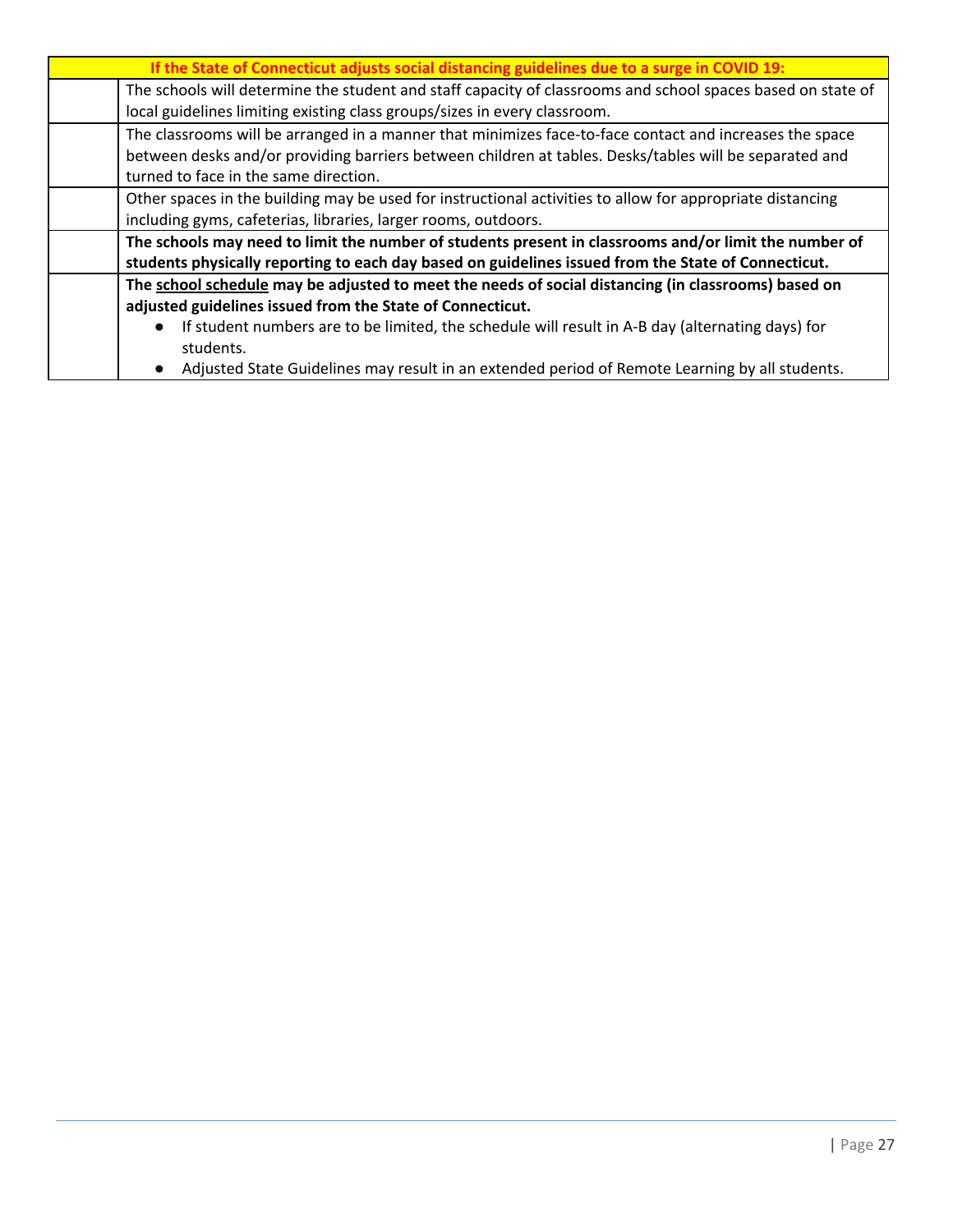| If the State of Connecticut adjusts social distancing guidelines due to a surge in COVID 19:                |
|-------------------------------------------------------------------------------------------------------------|
| The schools will determine the student and staff capacity of classrooms and school spaces based on state of |
| local guidelines limiting existing class groups/sizes in every classroom.                                   |
| The classrooms will be arranged in a manner that minimizes face-to-face contact and increases the space     |
| between desks and/or providing barriers between children at tables. Desks/tables will be separated and      |
| turned to face in the same direction.                                                                       |
| Other spaces in the building may be used for instructional activities to allow for appropriate distancing   |
| including gyms, cafeterias, libraries, larger rooms, outdoors.                                              |
| The schools may need to limit the number of students present in classrooms and/or limit the number of       |
| students physically reporting to each day based on guidelines issued from the State of Connecticut.         |
| The school schedule may be adjusted to meet the needs of social distancing (in classrooms) based on         |
| adjusted guidelines issued from the State of Connecticut.                                                   |
| If student numbers are to be limited, the schedule will result in A-B day (alternating days) for            |
| students.                                                                                                   |
|                                                                                                             |

● Adjusted State Guidelines may result in an extended period of Remote Learning by all students.

 $\mathsf{l}$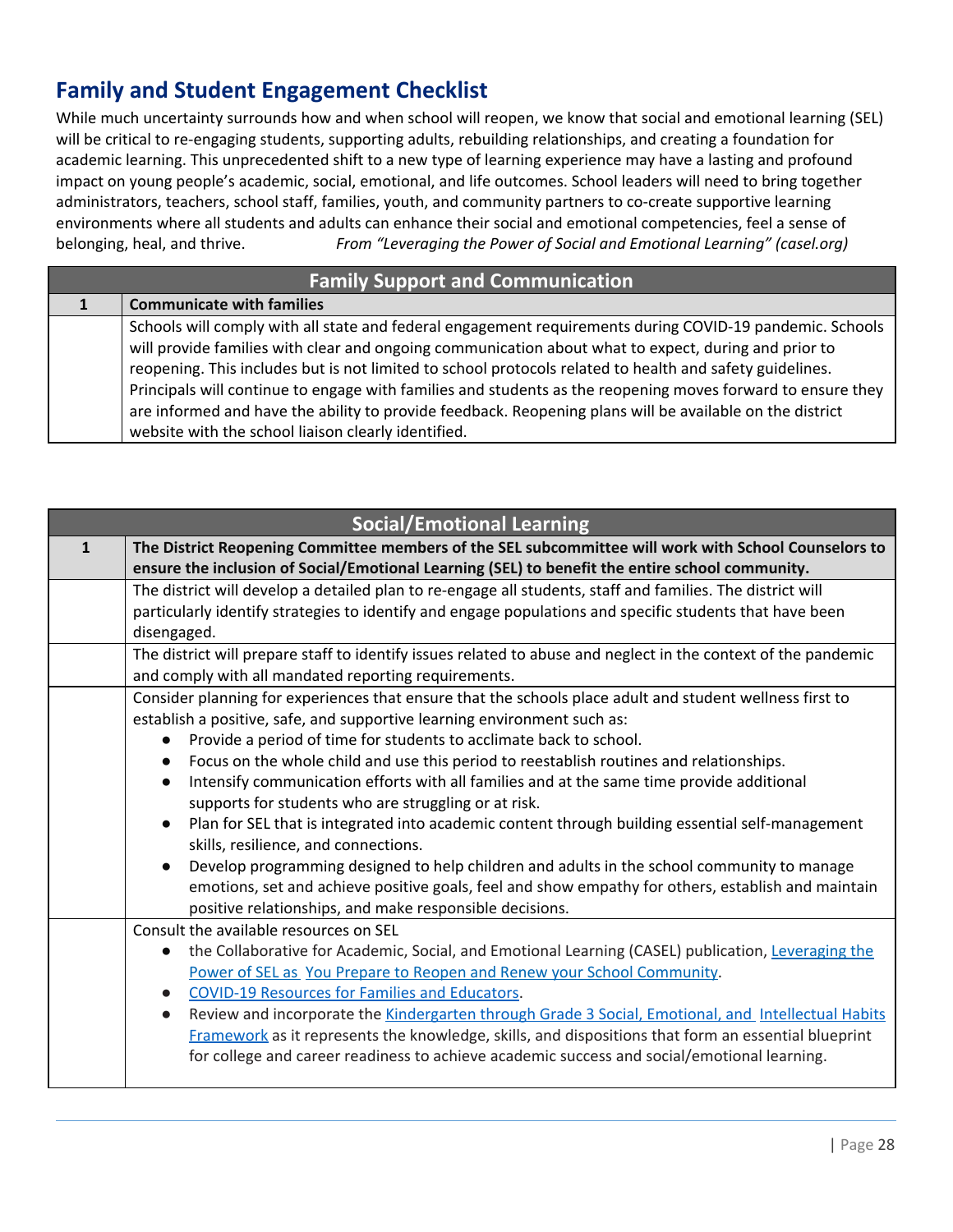## **Family and Student Engagement Checklist**

While much uncertainty surrounds how and when school will reopen, we know that social and emotional learning (SEL) will be critical to re-engaging students, supporting adults, rebuilding relationships, and creating a foundation for academic learning. This unprecedented shift to a new type of learning experience may have a lasting and profound impact on young people's academic, social, emotional, and life outcomes. School leaders will need to bring together administrators, teachers, school staff, families, youth, and community partners to co-create supportive learning environments where all students and adults can enhance their social and emotional competencies, feel a sense of belonging, heal, and thrive. *From "Leveraging the Power of Social and Emotional Learning" (casel.org)*

| <b>Family Support and Communication</b> |                                                                                                                                                                                                                                                                                                                                                                                                                                                                                                                                                                                                                |
|-----------------------------------------|----------------------------------------------------------------------------------------------------------------------------------------------------------------------------------------------------------------------------------------------------------------------------------------------------------------------------------------------------------------------------------------------------------------------------------------------------------------------------------------------------------------------------------------------------------------------------------------------------------------|
|                                         | <b>Communicate with families</b>                                                                                                                                                                                                                                                                                                                                                                                                                                                                                                                                                                               |
|                                         | Schools will comply with all state and federal engagement requirements during COVID-19 pandemic. Schools<br>will provide families with clear and ongoing communication about what to expect, during and prior to<br>reopening. This includes but is not limited to school protocols related to health and safety guidelines.<br>Principals will continue to engage with families and students as the reopening moves forward to ensure they<br>are informed and have the ability to provide feedback. Reopening plans will be available on the district<br>website with the school liaison clearly identified. |

| <b>Social/Emotional Learning</b> |                                                                                                                 |
|----------------------------------|-----------------------------------------------------------------------------------------------------------------|
| $\mathbf{1}$                     | The District Reopening Committee members of the SEL subcommittee will work with School Counselors to            |
|                                  | ensure the inclusion of Social/Emotional Learning (SEL) to benefit the entire school community.                 |
|                                  | The district will develop a detailed plan to re-engage all students, staff and families. The district will      |
|                                  | particularly identify strategies to identify and engage populations and specific students that have been        |
|                                  | disengaged.                                                                                                     |
|                                  | The district will prepare staff to identify issues related to abuse and neglect in the context of the pandemic  |
|                                  | and comply with all mandated reporting requirements.                                                            |
|                                  | Consider planning for experiences that ensure that the schools place adult and student wellness first to        |
|                                  | establish a positive, safe, and supportive learning environment such as:                                        |
|                                  | Provide a period of time for students to acclimate back to school.<br>$\bullet$                                 |
|                                  | Focus on the whole child and use this period to reestablish routines and relationships.<br>$\bullet$            |
|                                  | Intensify communication efforts with all families and at the same time provide additional<br>$\bullet$          |
|                                  | supports for students who are struggling or at risk.                                                            |
|                                  | Plan for SEL that is integrated into academic content through building essential self-management<br>$\bullet$   |
|                                  | skills, resilience, and connections.                                                                            |
|                                  | Develop programming designed to help children and adults in the school community to manage<br>$\bullet$         |
|                                  | emotions, set and achieve positive goals, feel and show empathy for others, establish and maintain              |
|                                  | positive relationships, and make responsible decisions.                                                         |
|                                  | Consult the available resources on SEL                                                                          |
|                                  | the Collaborative for Academic, Social, and Emotional Learning (CASEL) publication, Leveraging the<br>$\bullet$ |
|                                  | Power of SEL as You Prepare to Reopen and Renew your School Community.                                          |
|                                  | <b>COVID-19 Resources for Families and Educators.</b><br>$\bullet$                                              |
|                                  | Review and incorporate the Kindergarten through Grade 3 Social, Emotional, and Intellectual Habits<br>$\bullet$ |
|                                  | Framework as it represents the knowledge, skills, and dispositions that form an essential blueprint             |
|                                  | for college and career readiness to achieve academic success and social/emotional learning.                     |
|                                  |                                                                                                                 |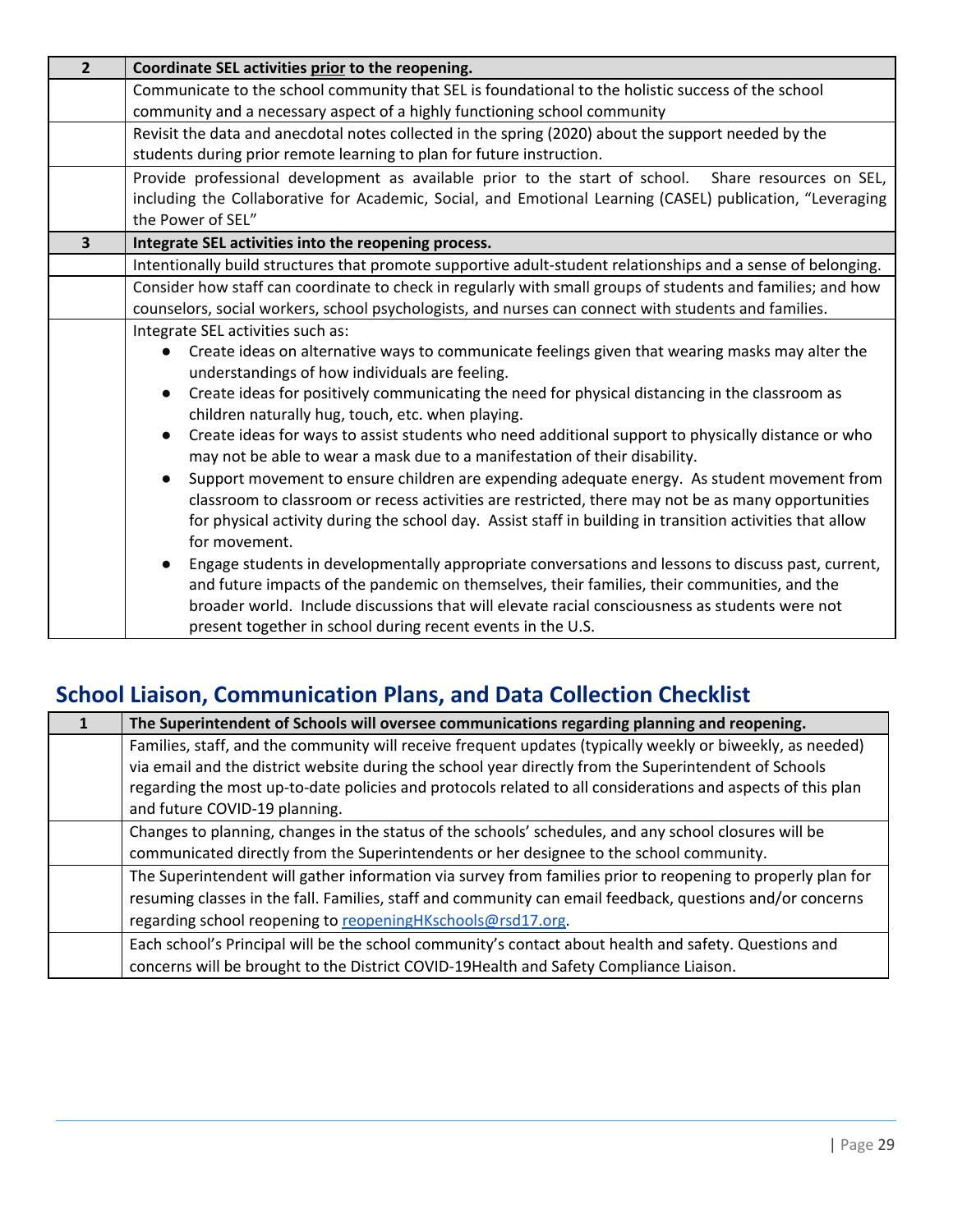| $\overline{2}$ | Coordinate SEL activities prior to the reopening.                                                                                                                                                                                                                                                                                                                                |
|----------------|----------------------------------------------------------------------------------------------------------------------------------------------------------------------------------------------------------------------------------------------------------------------------------------------------------------------------------------------------------------------------------|
|                | Communicate to the school community that SEL is foundational to the holistic success of the school                                                                                                                                                                                                                                                                               |
|                | community and a necessary aspect of a highly functioning school community                                                                                                                                                                                                                                                                                                        |
|                | Revisit the data and anecdotal notes collected in the spring (2020) about the support needed by the                                                                                                                                                                                                                                                                              |
|                | students during prior remote learning to plan for future instruction.                                                                                                                                                                                                                                                                                                            |
|                | Provide professional development as available prior to the start of school.  Share resources on SEL,                                                                                                                                                                                                                                                                             |
|                | including the Collaborative for Academic, Social, and Emotional Learning (CASEL) publication, "Leveraging                                                                                                                                                                                                                                                                        |
|                | the Power of SEL"                                                                                                                                                                                                                                                                                                                                                                |
| 3              | Integrate SEL activities into the reopening process.                                                                                                                                                                                                                                                                                                                             |
|                | Intentionally build structures that promote supportive adult-student relationships and a sense of belonging.                                                                                                                                                                                                                                                                     |
|                | Consider how staff can coordinate to check in regularly with small groups of students and families; and how                                                                                                                                                                                                                                                                      |
|                | counselors, social workers, school psychologists, and nurses can connect with students and families.                                                                                                                                                                                                                                                                             |
|                | Integrate SEL activities such as:                                                                                                                                                                                                                                                                                                                                                |
|                | Create ideas on alternative ways to communicate feelings given that wearing masks may alter the                                                                                                                                                                                                                                                                                  |
|                | understandings of how individuals are feeling.                                                                                                                                                                                                                                                                                                                                   |
|                | Create ideas for positively communicating the need for physical distancing in the classroom as<br>$\bullet$                                                                                                                                                                                                                                                                      |
|                | children naturally hug, touch, etc. when playing.                                                                                                                                                                                                                                                                                                                                |
|                | Create ideas for ways to assist students who need additional support to physically distance or who<br>$\bullet$<br>may not be able to wear a mask due to a manifestation of their disability.                                                                                                                                                                                    |
|                | Support movement to ensure children are expending adequate energy. As student movement from<br>$\bullet$<br>classroom to classroom or recess activities are restricted, there may not be as many opportunities<br>for physical activity during the school day. Assist staff in building in transition activities that allow<br>for movement.                                     |
|                | Engage students in developmentally appropriate conversations and lessons to discuss past, current,<br>$\bullet$<br>and future impacts of the pandemic on themselves, their families, their communities, and the<br>broader world. Include discussions that will elevate racial consciousness as students were not<br>present together in school during recent events in the U.S. |

# **School Liaison, Communication Plans, and Data Collection Checklist**

| The Superintendent of Schools will oversee communications regarding planning and reopening.                 |
|-------------------------------------------------------------------------------------------------------------|
| Families, staff, and the community will receive frequent updates (typically weekly or biweekly, as needed)  |
| via email and the district website during the school year directly from the Superintendent of Schools       |
| regarding the most up-to-date policies and protocols related to all considerations and aspects of this plan |
| and future COVID-19 planning.                                                                               |
| Changes to planning, changes in the status of the schools' schedules, and any school closures will be       |
| communicated directly from the Superintendents or her designee to the school community.                     |
| The Superintendent will gather information via survey from families prior to reopening to properly plan for |
| resuming classes in the fall. Families, staff and community can email feedback, questions and/or concerns   |
| regarding school reopening to reopeningHKschools@rsd17.org                                                  |
| Each school's Principal will be the school community's contact about health and safety. Questions and       |
| concerns will be brought to the District COVID-19Health and Safety Compliance Liaison.                      |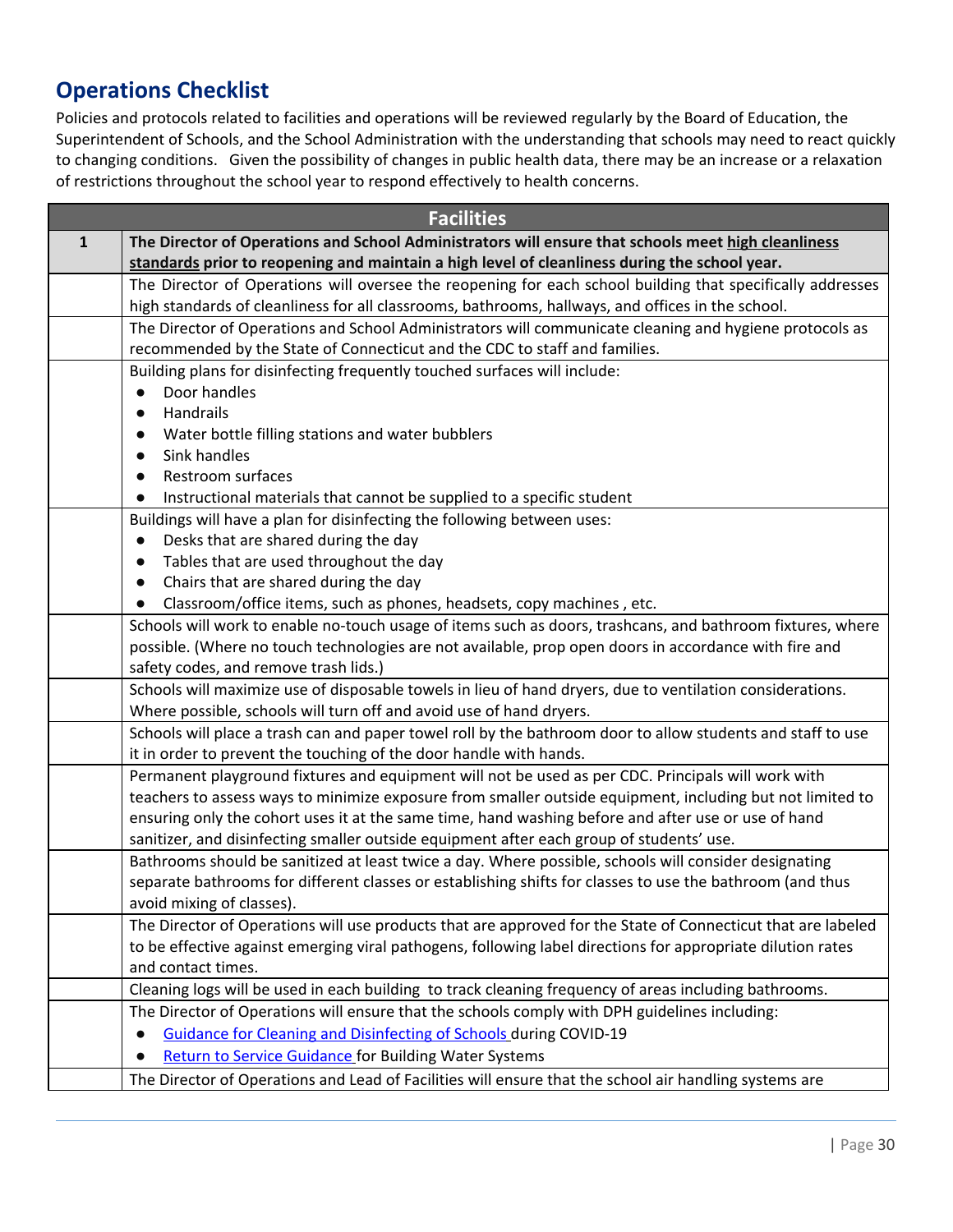## **Operations Checklist**

Policies and protocols related to facilities and operations will be reviewed regularly by the Board of Education, the Superintendent of Schools, and the School Administration with the understanding that schools may need to react quickly to changing conditions. Given the possibility of changes in public health data, there may be an increase or a relaxation of restrictions throughout the school year to respond effectively to health concerns.

| <b>Facilities</b> |                                                                                                              |
|-------------------|--------------------------------------------------------------------------------------------------------------|
| $\mathbf{1}$      | The Director of Operations and School Administrators will ensure that schools meet high cleanliness          |
|                   | standards prior to reopening and maintain a high level of cleanliness during the school year.                |
|                   | The Director of Operations will oversee the reopening for each school building that specifically addresses   |
|                   | high standards of cleanliness for all classrooms, bathrooms, hallways, and offices in the school.            |
|                   | The Director of Operations and School Administrators will communicate cleaning and hygiene protocols as      |
|                   | recommended by the State of Connecticut and the CDC to staff and families.                                   |
|                   | Building plans for disinfecting frequently touched surfaces will include:                                    |
|                   | Door handles<br>$\bullet$                                                                                    |
|                   | Handrails<br>$\bullet$                                                                                       |
|                   | Water bottle filling stations and water bubblers                                                             |
|                   | Sink handles                                                                                                 |
|                   | Restroom surfaces<br>$\bullet$                                                                               |
|                   | Instructional materials that cannot be supplied to a specific student<br>$\bullet$                           |
|                   | Buildings will have a plan for disinfecting the following between uses:                                      |
|                   | Desks that are shared during the day<br>$\bullet$                                                            |
|                   | Tables that are used throughout the day<br>$\bullet$                                                         |
|                   | Chairs that are shared during the day<br>$\bullet$                                                           |
|                   | Classroom/office items, such as phones, headsets, copy machines, etc.                                        |
|                   | Schools will work to enable no-touch usage of items such as doors, trashcans, and bathroom fixtures, where   |
|                   | possible. (Where no touch technologies are not available, prop open doors in accordance with fire and        |
|                   | safety codes, and remove trash lids.)                                                                        |
|                   | Schools will maximize use of disposable towels in lieu of hand dryers, due to ventilation considerations.    |
|                   | Where possible, schools will turn off and avoid use of hand dryers.                                          |
|                   | Schools will place a trash can and paper towel roll by the bathroom door to allow students and staff to use  |
|                   | it in order to prevent the touching of the door handle with hands.                                           |
|                   | Permanent playground fixtures and equipment will not be used as per CDC. Principals will work with           |
|                   | teachers to assess ways to minimize exposure from smaller outside equipment, including but not limited to    |
|                   | ensuring only the cohort uses it at the same time, hand washing before and after use or use of hand          |
|                   | sanitizer, and disinfecting smaller outside equipment after each group of students' use.                     |
|                   | Bathrooms should be sanitized at least twice a day. Where possible, schools will consider designating        |
|                   | separate bathrooms for different classes or establishing shifts for classes to use the bathroom (and thus    |
|                   | avoid mixing of classes).                                                                                    |
|                   | The Director of Operations will use products that are approved for the State of Connecticut that are labeled |
|                   | to be effective against emerging viral pathogens, following label directions for appropriate dilution rates  |
|                   | and contact times.                                                                                           |
|                   | Cleaning logs will be used in each building to track cleaning frequency of areas including bathrooms.        |
|                   | The Director of Operations will ensure that the schools comply with DPH guidelines including:                |
|                   | Guidance for Cleaning and Disinfecting of Schools during COVID-19                                            |
|                   | <b>Return to Service Guidance for Building Water Systems</b><br>$\bullet$                                    |
|                   | The Director of Operations and Lead of Facilities will ensure that the school air handling systems are       |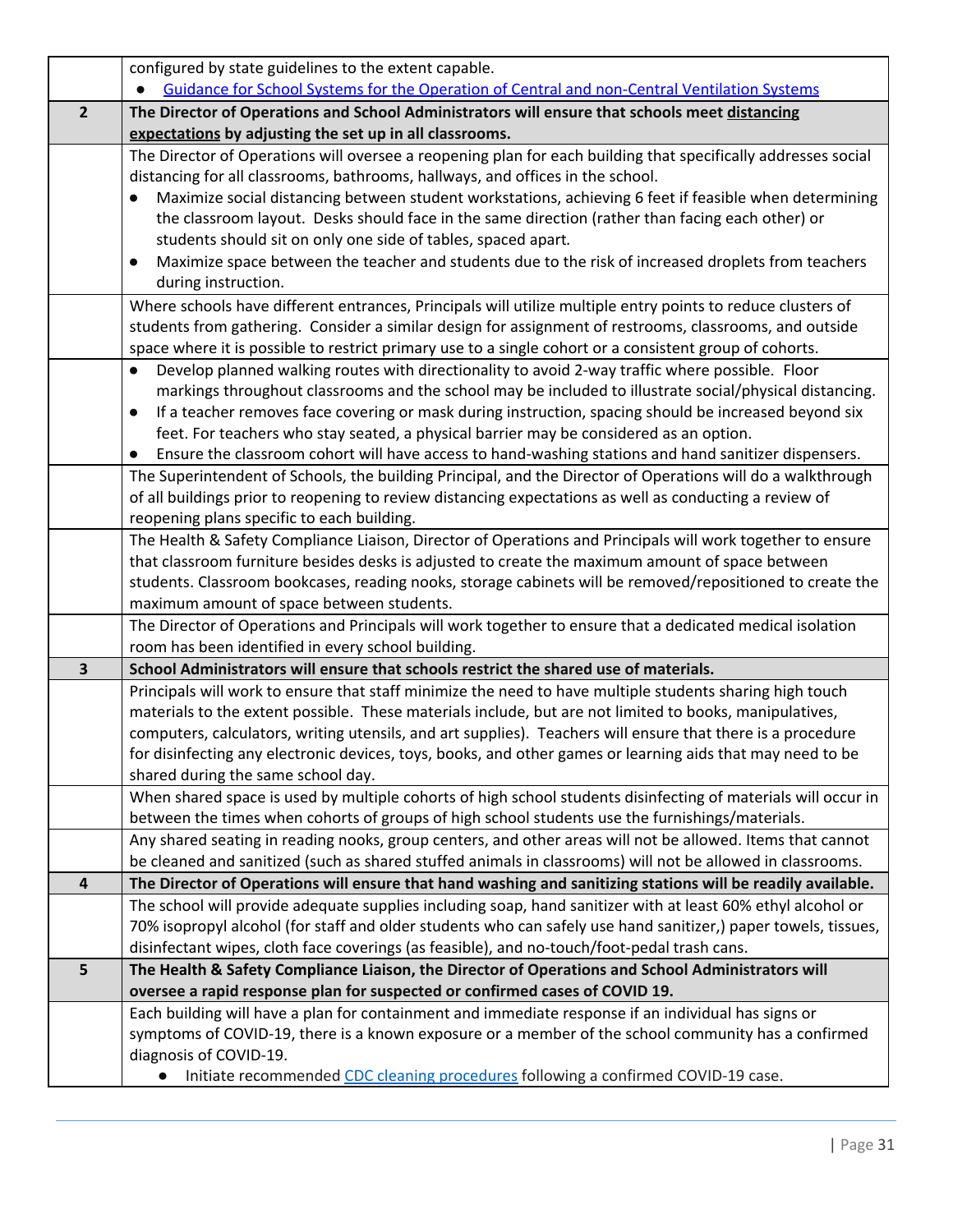|                         | configured by state guidelines to the extent capable.                                                                                                  |
|-------------------------|--------------------------------------------------------------------------------------------------------------------------------------------------------|
|                         | Guidance for School Systems for the Operation of Central and non-Central Ventilation Systems                                                           |
| $\overline{2}$          | The Director of Operations and School Administrators will ensure that schools meet distancing                                                          |
|                         | expectations by adjusting the set up in all classrooms.                                                                                                |
|                         | The Director of Operations will oversee a reopening plan for each building that specifically addresses social                                          |
|                         | distancing for all classrooms, bathrooms, hallways, and offices in the school.                                                                         |
|                         | Maximize social distancing between student workstations, achieving 6 feet if feasible when determining                                                 |
|                         | the classroom layout. Desks should face in the same direction (rather than facing each other) or                                                       |
|                         | students should sit on only one side of tables, spaced apart.                                                                                          |
|                         | Maximize space between the teacher and students due to the risk of increased droplets from teachers                                                    |
|                         | during instruction.                                                                                                                                    |
|                         | Where schools have different entrances, Principals will utilize multiple entry points to reduce clusters of                                            |
|                         | students from gathering. Consider a similar design for assignment of restrooms, classrooms, and outside                                                |
|                         | space where it is possible to restrict primary use to a single cohort or a consistent group of cohorts.                                                |
|                         | Develop planned walking routes with directionality to avoid 2-way traffic where possible. Floor<br>$\bullet$                                           |
|                         | markings throughout classrooms and the school may be included to illustrate social/physical distancing.                                                |
|                         | If a teacher removes face covering or mask during instruction, spacing should be increased beyond six<br>$\bullet$                                     |
|                         | feet. For teachers who stay seated, a physical barrier may be considered as an option.                                                                 |
|                         | Ensure the classroom cohort will have access to hand-washing stations and hand sanitizer dispensers.                                                   |
|                         | The Superintendent of Schools, the building Principal, and the Director of Operations will do a walkthrough                                            |
|                         | of all buildings prior to reopening to review distancing expectations as well as conducting a review of                                                |
|                         | reopening plans specific to each building.                                                                                                             |
|                         | The Health & Safety Compliance Liaison, Director of Operations and Principals will work together to ensure                                             |
|                         | that classroom furniture besides desks is adjusted to create the maximum amount of space between                                                       |
|                         | students. Classroom bookcases, reading nooks, storage cabinets will be removed/repositioned to create the<br>maximum amount of space between students. |
|                         | The Director of Operations and Principals will work together to ensure that a dedicated medical isolation                                              |
|                         | room has been identified in every school building.                                                                                                     |
| $\overline{\mathbf{3}}$ | School Administrators will ensure that schools restrict the shared use of materials.                                                                   |
|                         | Principals will work to ensure that staff minimize the need to have multiple students sharing high touch                                               |
|                         | materials to the extent possible. These materials include, but are not limited to books, manipulatives,                                                |
|                         | computers, calculators, writing utensils, and art supplies). Teachers will ensure that there is a procedure                                            |
|                         | for disinfecting any electronic devices, toys, books, and other games or learning aids that may need to be                                             |
|                         | shared during the same school day.                                                                                                                     |
|                         | When shared space is used by multiple cohorts of high school students disinfecting of materials will occur in                                          |
|                         | between the times when cohorts of groups of high school students use the furnishings/materials.                                                        |
|                         | Any shared seating in reading nooks, group centers, and other areas will not be allowed. Items that cannot                                             |
|                         | be cleaned and sanitized (such as shared stuffed animals in classrooms) will not be allowed in classrooms.                                             |
| $\overline{\mathbf{4}}$ | The Director of Operations will ensure that hand washing and sanitizing stations will be readily available.                                            |
|                         | The school will provide adequate supplies including soap, hand sanitizer with at least 60% ethyl alcohol or                                            |
|                         | 70% isopropyl alcohol (for staff and older students who can safely use hand sanitizer,) paper towels, tissues,                                         |
|                         | disinfectant wipes, cloth face coverings (as feasible), and no-touch/foot-pedal trash cans.                                                            |
| 5                       | The Health & Safety Compliance Liaison, the Director of Operations and School Administrators will                                                      |
|                         | oversee a rapid response plan for suspected or confirmed cases of COVID 19.                                                                            |
|                         | Each building will have a plan for containment and immediate response if an individual has signs or                                                    |
|                         | symptoms of COVID-19, there is a known exposure or a member of the school community has a confirmed                                                    |
|                         | diagnosis of COVID-19.                                                                                                                                 |
|                         | Initiate recommended CDC cleaning procedures following a confirmed COVID-19 case.                                                                      |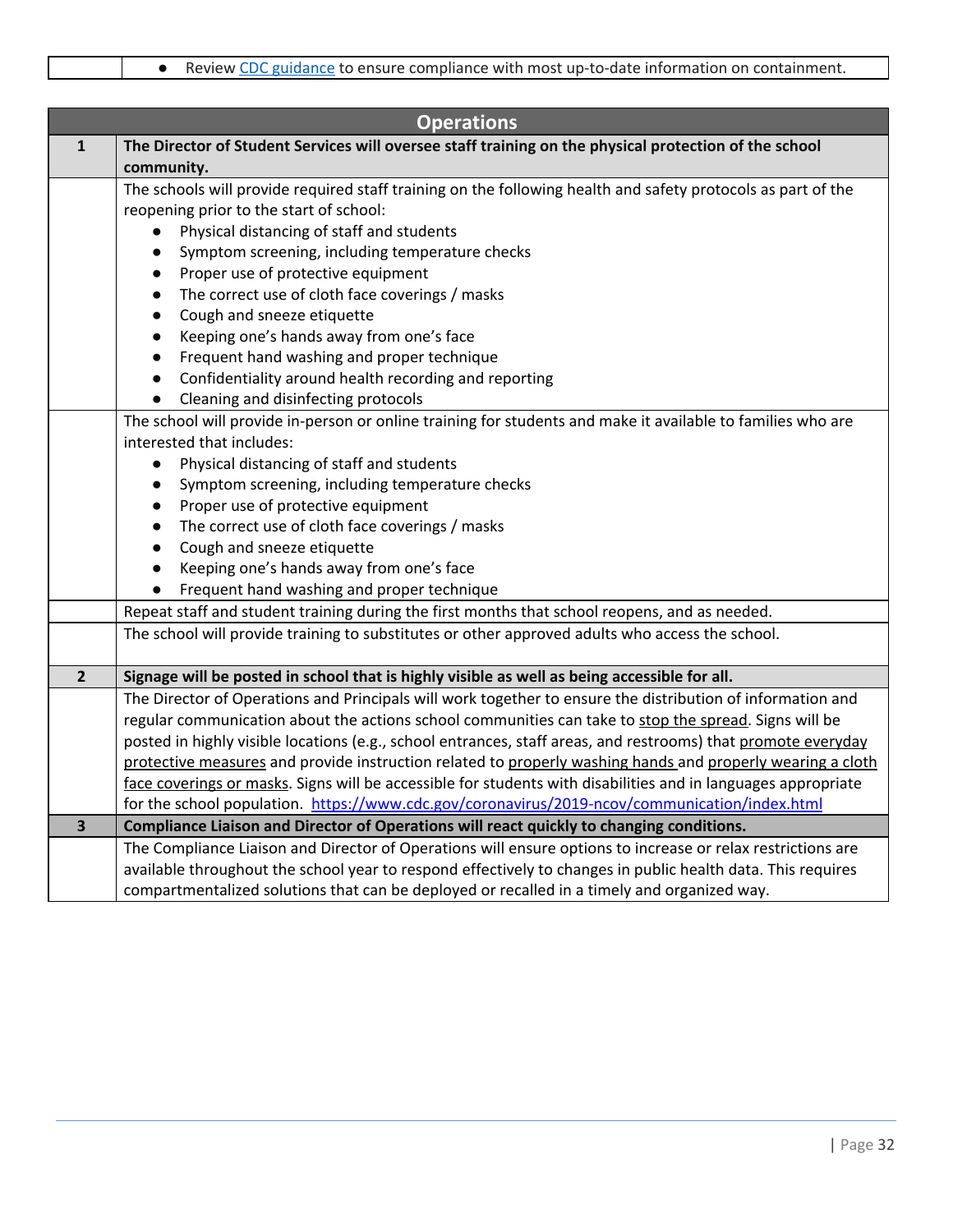|                         | <b>Operations</b>                                                                                             |
|-------------------------|---------------------------------------------------------------------------------------------------------------|
| $\mathbf{1}$            | The Director of Student Services will oversee staff training on the physical protection of the school         |
|                         | community.                                                                                                    |
|                         | The schools will provide required staff training on the following health and safety protocols as part of the  |
|                         | reopening prior to the start of school:                                                                       |
|                         | Physical distancing of staff and students<br>$\bullet$                                                        |
|                         | Symptom screening, including temperature checks<br>$\bullet$                                                  |
|                         | Proper use of protective equipment<br>$\bullet$                                                               |
|                         | The correct use of cloth face coverings / masks<br>$\bullet$                                                  |
|                         | Cough and sneeze etiquette<br>$\bullet$                                                                       |
|                         | Keeping one's hands away from one's face<br>$\bullet$                                                         |
|                         | Frequent hand washing and proper technique<br>$\bullet$                                                       |
|                         | Confidentiality around health recording and reporting<br>$\bullet$                                            |
|                         | Cleaning and disinfecting protocols<br>$\bullet$                                                              |
|                         | The school will provide in-person or online training for students and make it available to families who are   |
|                         | interested that includes:                                                                                     |
|                         | Physical distancing of staff and students<br>$\bullet$                                                        |
|                         | Symptom screening, including temperature checks<br>$\bullet$                                                  |
|                         | Proper use of protective equipment<br>$\bullet$                                                               |
|                         | The correct use of cloth face coverings / masks<br>$\bullet$                                                  |
|                         | Cough and sneeze etiquette<br>$\bullet$                                                                       |
|                         | Keeping one's hands away from one's face<br>$\bullet$                                                         |
|                         | Frequent hand washing and proper technique<br>$\bullet$                                                       |
|                         | Repeat staff and student training during the first months that school reopens, and as needed.                 |
|                         | The school will provide training to substitutes or other approved adults who access the school.               |
| $\overline{2}$          | Signage will be posted in school that is highly visible as well as being accessible for all.                  |
|                         | The Director of Operations and Principals will work together to ensure the distribution of information and    |
|                         | regular communication about the actions school communities can take to stop the spread. Signs will be         |
|                         | posted in highly visible locations (e.g., school entrances, staff areas, and restrooms) that promote everyday |
|                         | protective measures and provide instruction related to properly washing hands and properly wearing a cloth    |
|                         | face coverings or masks. Signs will be accessible for students with disabilities and in languages appropriate |
|                         | for the school population. https://www.cdc.gov/coronavirus/2019-ncov/communication/index.html                 |
| $\overline{\mathbf{3}}$ | Compliance Liaison and Director of Operations will react quickly to changing conditions.                      |
|                         | The Compliance Liaison and Director of Operations will ensure options to increase or relax restrictions are   |
|                         | available throughout the school year to respond effectively to changes in public health data. This requires   |
|                         | compartmentalized solutions that can be deployed or recalled in a timely and organized way.                   |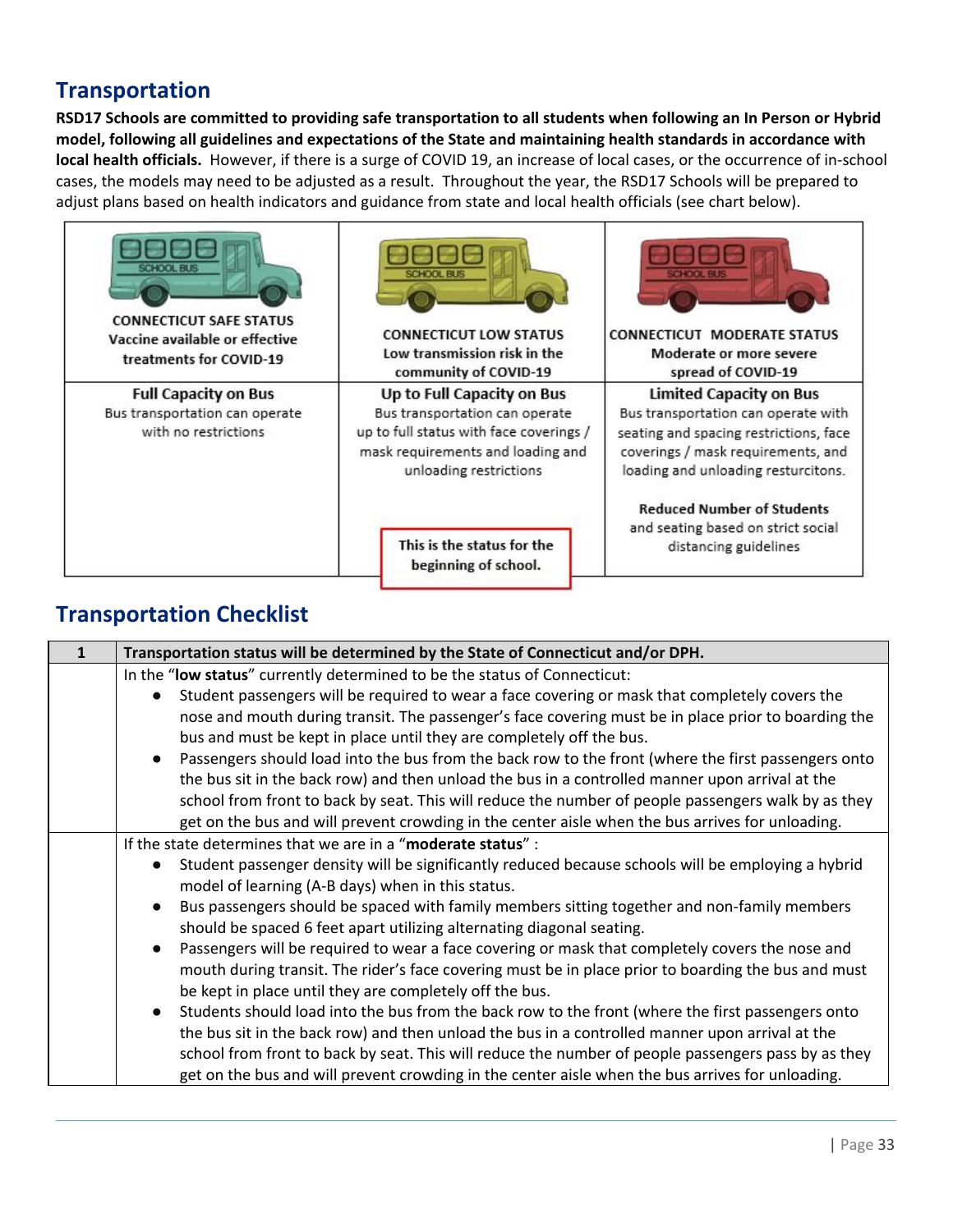## **Transportation**

RSD17 Schools are committed to providing safe transportation to all students when following an In Person or Hybrid model, following all guidelines and expectations of the State and maintaining health standards in accordance with **local health officials.** However, if there is a surge of COVID 19, an increase of local cases, or the occurrence of in-school cases, the models may need to be adjusted as a result. Throughout the year, the RSD17 Schools will be prepared to adjust plans based on health indicators and guidance from state and local health officials (see chart below).



## **Transportation Checklist**

| Transportation status will be determined by the State of Connecticut and/or DPH.                    |
|-----------------------------------------------------------------------------------------------------|
| In the "low status" currently determined to be the status of Connecticut:                           |
| Student passengers will be required to wear a face covering or mask that completely covers the      |
| nose and mouth during transit. The passenger's face covering must be in place prior to boarding the |
| bus and must be kept in place until they are completely off the bus.                                |
| Passengers should load into the bus from the back row to the front (where the first passengers onto |
| the bus sit in the back row) and then unload the bus in a controlled manner upon arrival at the     |
| school from front to back by seat. This will reduce the number of people passengers walk by as they |
| get on the bus and will prevent crowding in the center aisle when the bus arrives for unloading.    |
| If the state determines that we are in a "moderate status" :                                        |
| Student passenger density will be significantly reduced because schools will be employing a hybrid  |
| model of learning (A-B days) when in this status.                                                   |
| Bus passengers should be spaced with family members sitting together and non-family members         |
| should be spaced 6 feet apart utilizing alternating diagonal seating.                               |
| Passengers will be required to wear a face covering or mask that completely covers the nose and     |
| mouth during transit. The rider's face covering must be in place prior to boarding the bus and must |
| be kept in place until they are completely off the bus.                                             |
| Students should load into the bus from the back row to the front (where the first passengers onto   |
| the bus sit in the back row) and then unload the bus in a controlled manner upon arrival at the     |
| school from front to back by seat. This will reduce the number of people passengers pass by as they |
| get on the bus and will prevent crowding in the center aisle when the bus arrives for unloading.    |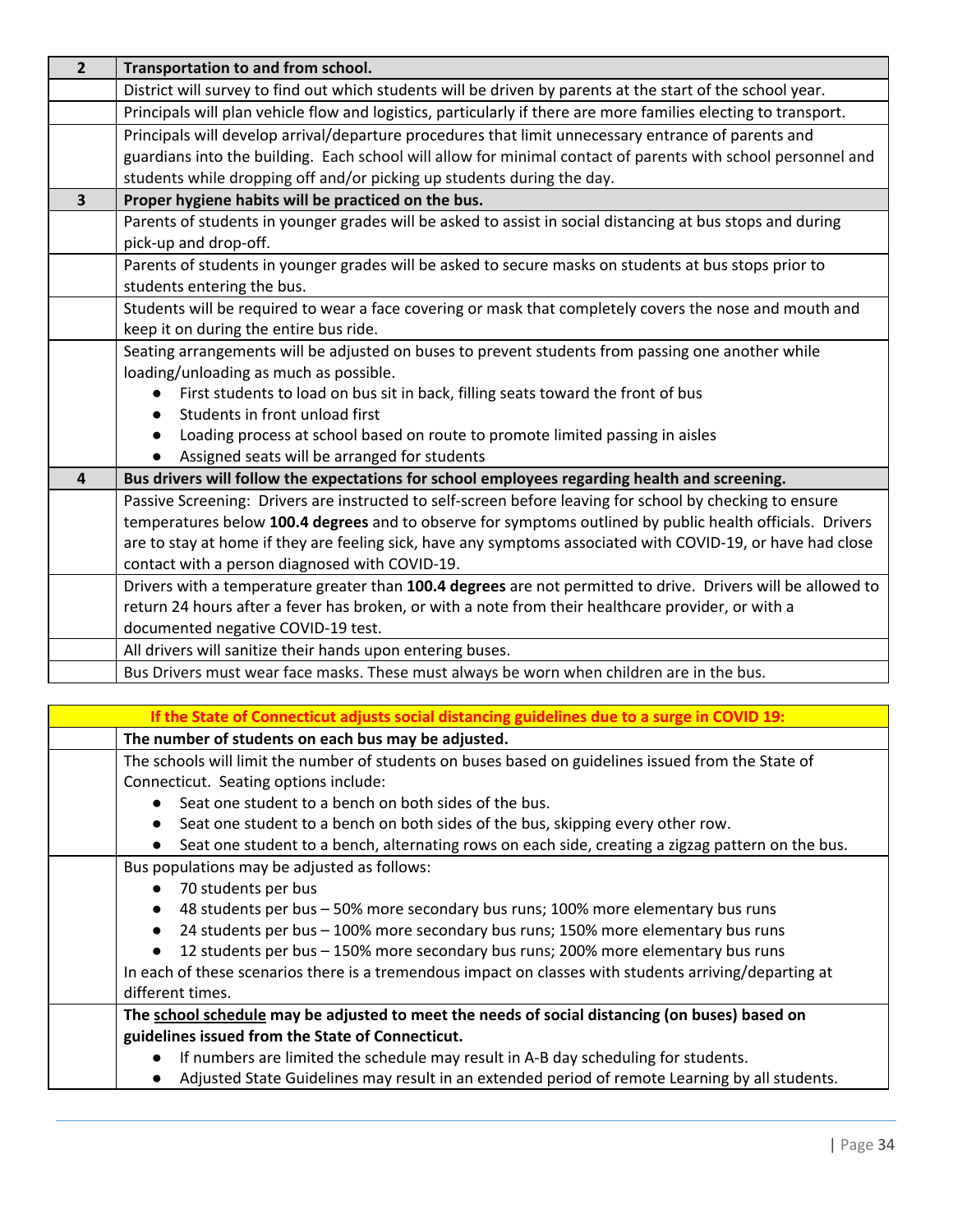| $\overline{2}$ | Transportation to and from school.                                                                              |
|----------------|-----------------------------------------------------------------------------------------------------------------|
|                | District will survey to find out which students will be driven by parents at the start of the school year.      |
|                | Principals will plan vehicle flow and logistics, particularly if there are more families electing to transport. |
|                | Principals will develop arrival/departure procedures that limit unnecessary entrance of parents and             |
|                | guardians into the building. Each school will allow for minimal contact of parents with school personnel and    |
|                | students while dropping off and/or picking up students during the day.                                          |
| $\overline{3}$ | Proper hygiene habits will be practiced on the bus.                                                             |
|                | Parents of students in younger grades will be asked to assist in social distancing at bus stops and during      |
|                | pick-up and drop-off.                                                                                           |
|                | Parents of students in younger grades will be asked to secure masks on students at bus stops prior to           |
|                | students entering the bus.                                                                                      |
|                | Students will be required to wear a face covering or mask that completely covers the nose and mouth and         |
|                | keep it on during the entire bus ride.                                                                          |
|                | Seating arrangements will be adjusted on buses to prevent students from passing one another while               |
|                | loading/unloading as much as possible.                                                                          |
|                | First students to load on bus sit in back, filling seats toward the front of bus                                |
|                | Students in front unload first                                                                                  |
|                | Loading process at school based on route to promote limited passing in aisles                                   |
|                | Assigned seats will be arranged for students                                                                    |
| $\overline{a}$ | Bus drivers will follow the expectations for school employees regarding health and screening.                   |
|                | Passive Screening: Drivers are instructed to self-screen before leaving for school by checking to ensure        |
|                | temperatures below 100.4 degrees and to observe for symptoms outlined by public health officials. Drivers       |
|                | are to stay at home if they are feeling sick, have any symptoms associated with COVID-19, or have had close     |
|                | contact with a person diagnosed with COVID-19.                                                                  |
|                | Drivers with a temperature greater than 100.4 degrees are not permitted to drive. Drivers will be allowed to    |
|                | return 24 hours after a fever has broken, or with a note from their healthcare provider, or with a              |
|                | documented negative COVID-19 test.                                                                              |
|                | All drivers will sanitize their hands upon entering buses.                                                      |
|                | Bus Drivers must wear face masks. These must always be worn when children are in the bus.                       |
|                |                                                                                                                 |

|                                                     | If the State of Connecticut adjusts social distancing guidelines due to a surge in COVID 19:           |
|-----------------------------------------------------|--------------------------------------------------------------------------------------------------------|
| The number of students on each bus may be adjusted. |                                                                                                        |
|                                                     | The schools will limit the number of students on buses based on guidelines issued from the State of    |
| Connecticut. Seating options include:               |                                                                                                        |
|                                                     | Seat one student to a bench on both sides of the bus.                                                  |
|                                                     | Seat one student to a bench on both sides of the bus, skipping every other row.                        |
|                                                     | Seat one student to a bench, alternating rows on each side, creating a zigzag pattern on the bus.      |
| Bus populations may be adjusted as follows:         |                                                                                                        |
| 70 students per bus                                 |                                                                                                        |
|                                                     | 48 students per bus - 50% more secondary bus runs; 100% more elementary bus runs                       |
|                                                     | 24 students per bus - 100% more secondary bus runs; 150% more elementary bus runs                      |
|                                                     | 12 students per bus - 150% more secondary bus runs; 200% more elementary bus runs                      |
|                                                     | In each of these scenarios there is a tremendous impact on classes with students arriving/departing at |
| different times.                                    |                                                                                                        |
|                                                     | The school schedule may be adjusted to meet the needs of social distancing (on buses) based on         |
| guidelines issued from the State of Connecticut.    |                                                                                                        |
|                                                     | If numbers are limited the schedule may result in A-B day scheduling for students.                     |
|                                                     | Adjusted State Guidelines may result in an extended period of remote Learning by all students.         |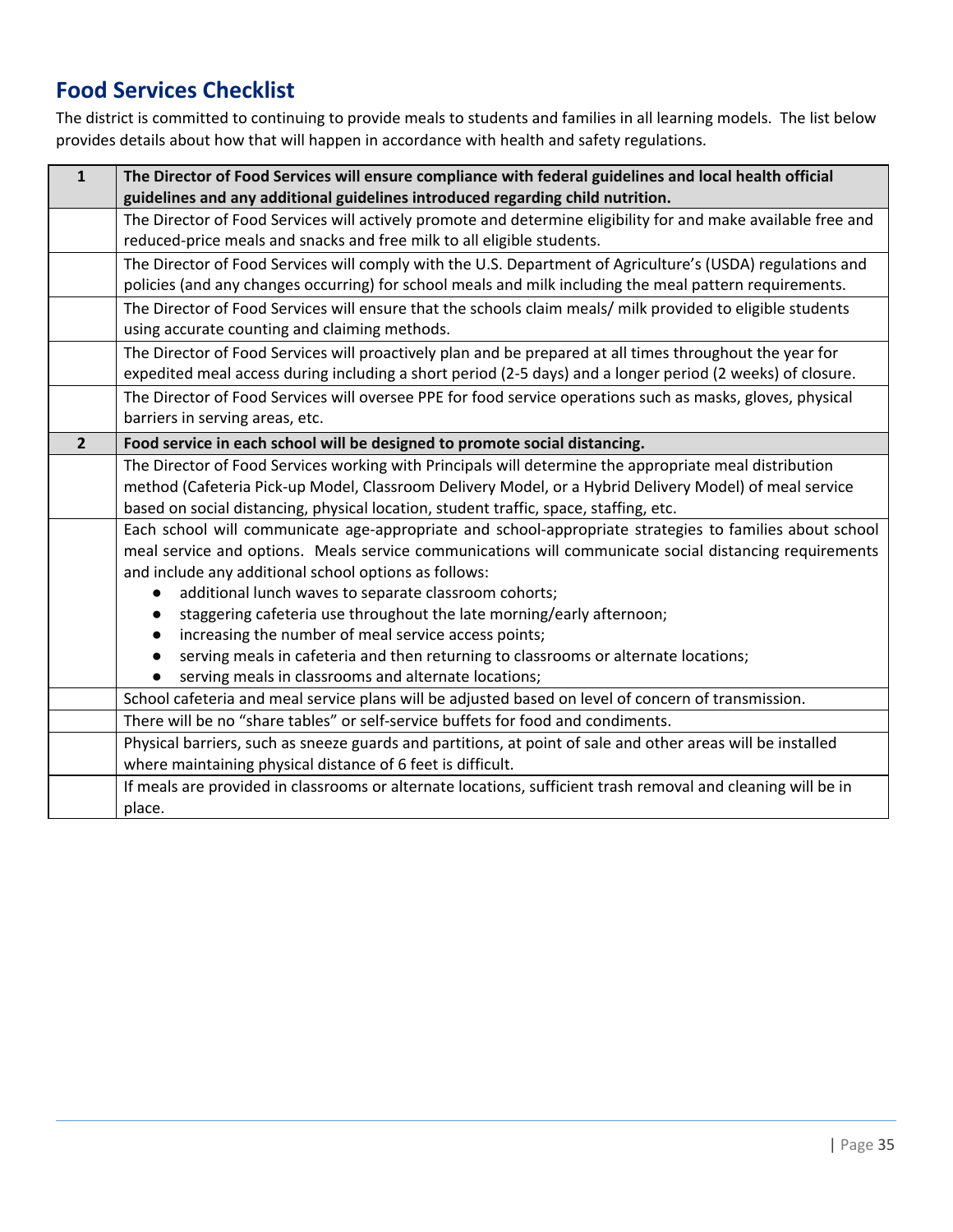## **Food Services Checklist**

The district is committed to continuing to provide meals to students and families in all learning models. The list below provides details about how that will happen in accordance with health and safety regulations.

| $\mathbf{1}$   | The Director of Food Services will ensure compliance with federal guidelines and local health official<br>guidelines and any additional guidelines introduced regarding child nutrition. |
|----------------|------------------------------------------------------------------------------------------------------------------------------------------------------------------------------------------|
|                | The Director of Food Services will actively promote and determine eligibility for and make available free and                                                                            |
|                | reduced-price meals and snacks and free milk to all eligible students.                                                                                                                   |
|                | The Director of Food Services will comply with the U.S. Department of Agriculture's (USDA) regulations and                                                                               |
|                | policies (and any changes occurring) for school meals and milk including the meal pattern requirements.                                                                                  |
|                | The Director of Food Services will ensure that the schools claim meals/ milk provided to eligible students                                                                               |
|                | using accurate counting and claiming methods.                                                                                                                                            |
|                | The Director of Food Services will proactively plan and be prepared at all times throughout the year for                                                                                 |
|                | expedited meal access during including a short period (2-5 days) and a longer period (2 weeks) of closure.                                                                               |
|                | The Director of Food Services will oversee PPE for food service operations such as masks, gloves, physical                                                                               |
|                | barriers in serving areas, etc.                                                                                                                                                          |
| $\overline{2}$ | Food service in each school will be designed to promote social distancing.                                                                                                               |
|                | The Director of Food Services working with Principals will determine the appropriate meal distribution                                                                                   |
|                | method (Cafeteria Pick-up Model, Classroom Delivery Model, or a Hybrid Delivery Model) of meal service                                                                                   |
|                | based on social distancing, physical location, student traffic, space, staffing, etc.                                                                                                    |
|                | Each school will communicate age-appropriate and school-appropriate strategies to families about school                                                                                  |
|                | meal service and options. Meals service communications will communicate social distancing requirements                                                                                   |
|                | and include any additional school options as follows:                                                                                                                                    |
|                | additional lunch waves to separate classroom cohorts;                                                                                                                                    |
|                | staggering cafeteria use throughout the late morning/early afternoon;                                                                                                                    |
|                | increasing the number of meal service access points;                                                                                                                                     |
|                | serving meals in cafeteria and then returning to classrooms or alternate locations;                                                                                                      |
|                | serving meals in classrooms and alternate locations;                                                                                                                                     |
|                | School cafeteria and meal service plans will be adjusted based on level of concern of transmission.                                                                                      |
|                | There will be no "share tables" or self-service buffets for food and condiments.                                                                                                         |
|                | Physical barriers, such as sneeze guards and partitions, at point of sale and other areas will be installed                                                                              |
|                | where maintaining physical distance of 6 feet is difficult.                                                                                                                              |
|                | If meals are provided in classrooms or alternate locations, sufficient trash removal and cleaning will be in                                                                             |
|                | place.                                                                                                                                                                                   |